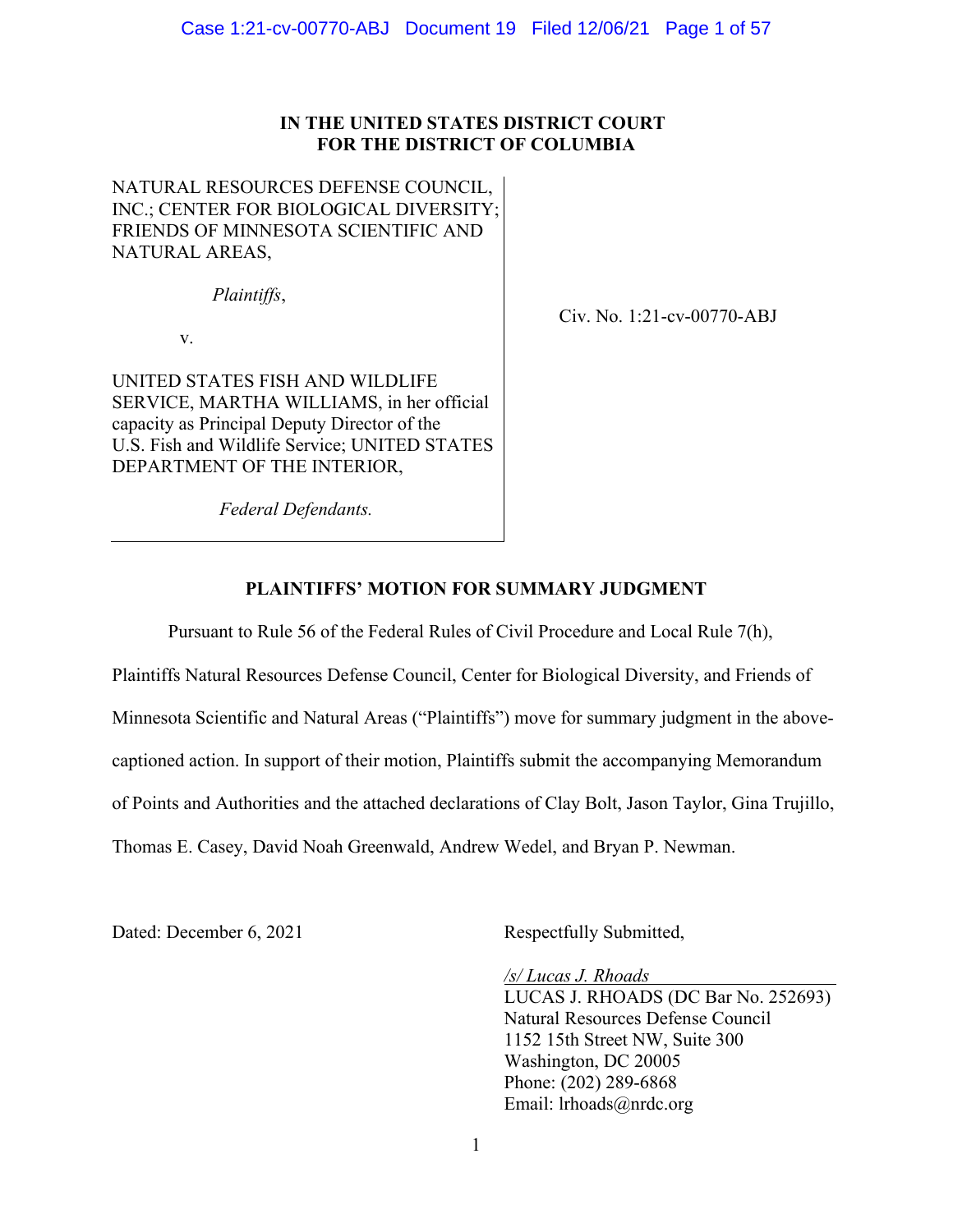## **IN THE UNITED STATES DISTRICT COURT FOR THE DISTRICT OF COLUMBIA**

NATURAL RESOURCES DEFENSE COUNCIL, INC.; CENTER FOR BIOLOGICAL DIVERSITY; FRIENDS OF MINNESOTA SCIENTIFIC AND NATURAL AREAS,

*Plaintiffs*,

v.

UNITED STATES FISH AND WILDLIFE SERVICE, MARTHA WILLIAMS, in her official capacity as Principal Deputy Director of the U.S. Fish and Wildlife Service; UNITED STATES DEPARTMENT OF THE INTERIOR,

Civ. No. 1:21-cv-00770-ABJ

*Federal Defendants.*

## **PLAINTIFFS' MOTION FOR SUMMARY JUDGMENT**

Pursuant to Rule 56 of the Federal Rules of Civil Procedure and Local Rule 7(h),

Plaintiffs Natural Resources Defense Council, Center for Biological Diversity, and Friends of Minnesota Scientific and Natural Areas ("Plaintiffs") move for summary judgment in the abovecaptioned action. In support of their motion, Plaintiffs submit the accompanying Memorandum of Points and Authorities and the attached declarations of Clay Bolt, Jason Taylor, Gina Trujillo, Thomas E. Casey, David Noah Greenwald, Andrew Wedel, and Bryan P. Newman.

Dated: December 6, 2021 Respectfully Submitted,

*/s/ Lucas J. Rhoads* 

LUCAS J. RHOADS (DC Bar No. 252693) Natural Resources Defense Council 1152 15th Street NW, Suite 300 Washington, DC 20005 Phone: (202) 289-6868 Email: lrhoads@nrdc.org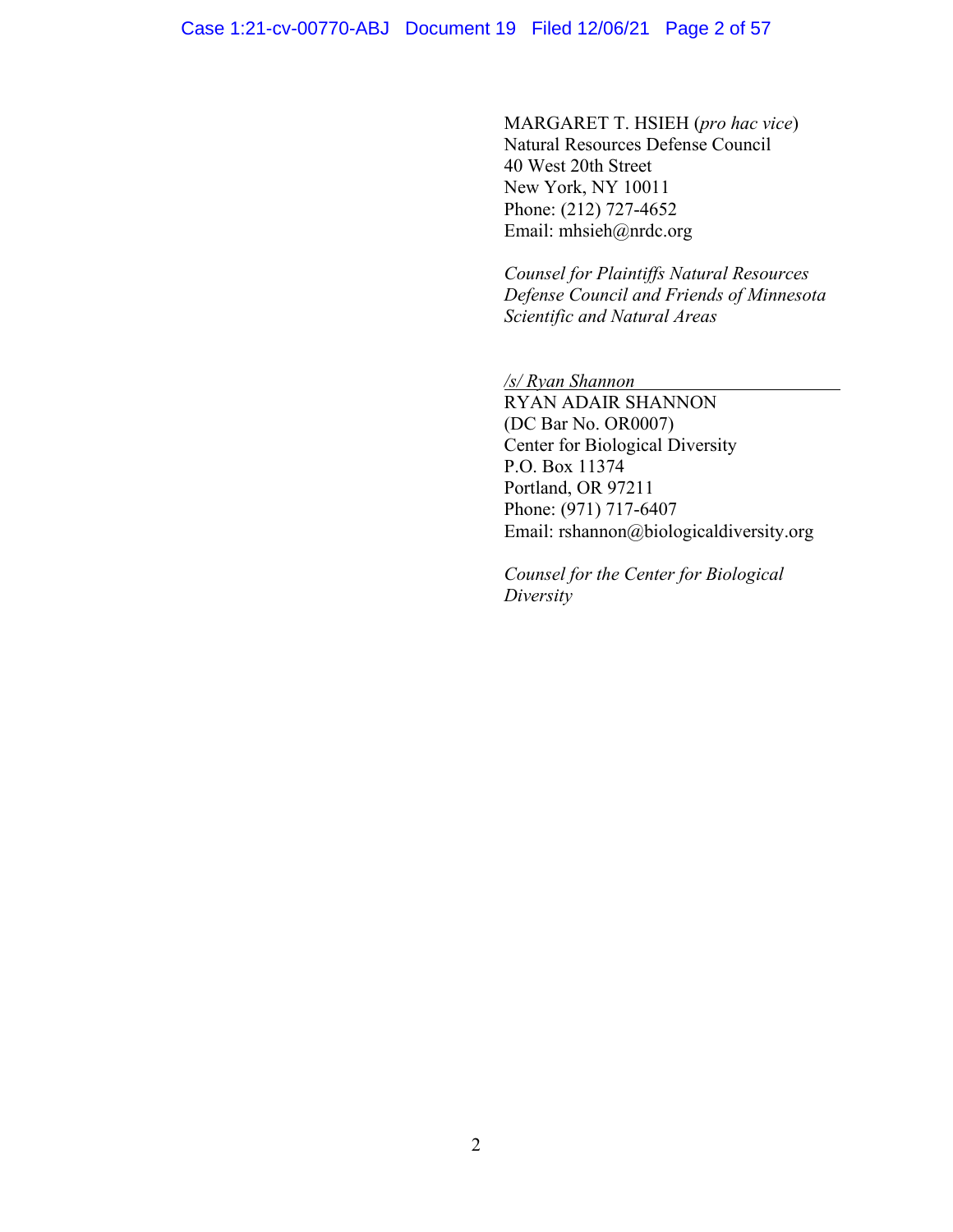MARGARET T. HSIEH (*pro hac vice*) Natural Resources Defense Council 40 West 20th Street New York, NY 10011 Phone: (212) 727-4652 Email: mhsieh@nrdc.org

*Counsel for Plaintiffs Natural Resources Defense Council and Friends of Minnesota Scientific and Natural Areas*

*/s/ Ryan Shannon*

RYAN ADAIR SHANNON (DC Bar No. OR0007) Center for Biological Diversity P.O. Box 11374 Portland, OR 97211 Phone: (971) 717-6407 Email: rshannon@biologicaldiversity.org

*Counsel for the Center for Biological Diversity*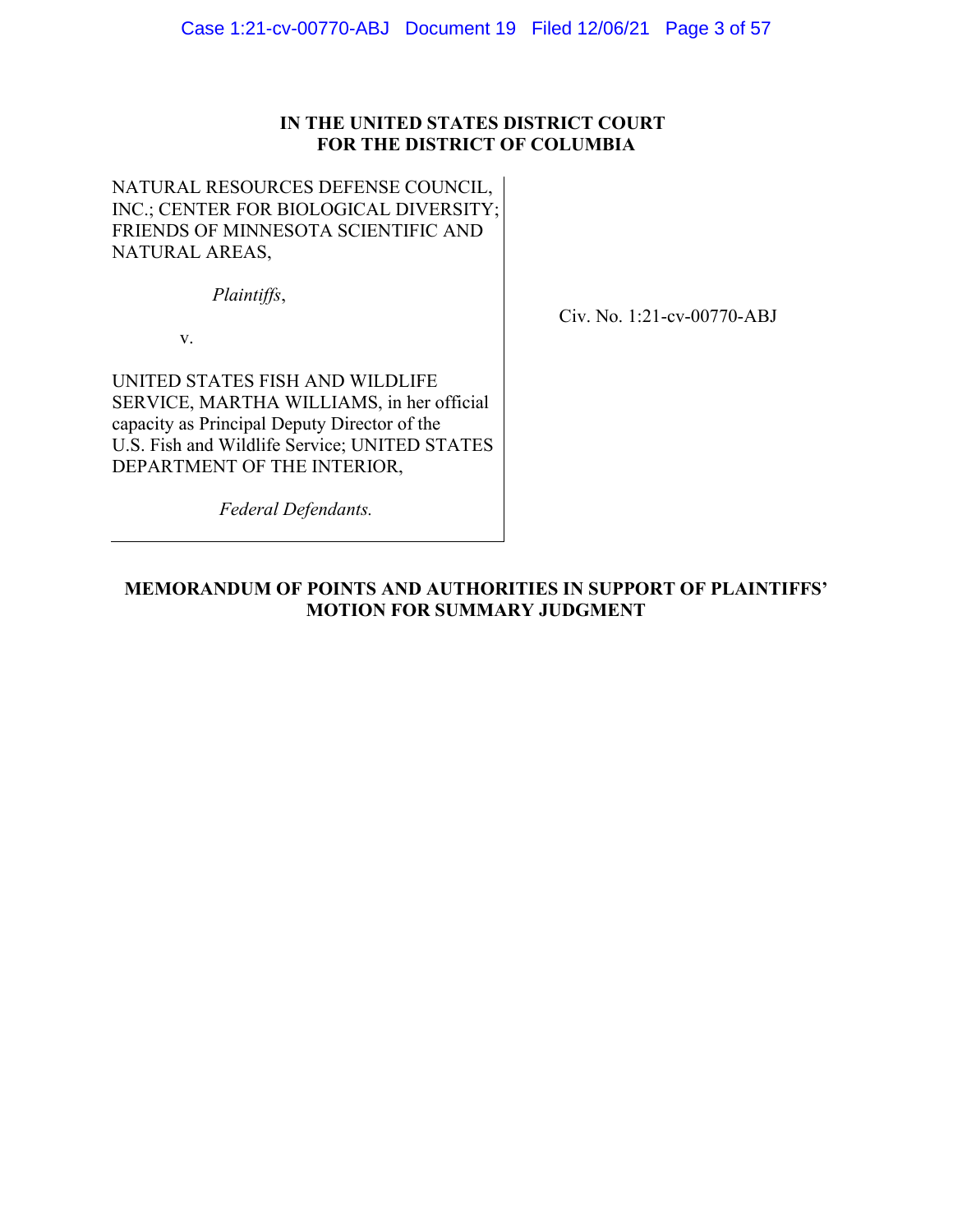## **IN THE UNITED STATES DISTRICT COURT FOR THE DISTRICT OF COLUMBIA**

NATURAL RESOURCES DEFENSE COUNCIL, INC.; CENTER FOR BIOLOGICAL DIVERSITY; FRIENDS OF MINNESOTA SCIENTIFIC AND NATURAL AREAS,

*Plaintiffs*,

Civ. No. 1:21-cv-00770-ABJ

v.

UNITED STATES FISH AND WILDLIFE SERVICE, MARTHA WILLIAMS, in her official capacity as Principal Deputy Director of the U.S. Fish and Wildlife Service; UNITED STATES DEPARTMENT OF THE INTERIOR,

*Federal Defendants.*

## **MEMORANDUM OF POINTS AND AUTHORITIES IN SUPPORT OF PLAINTIFFS' MOTION FOR SUMMARY JUDGMENT**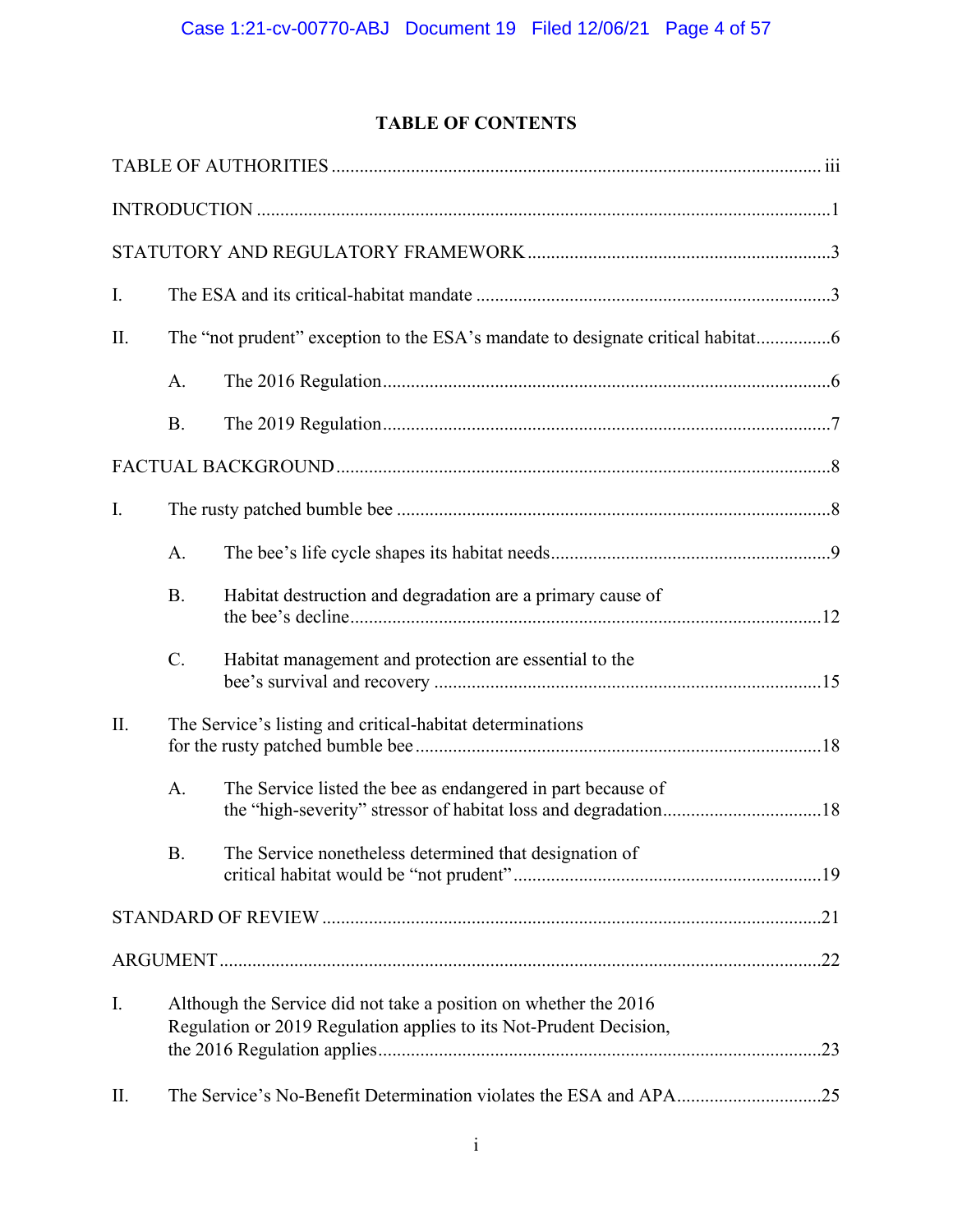## **TABLE OF CONTENTS**

| I. |                                                                                                                                        |                                                                                |  |  |
|----|----------------------------------------------------------------------------------------------------------------------------------------|--------------------------------------------------------------------------------|--|--|
| П. |                                                                                                                                        | The "not prudent" exception to the ESA's mandate to designate critical habitat |  |  |
|    | A.                                                                                                                                     |                                                                                |  |  |
|    | <b>B.</b>                                                                                                                              |                                                                                |  |  |
|    |                                                                                                                                        |                                                                                |  |  |
| I. |                                                                                                                                        |                                                                                |  |  |
|    | A.                                                                                                                                     |                                                                                |  |  |
|    | <b>B.</b>                                                                                                                              | Habitat destruction and degradation are a primary cause of                     |  |  |
|    | C.                                                                                                                                     | Habitat management and protection are essential to the                         |  |  |
| Π. |                                                                                                                                        | The Service's listing and critical-habitat determinations                      |  |  |
|    | A.                                                                                                                                     | The Service listed the bee as endangered in part because of                    |  |  |
|    | <b>B.</b>                                                                                                                              | The Service nonetheless determined that designation of                         |  |  |
|    |                                                                                                                                        |                                                                                |  |  |
|    |                                                                                                                                        |                                                                                |  |  |
| I. | Although the Service did not take a position on whether the 2016<br>Regulation or 2019 Regulation applies to its Not-Prudent Decision, |                                                                                |  |  |
| П. |                                                                                                                                        |                                                                                |  |  |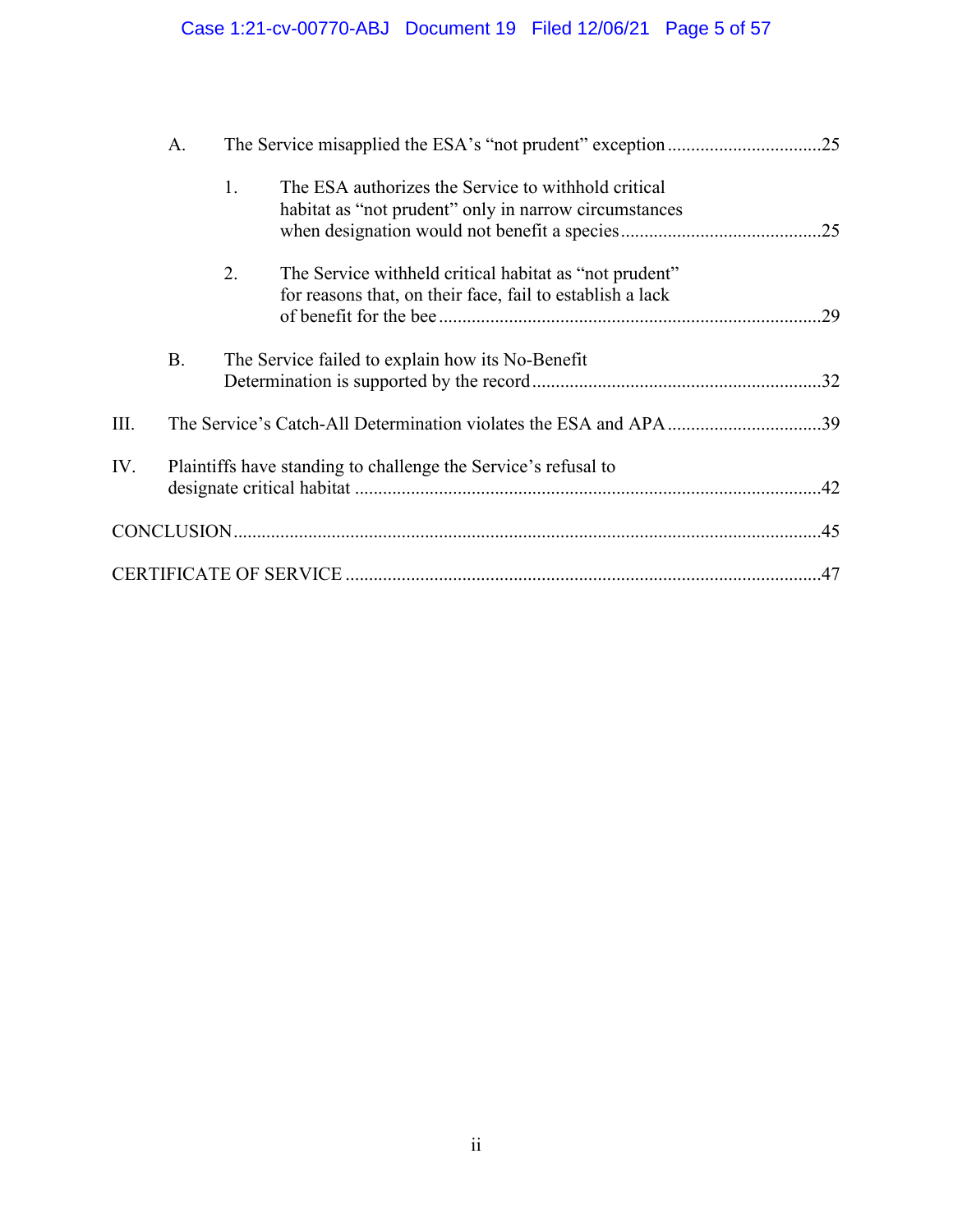# Case 1:21-cv-00770-ABJ Document 19 Filed 12/06/21 Page 5 of 57

|      | A.        |    |                                                                                                                     |  |
|------|-----------|----|---------------------------------------------------------------------------------------------------------------------|--|
|      |           | 1. | The ESA authorizes the Service to withhold critical<br>habitat as "not prudent" only in narrow circumstances        |  |
|      |           | 2. | The Service withheld critical habitat as "not prudent"<br>for reasons that, on their face, fail to establish a lack |  |
|      | <b>B.</b> |    | The Service failed to explain how its No-Benefit                                                                    |  |
| III. |           |    | The Service's Catch-All Determination violates the ESA and APA39                                                    |  |
| IV.  |           |    | Plaintiffs have standing to challenge the Service's refusal to                                                      |  |
|      |           |    |                                                                                                                     |  |
|      |           |    |                                                                                                                     |  |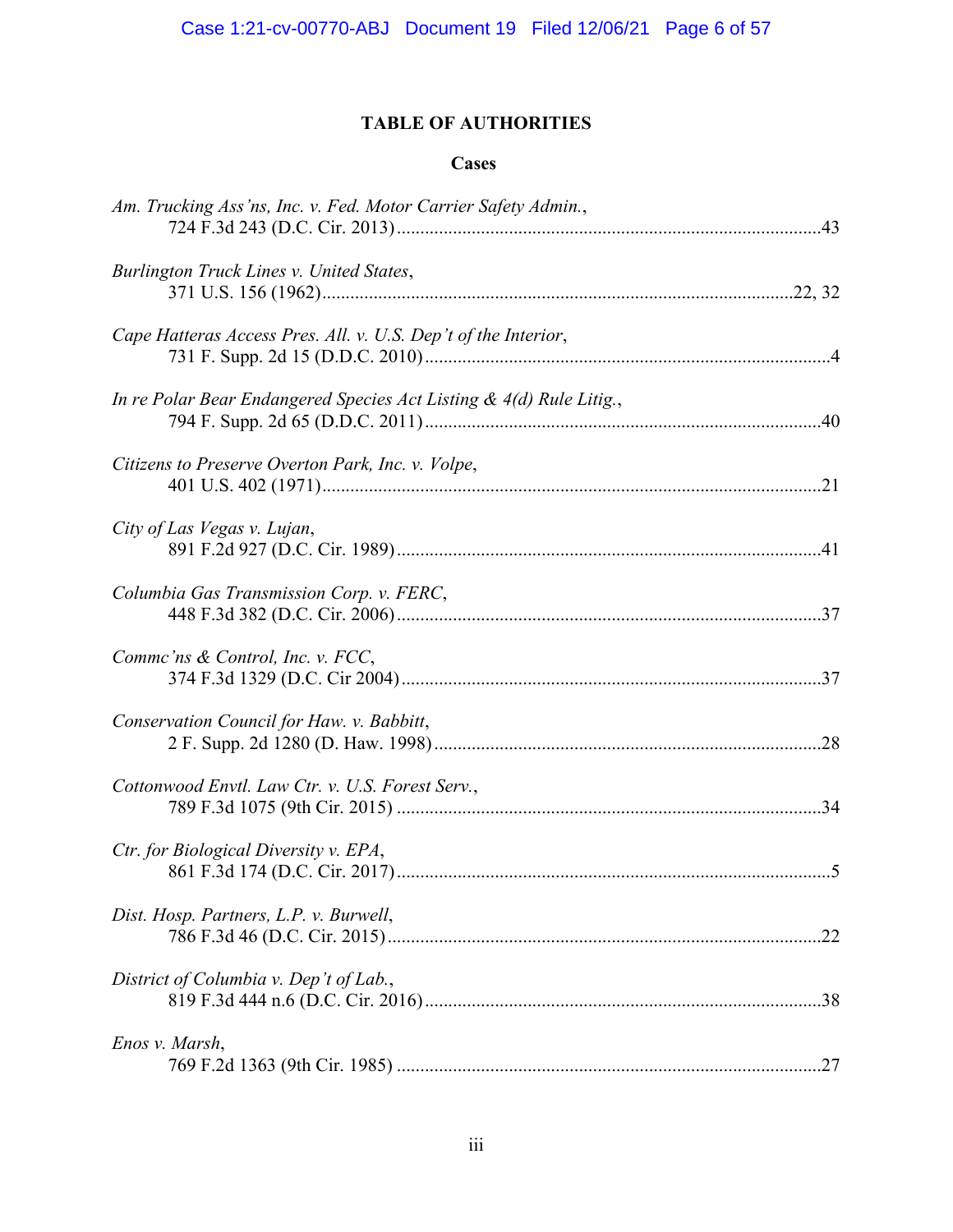## **TABLE OF AUTHORITIES**

## **Cases**

| Am. Trucking Ass'ns, Inc. v. Fed. Motor Carrier Safety Admin.,      |
|---------------------------------------------------------------------|
| Burlington Truck Lines v. United States,                            |
| Cape Hatteras Access Pres. All. v. U.S. Dep't of the Interior,      |
| In re Polar Bear Endangered Species Act Listing & 4(d) Rule Litig., |
| Citizens to Preserve Overton Park, Inc. v. Volpe,                   |
| City of Las Vegas v. Lujan,                                         |
| Columbia Gas Transmission Corp. v. FERC,                            |
| Comme'ns & Control, Inc. v. FCC,                                    |
| Conservation Council for Haw. v. Babbitt,                           |
| Cottonwood Envtl. Law Ctr. v. U.S. Forest Serv.,                    |
| Ctr. for Biological Diversity v. EPA,                               |
| Dist. Hosp. Partners, L.P. v. Burwell,                              |
| District of Columbia v. Dep't of Lab.,                              |
| Enos v. Marsh,                                                      |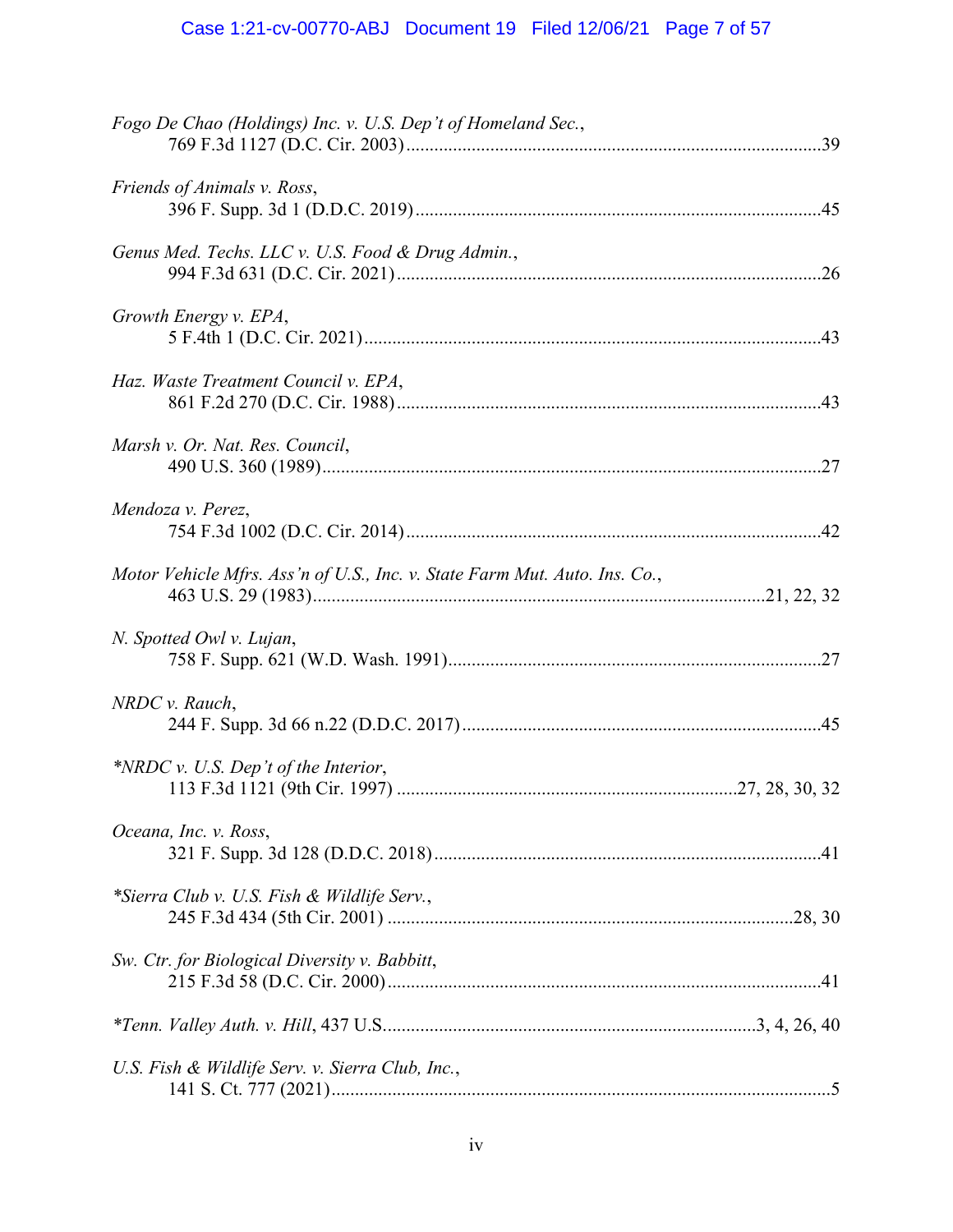# Case 1:21-cv-00770-ABJ Document 19 Filed 12/06/21 Page 7 of 57

| Fogo De Chao (Holdings) Inc. v. U.S. Dep't of Homeland Sec.,               |
|----------------------------------------------------------------------------|
| Friends of Animals v. Ross,                                                |
| Genus Med. Techs. LLC v. U.S. Food & Drug Admin.,                          |
| Growth Energy v. EPA,                                                      |
| Haz. Waste Treatment Council v. EPA,                                       |
| Marsh v. Or. Nat. Res. Council,                                            |
| Mendoza v. Perez,                                                          |
| Motor Vehicle Mfrs. Ass'n of U.S., Inc. v. State Farm Mut. Auto. Ins. Co., |
| N. Spotted Owl v. Lujan,                                                   |
| NRDC v. Rauch,                                                             |
| *NRDC v. U.S. Dep't of the Interior,                                       |
| Oceana, Inc. v. Ross,                                                      |
| *Sierra Club v. U.S. Fish & Wildlife Serv.,                                |
| Sw. Ctr. for Biological Diversity v. Babbitt,                              |
|                                                                            |
| U.S. Fish & Wildlife Serv. v. Sierra Club, Inc.,                           |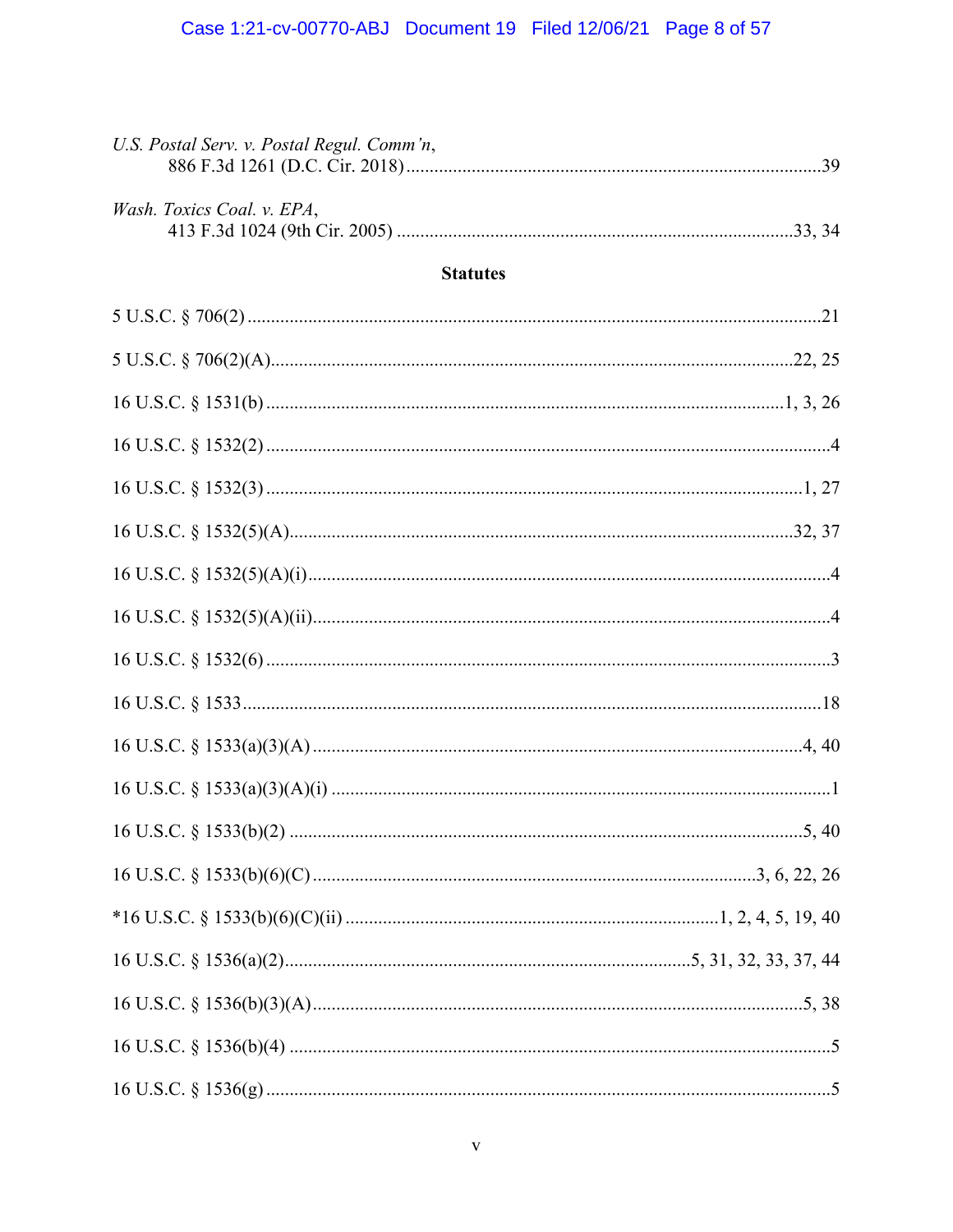| U.S. Postal Serv. v. Postal Regul. Comm'n, |  |
|--------------------------------------------|--|
| Wash. Toxics Coal. v. EPA,                 |  |
| <b>Statutes</b>                            |  |
|                                            |  |
|                                            |  |
|                                            |  |
|                                            |  |
|                                            |  |
|                                            |  |
|                                            |  |
|                                            |  |
|                                            |  |
|                                            |  |
|                                            |  |
|                                            |  |
|                                            |  |
|                                            |  |
|                                            |  |
|                                            |  |
|                                            |  |
|                                            |  |
|                                            |  |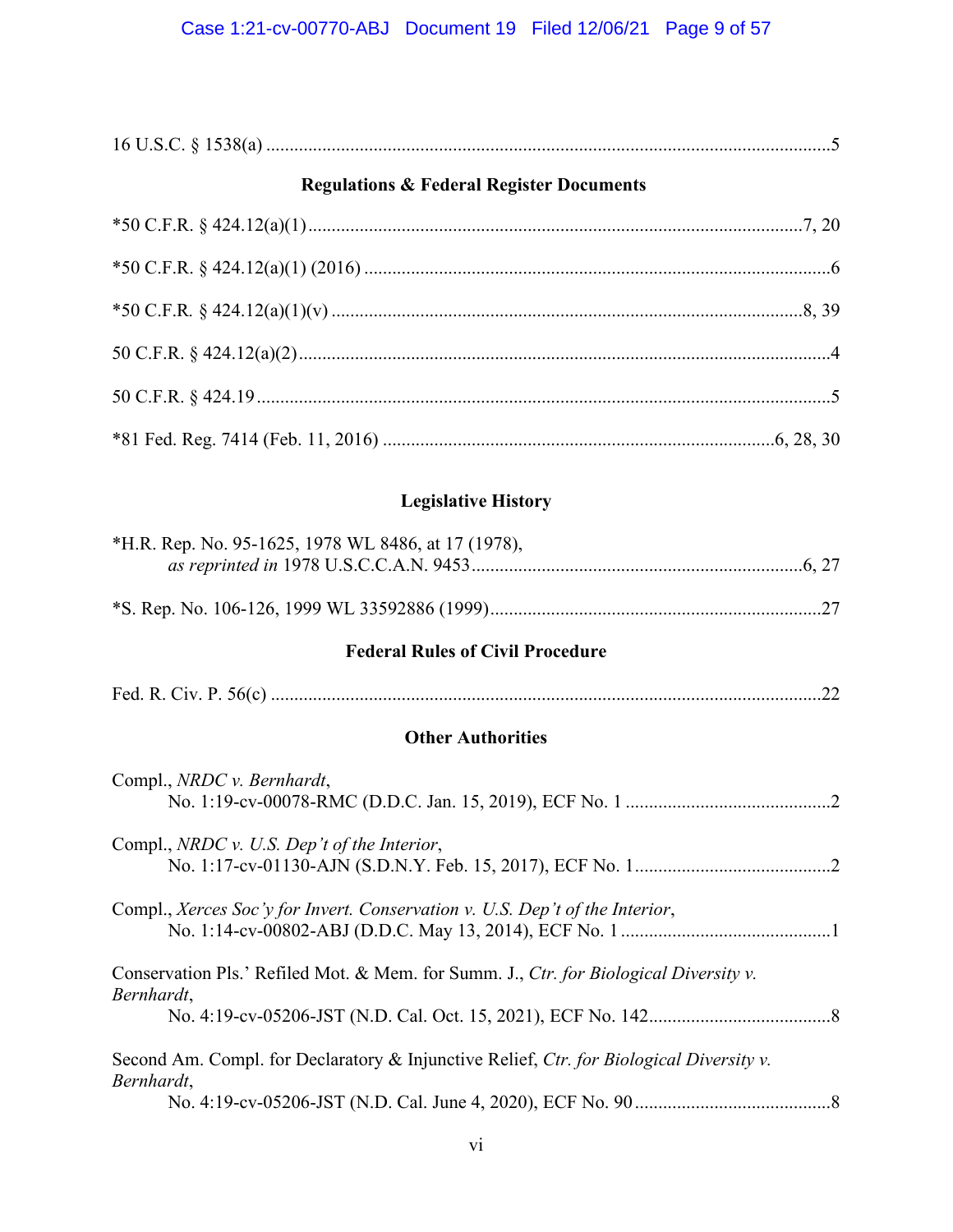## **Regulations & Federal Register Documents**

# **Legislative History**

| *H.R. Rep. No. 95-1625, 1978 WL 8486, at 17 (1978),                                                   |
|-------------------------------------------------------------------------------------------------------|
|                                                                                                       |
| <b>Federal Rules of Civil Procedure</b>                                                               |
|                                                                                                       |
| <b>Other Authorities</b>                                                                              |
| Compl., NRDC v. Bernhardt,                                                                            |
| Compl., NRDC v. U.S. Dep't of the Interior,                                                           |
| Compl., Xerces Soc'y for Invert. Conservation v. U.S. Dep't of the Interior,                          |
| Conservation Pls.' Refiled Mot. & Mem. for Summ. J., Ctr. for Biological Diversity v.<br>Bernhardt,   |
|                                                                                                       |
| Second Am. Compl. for Declaratory & Injunctive Relief, Ctr. for Biological Diversity v.<br>Bernhardt, |
|                                                                                                       |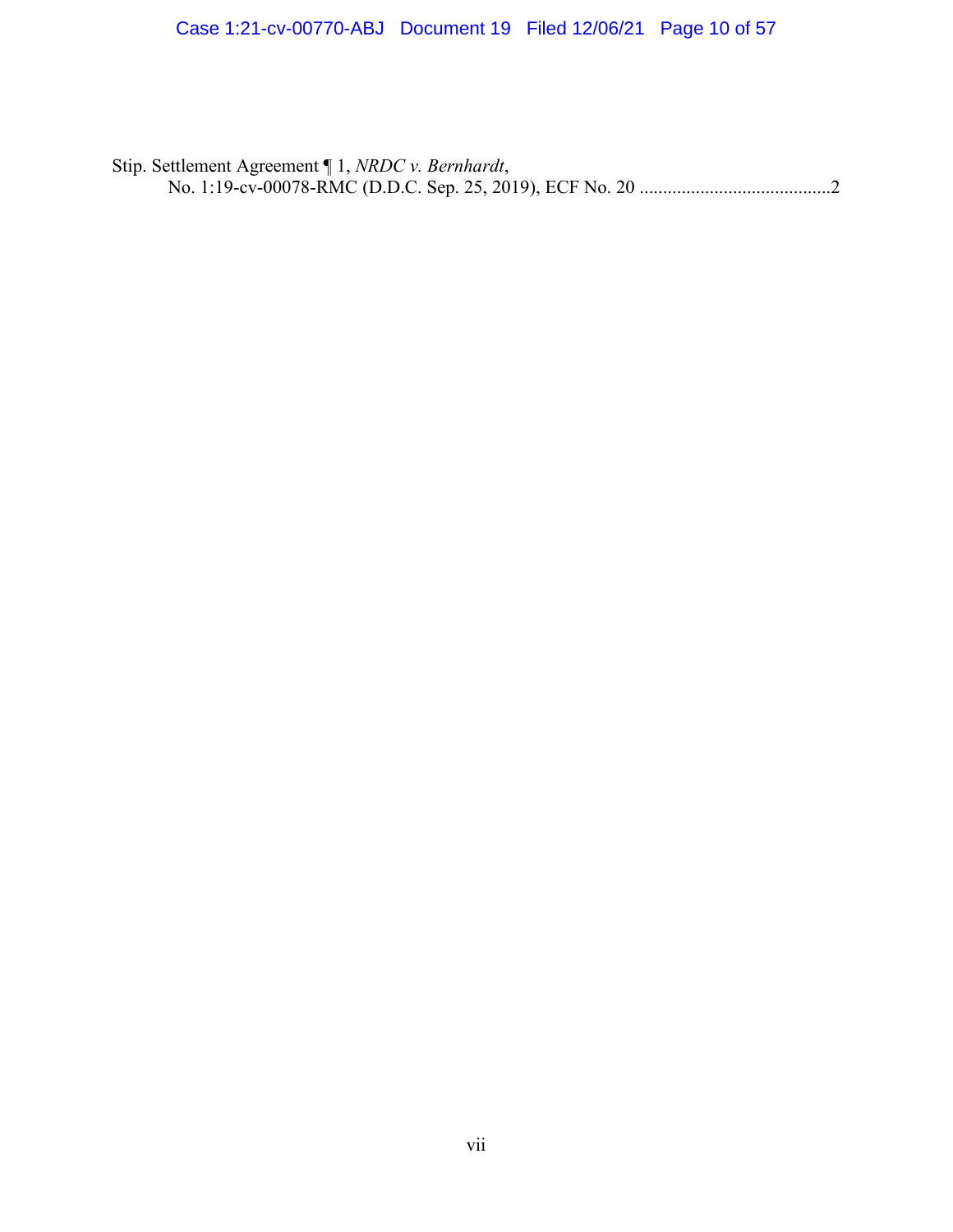Stip. Settlement Agreement ¶ 1, *NRDC v. Bernhardt*, No. 1:19-cv-00078-RMC (D.D.C. Sep. 25, 2019), ECF No. 20 .........................................2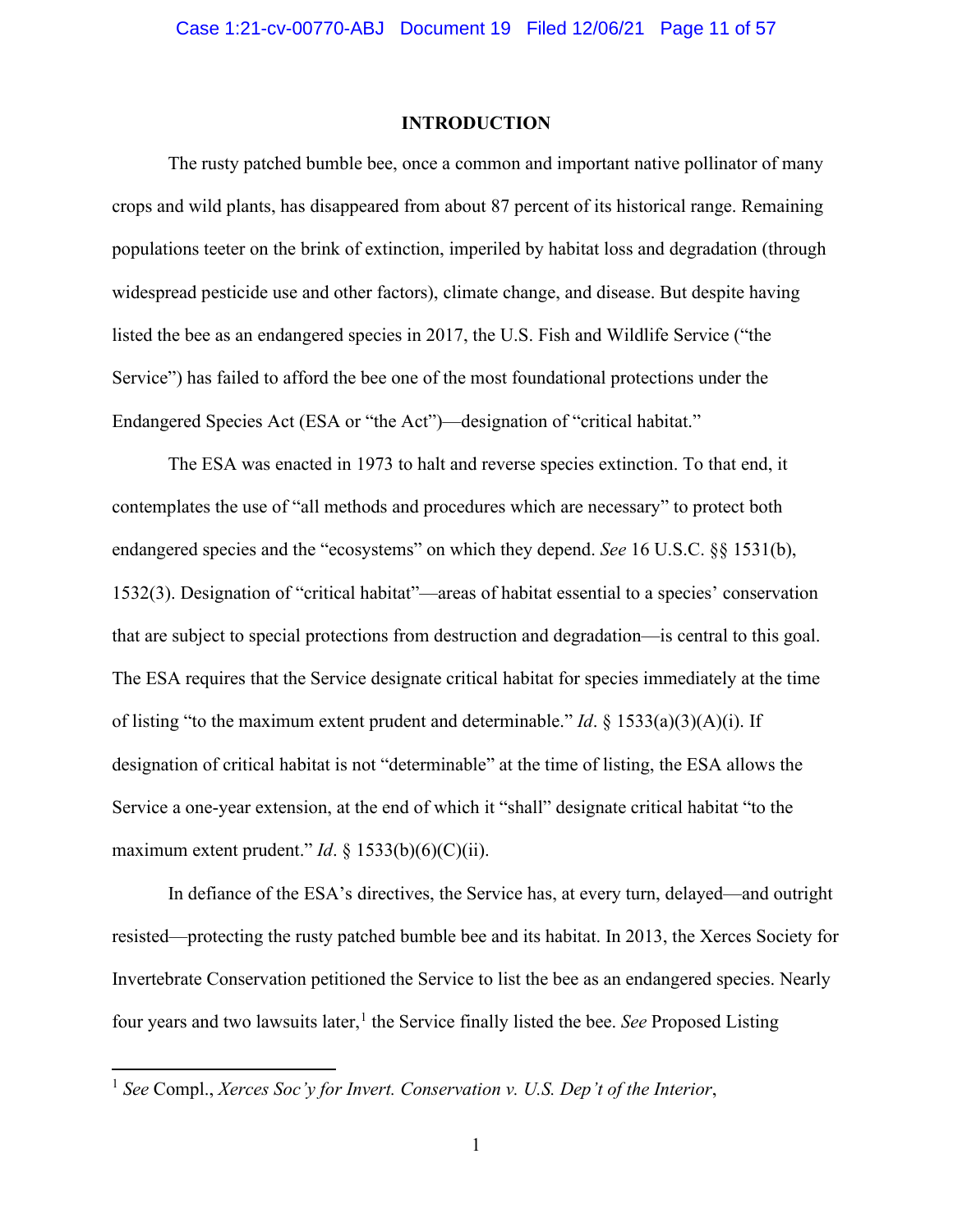#### **INTRODUCTION**

The rusty patched bumble bee, once a common and important native pollinator of many crops and wild plants, has disappeared from about 87 percent of its historical range. Remaining populations teeter on the brink of extinction, imperiled by habitat loss and degradation (through widespread pesticide use and other factors), climate change, and disease. But despite having listed the bee as an endangered species in 2017, the U.S. Fish and Wildlife Service ("the Service") has failed to afford the bee one of the most foundational protections under the Endangered Species Act (ESA or "the Act")—designation of "critical habitat."

The ESA was enacted in 1973 to halt and reverse species extinction. To that end, it contemplates the use of "all methods and procedures which are necessary" to protect both endangered species and the "ecosystems" on which they depend. *See* 16 U.S.C. §§ 1531(b), 1532(3). Designation of "critical habitat"—areas of habitat essential to a species' conservation that are subject to special protections from destruction and degradation—is central to this goal. The ESA requires that the Service designate critical habitat for species immediately at the time of listing "to the maximum extent prudent and determinable." *Id*. § 1533(a)(3)(A)(i). If designation of critical habitat is not "determinable" at the time of listing, the ESA allows the Service a one-year extension, at the end of which it "shall" designate critical habitat "to the maximum extent prudent." *Id.*  $\S$  1533(b)(6)(C)(ii).

In defiance of the ESA's directives, the Service has, at every turn, delayed—and outright resisted—protecting the rusty patched bumble bee and its habitat. In 2013, the Xerces Society for Invertebrate Conservation petitioned the Service to list the bee as an endangered species. Nearly four years and two lawsuits later,<sup>[1](#page-10-0)</sup> the Service finally listed the bee. *See* Proposed Listing

<span id="page-10-0"></span><sup>1</sup> *See* Compl., *Xerces Soc'y for Invert. Conservation v. U.S. Dep't of the Interior*,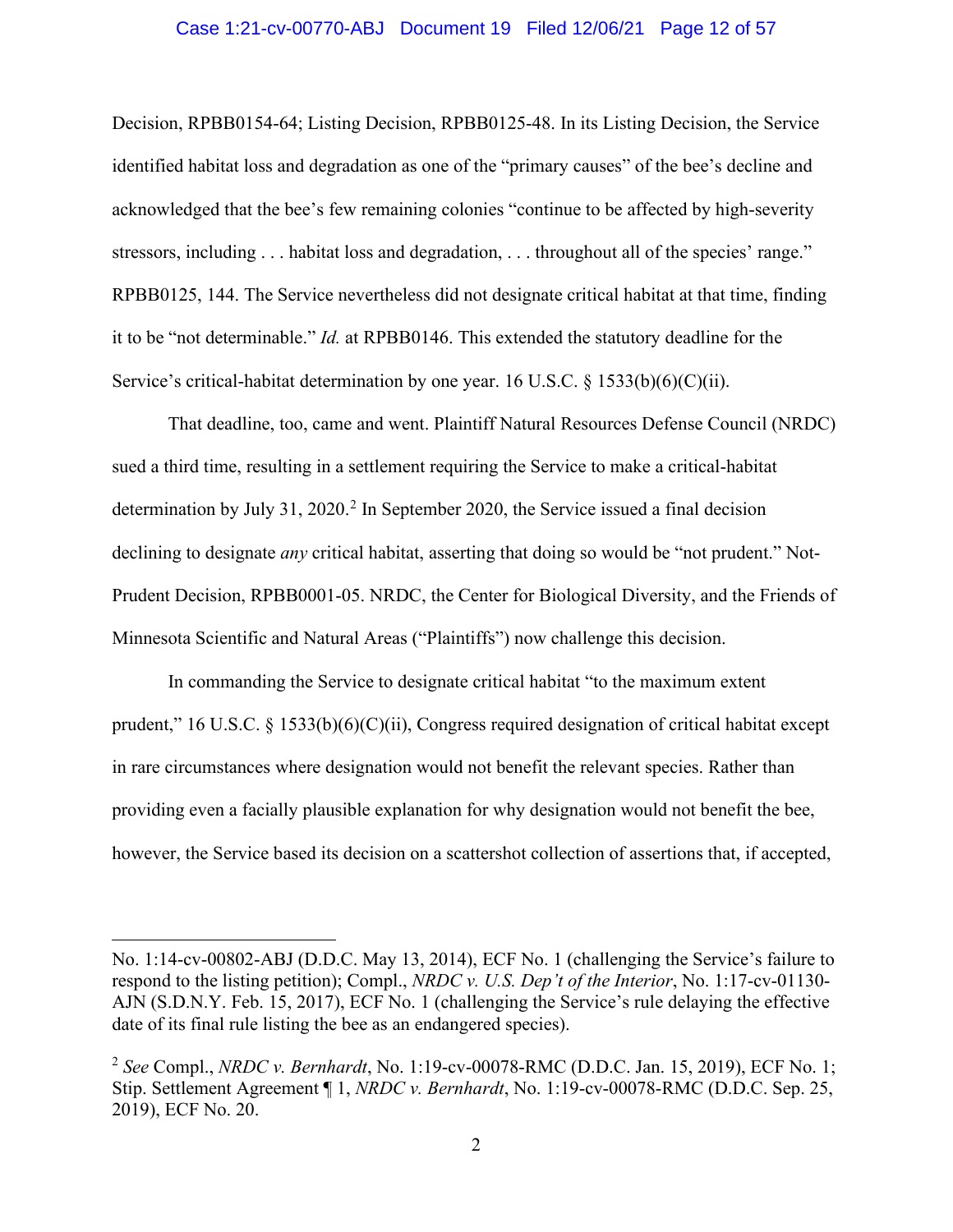#### Case 1:21-cv-00770-ABJ Document 19 Filed 12/06/21 Page 12 of 57

Decision, RPBB0154-64; Listing Decision, RPBB0125-48. In its Listing Decision, the Service identified habitat loss and degradation as one of the "primary causes" of the bee's decline and acknowledged that the bee's few remaining colonies "continue to be affected by high-severity stressors, including . . . habitat loss and degradation, . . . throughout all of the species' range." RPBB0125, 144. The Service nevertheless did not designate critical habitat at that time, finding it to be "not determinable." *Id.* at RPBB0146. This extended the statutory deadline for the Service's critical-habitat determination by one year. 16 U.S.C. § 1533(b)(6)(C)(ii).

That deadline, too, came and went. Plaintiff Natural Resources Defense Council (NRDC) sued a third time, resulting in a settlement requiring the Service to make a critical-habitat determination by July 31, [2](#page-11-0)020.<sup>2</sup> In September 2020, the Service issued a final decision declining to designate *any* critical habitat, asserting that doing so would be "not prudent." Not-Prudent Decision, RPBB0001-05. NRDC, the Center for Biological Diversity, and the Friends of Minnesota Scientific and Natural Areas ("Plaintiffs") now challenge this decision.

In commanding the Service to designate critical habitat "to the maximum extent prudent," 16 U.S.C. § 1533(b)(6)(C)(ii), Congress required designation of critical habitat except in rare circumstances where designation would not benefit the relevant species. Rather than providing even a facially plausible explanation for why designation would not benefit the bee, however, the Service based its decision on a scattershot collection of assertions that, if accepted,

No. 1:14-cv-00802-ABJ (D.D.C. May 13, 2014), ECF No. 1 (challenging the Service's failure to respond to the listing petition); Compl., *NRDC v. U.S. Dep't of the Interior*, No. 1:17-cv-01130- AJN (S.D.N.Y. Feb. 15, 2017), ECF No. 1 (challenging the Service's rule delaying the effective date of its final rule listing the bee as an endangered species).

<span id="page-11-0"></span><sup>2</sup> *See* Compl., *NRDC v. Bernhardt*, No. 1:19-cv-00078-RMC (D.D.C. Jan. 15, 2019), ECF No. 1; Stip. Settlement Agreement ¶ 1, *NRDC v. Bernhardt*, No. 1:19-cv-00078-RMC (D.D.C. Sep. 25, 2019), ECF No. 20.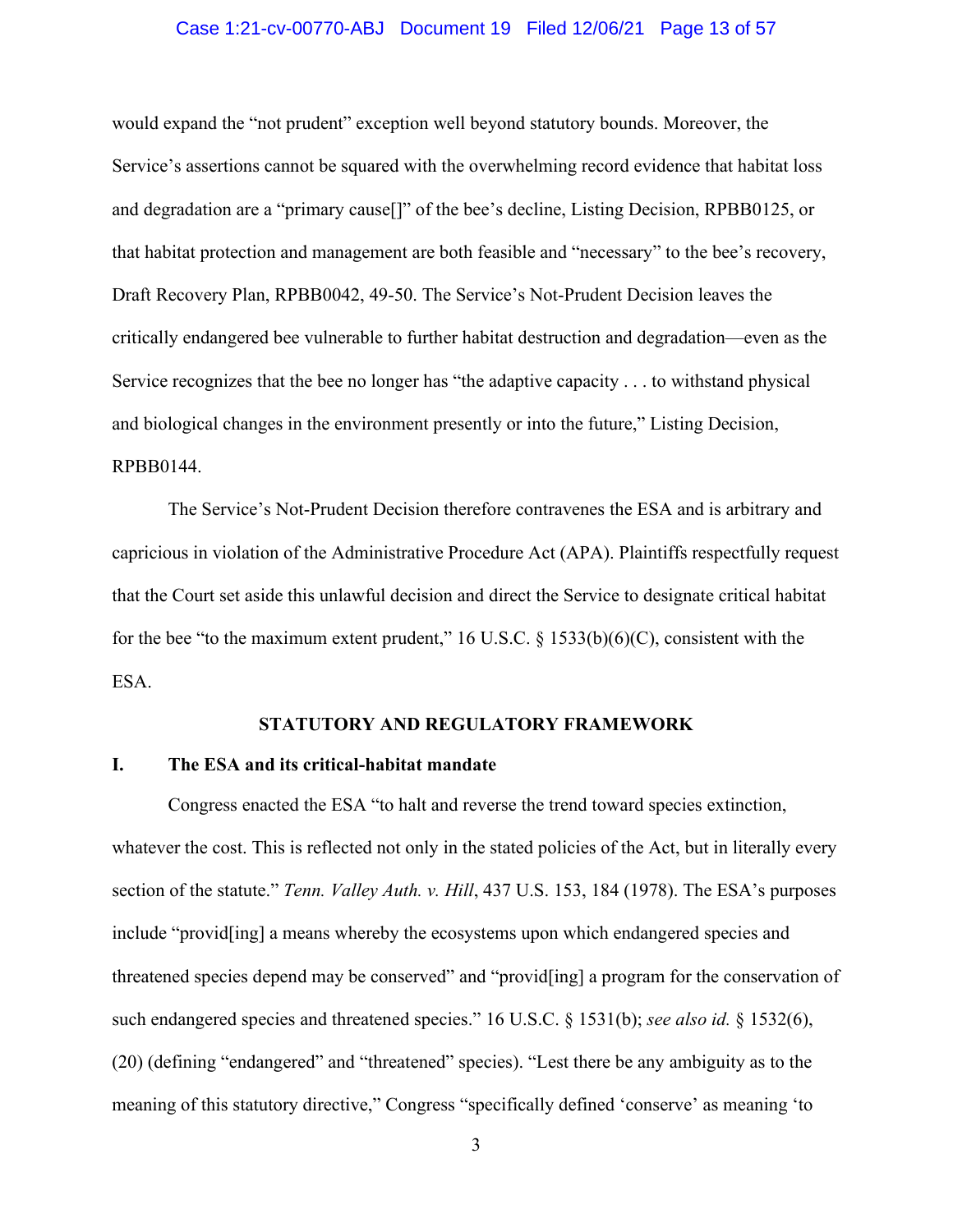#### Case 1:21-cv-00770-ABJ Document 19 Filed 12/06/21 Page 13 of 57

would expand the "not prudent" exception well beyond statutory bounds. Moreover, the Service's assertions cannot be squared with the overwhelming record evidence that habitat loss and degradation are a "primary cause[]" of the bee's decline, Listing Decision, RPBB0125, or that habitat protection and management are both feasible and "necessary" to the bee's recovery, Draft Recovery Plan, RPBB0042, 49-50. The Service's Not-Prudent Decision leaves the critically endangered bee vulnerable to further habitat destruction and degradation—even as the Service recognizes that the bee no longer has "the adaptive capacity . . . to withstand physical and biological changes in the environment presently or into the future," Listing Decision, RPBB0144.

The Service's Not-Prudent Decision therefore contravenes the ESA and is arbitrary and capricious in violation of the Administrative Procedure Act (APA). Plaintiffs respectfully request that the Court set aside this unlawful decision and direct the Service to designate critical habitat for the bee "to the maximum extent prudent," 16 U.S.C.  $\S$  1533(b)(6)(C), consistent with the ESA.

#### **STATUTORY AND REGULATORY FRAMEWORK**

## **I. The ESA and its critical-habitat mandate**

Congress enacted the ESA "to halt and reverse the trend toward species extinction, whatever the cost. This is reflected not only in the stated policies of the Act, but in literally every section of the statute." *Tenn. Valley Auth. v. Hill*, 437 U.S. 153, 184 (1978). The ESA's purposes include "provid[ing] a means whereby the ecosystems upon which endangered species and threatened species depend may be conserved" and "provid[ing] a program for the conservation of such endangered species and threatened species." 16 U.S.C. § 1531(b); *see also id.* § 1532(6), (20) (defining "endangered" and "threatened" species). "Lest there be any ambiguity as to the meaning of this statutory directive," Congress "specifically defined 'conserve' as meaning 'to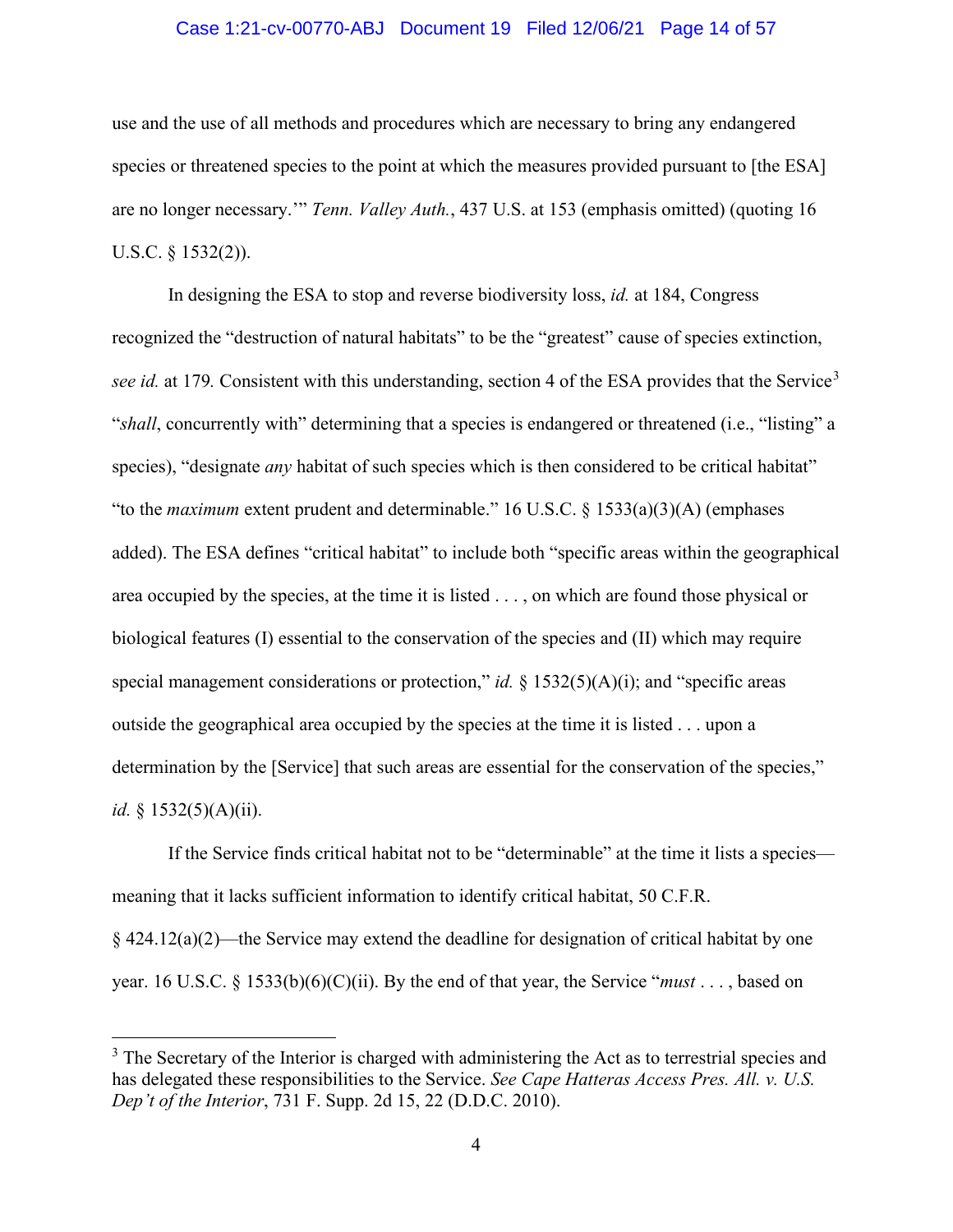#### Case 1:21-cv-00770-ABJ Document 19 Filed 12/06/21 Page 14 of 57

use and the use of all methods and procedures which are necessary to bring any endangered species or threatened species to the point at which the measures provided pursuant to [the ESA] are no longer necessary.'" *Tenn. Valley Auth.*, 437 U.S. at 153 (emphasis omitted) (quoting 16 U.S.C. § 1532(2)).

In designing the ESA to stop and reverse biodiversity loss, *id.* at 184, Congress recognized the "destruction of natural habitats" to be the "greatest" cause of species extinction, *see id.* at 179. Consistent with this understanding, section 4 of the ESA provides that the Service<sup>[3](#page-13-0)</sup> "*shall*, concurrently with" determining that a species is endangered or threatened (i.e., "listing" a species), "designate *any* habitat of such species which is then considered to be critical habitat" "to the *maximum* extent prudent and determinable." 16 U.S.C. § 1533(a)(3)(A) (emphases added). The ESA defines "critical habitat" to include both "specific areas within the geographical area occupied by the species, at the time it is listed . . . , on which are found those physical or biological features (I) essential to the conservation of the species and (II) which may require special management considerations or protection," *id.* § 1532(5)(A)(i); and "specific areas outside the geographical area occupied by the species at the time it is listed . . . upon a determination by the [Service] that such areas are essential for the conservation of the species," *id.* § 1532(5)(A)(ii).

If the Service finds critical habitat not to be "determinable" at the time it lists a species meaning that it lacks sufficient information to identify critical habitat, 50 C.F.R. § 424.12(a)(2)—the Service may extend the deadline for designation of critical habitat by one year. 16 U.S.C. § 1533(b)(6)(C)(ii). By the end of that year, the Service "*must* . . . , based on

<span id="page-13-0"></span><sup>&</sup>lt;sup>3</sup> The Secretary of the Interior is charged with administering the Act as to terrestrial species and has delegated these responsibilities to the Service. *See Cape Hatteras Access Pres. All. v. U.S. Dep't of the Interior*, 731 F. Supp. 2d 15, 22 (D.D.C. 2010).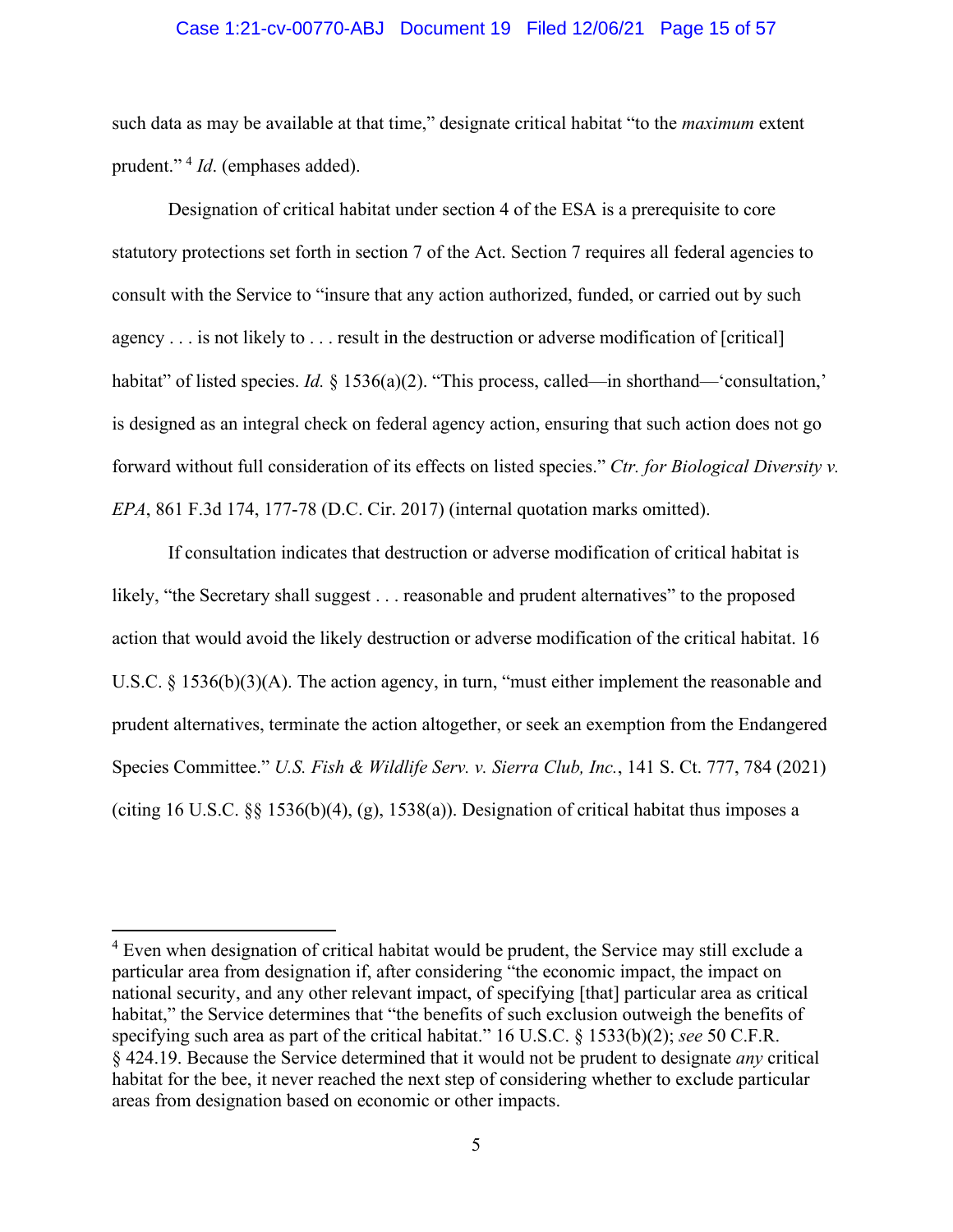#### Case 1:21-cv-00770-ABJ Document 19 Filed 12/06/21 Page 15 of 57

such data as may be available at that time," designate critical habitat "to the *maximum* extent prudent." [4](#page-14-0) *Id*. (emphases added).

Designation of critical habitat under section 4 of the ESA is a prerequisite to core statutory protections set forth in section 7 of the Act. Section 7 requires all federal agencies to consult with the Service to "insure that any action authorized, funded, or carried out by such agency . . . is not likely to . . . result in the destruction or adverse modification of [critical] habitat" of listed species. *Id.* § 1536(a)(2). "This process, called—in shorthand—'consultation," is designed as an integral check on federal agency action, ensuring that such action does not go forward without full consideration of its effects on listed species." *Ctr. for Biological Diversity v. EPA*, 861 F.3d 174, 177-78 (D.C. Cir. 2017) (internal quotation marks omitted).

If consultation indicates that destruction or adverse modification of critical habitat is likely, "the Secretary shall suggest . . . reasonable and prudent alternatives" to the proposed action that would avoid the likely destruction or adverse modification of the critical habitat. 16 U.S.C. § 1536(b)(3)(A). The action agency, in turn, "must either implement the reasonable and prudent alternatives, terminate the action altogether, or seek an exemption from the Endangered Species Committee." *U.S. Fish & Wildlife Serv. v. Sierra Club, Inc.*, 141 S. Ct. 777, 784 (2021) (citing 16 U.S.C. §§ 1536(b)(4), (g), 1538(a)). Designation of critical habitat thus imposes a

<span id="page-14-0"></span><sup>&</sup>lt;sup>4</sup> Even when designation of critical habitat would be prudent, the Service may still exclude a particular area from designation if, after considering "the economic impact, the impact on national security, and any other relevant impact, of specifying [that] particular area as critical habitat," the Service determines that "the benefits of such exclusion outweigh the benefits of specifying such area as part of the critical habitat." 16 U.S.C. § 1533(b)(2); *see* 50 C.F.R. § 424.19. Because the Service determined that it would not be prudent to designate *any* critical habitat for the bee, it never reached the next step of considering whether to exclude particular areas from designation based on economic or other impacts.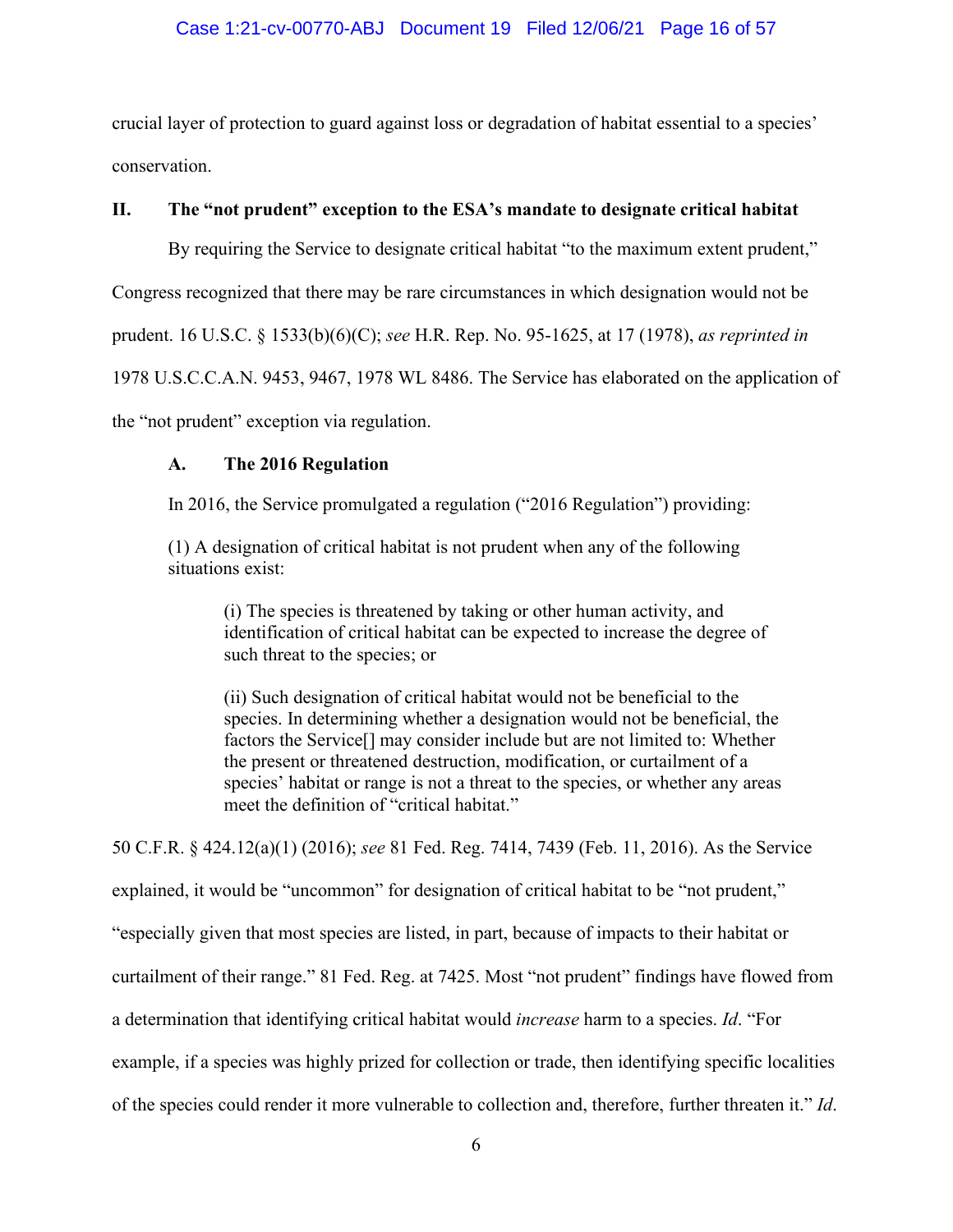## Case 1:21-cv-00770-ABJ Document 19 Filed 12/06/21 Page 16 of 57

crucial layer of protection to guard against loss or degradation of habitat essential to a species' conservation.

## **II. The "not prudent" exception to the ESA's mandate to designate critical habitat**

By requiring the Service to designate critical habitat "to the maximum extent prudent,"

Congress recognized that there may be rare circumstances in which designation would not be

prudent. 16 U.S.C. § 1533(b)(6)(C); *see* H.R. Rep. No. 95-1625, at 17 (1978), *as reprinted in* 

1978 U.S.C.C.A.N. 9453, 9467, 1978 WL 8486. The Service has elaborated on the application of

the "not prudent" exception via regulation.

## **A. The 2016 Regulation**

In 2016, the Service promulgated a regulation ("2016 Regulation") providing:

(1) A designation of critical habitat is not prudent when any of the following situations exist:

(i) The species is threatened by taking or other human activity, and identification of critical habitat can be expected to increase the degree of such threat to the species; or

(ii) Such designation of critical habitat would not be beneficial to the species. In determining whether a designation would not be beneficial, the factors the Service[] may consider include but are not limited to: Whether the present or threatened destruction, modification, or curtailment of a species' habitat or range is not a threat to the species, or whether any areas meet the definition of "critical habitat."

50 C.F.R. § 424.12(a)(1) (2016); *see* 81 Fed. Reg. 7414, 7439 (Feb. 11, 2016). As the Service explained, it would be "uncommon" for designation of critical habitat to be "not prudent," "especially given that most species are listed, in part, because of impacts to their habitat or curtailment of their range." 81 Fed. Reg. at 7425. Most "not prudent" findings have flowed from a determination that identifying critical habitat would *increase* harm to a species. *Id*. "For example, if a species was highly prized for collection or trade, then identifying specific localities

of the species could render it more vulnerable to collection and, therefore, further threaten it." *Id*.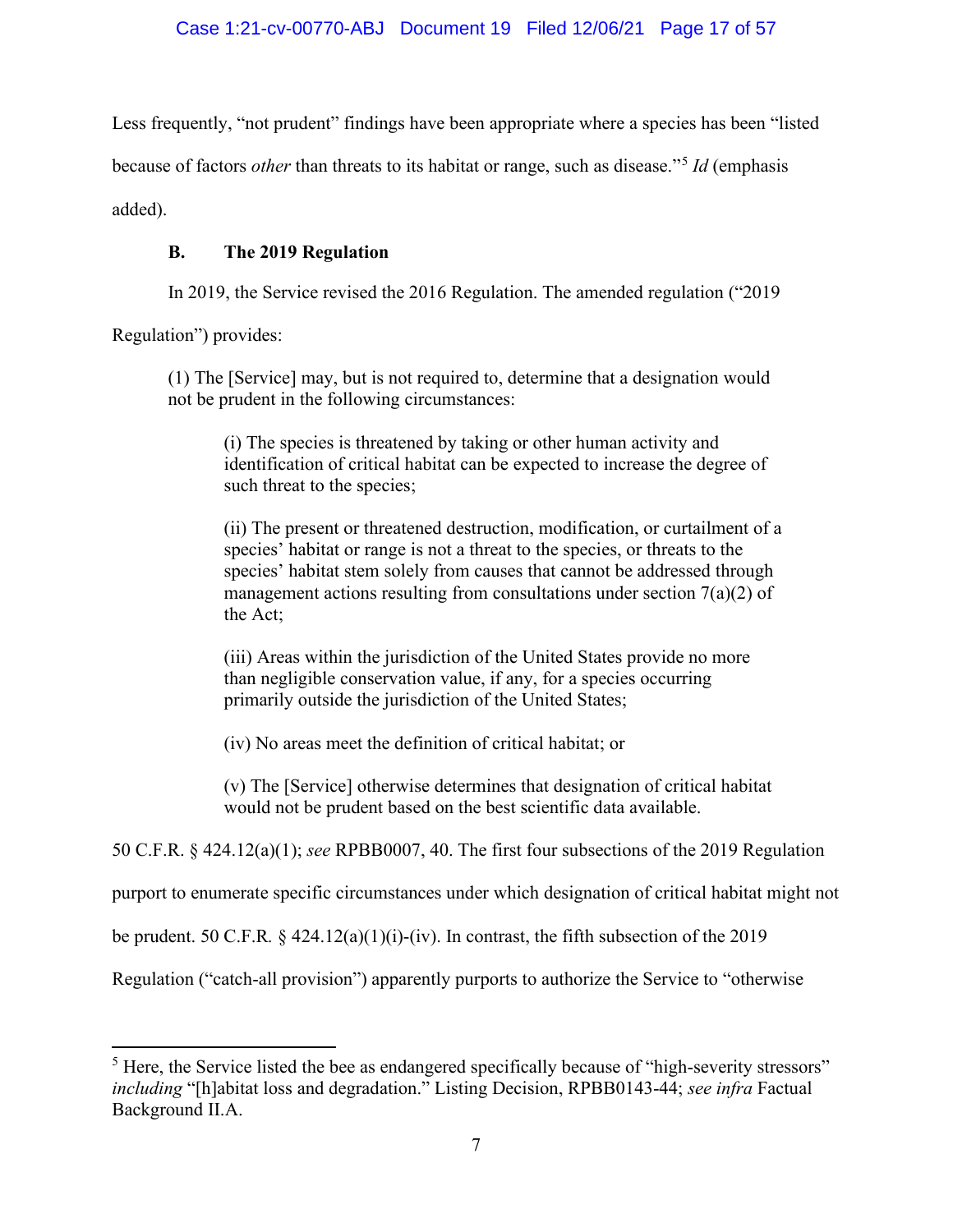Less frequently, "not prudent" findings have been appropriate where a species has been "listed because of factors *other* than threats to its habitat or range, such as disease."[5](#page-16-0) *Id* (emphasis added).

## **B. The 2019 Regulation**

In 2019, the Service revised the 2016 Regulation. The amended regulation ("2019

Regulation") provides:

(1) The [Service] may, but is not required to, determine that a designation would not be prudent in the following circumstances:

(i) The species is threatened by taking or other human activity and identification of critical habitat can be expected to increase the degree of such threat to the species;

(ii) The present or threatened destruction, modification, or curtailment of a species' habitat or range is not a threat to the species, or threats to the species' habitat stem solely from causes that cannot be addressed through management actions resulting from consultations under section  $7(a)(2)$  of the Act;

(iii) Areas within the jurisdiction of the United States provide no more than negligible conservation value, if any, for a species occurring primarily outside the jurisdiction of the United States;

(iv) No areas meet the definition of critical habitat; or

(v) The [Service] otherwise determines that designation of critical habitat would not be prudent based on the best scientific data available.

50 C.F.R. § 424.12(a)(1); *see* RPBB0007, 40. The first four subsections of the 2019 Regulation

purport to enumerate specific circumstances under which designation of critical habitat might not

be prudent. 50 C.F.R.  $\S$  424.12(a)(1)(i)-(iv). In contrast, the fifth subsection of the 2019

Regulation ("catch-all provision") apparently purports to authorize the Service to "otherwise

<span id="page-16-0"></span><sup>&</sup>lt;sup>5</sup> Here, the Service listed the bee as endangered specifically because of "high-severity stressors" *including* "[h]abitat loss and degradation." Listing Decision, RPBB0143-44; *see infra* Factual Background II.A.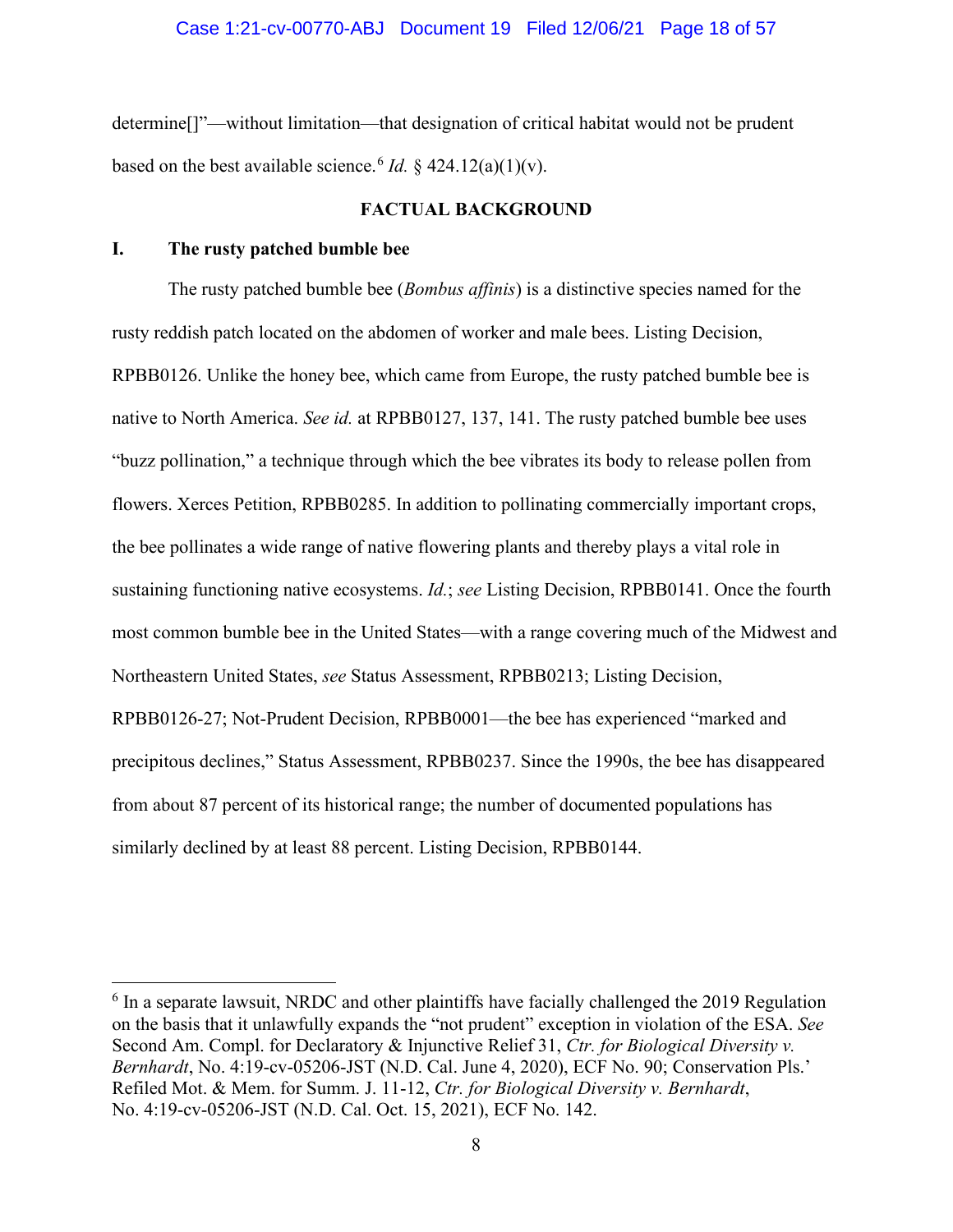determine[]"—without limitation—that designation of critical habitat would not be prudent based on the best available science.<sup>[6](#page-17-0)</sup> *Id.* § 424.12(a)(1)(v).

#### **FACTUAL BACKGROUND**

#### **I. The rusty patched bumble bee**

The rusty patched bumble bee (*Bombus affinis*) is a distinctive species named for the rusty reddish patch located on the abdomen of worker and male bees. Listing Decision, RPBB0126. Unlike the honey bee, which came from Europe, the rusty patched bumble bee is native to North America. *See id.* at RPBB0127, 137, 141. The rusty patched bumble bee uses "buzz pollination," a technique through which the bee vibrates its body to release pollen from flowers. Xerces Petition, RPBB0285. In addition to pollinating commercially important crops, the bee pollinates a wide range of native flowering plants and thereby plays a vital role in sustaining functioning native ecosystems. *Id.*; *see* Listing Decision, RPBB0141. Once the fourth most common bumble bee in the United States—with a range covering much of the Midwest and Northeastern United States, *see* Status Assessment, RPBB0213; Listing Decision, RPBB0126-27; Not-Prudent Decision, RPBB0001—the bee has experienced "marked and precipitous declines," Status Assessment, RPBB0237. Since the 1990s, the bee has disappeared from about 87 percent of its historical range; the number of documented populations has similarly declined by at least 88 percent. Listing Decision, RPBB0144.

<span id="page-17-0"></span> $6$  In a separate lawsuit, NRDC and other plaintiffs have facially challenged the 2019 Regulation on the basis that it unlawfully expands the "not prudent" exception in violation of the ESA. *See* Second Am. Compl. for Declaratory & Injunctive Relief 31, *Ctr. for Biological Diversity v. Bernhardt*, No. 4:19-cv-05206-JST (N.D. Cal. June 4, 2020), ECF No. 90; Conservation Pls.' Refiled Mot. & Mem. for Summ. J. 11-12, *Ctr. for Biological Diversity v. Bernhardt*, No. 4:19-cv-05206-JST (N.D. Cal. Oct. 15, 2021), ECF No. 142.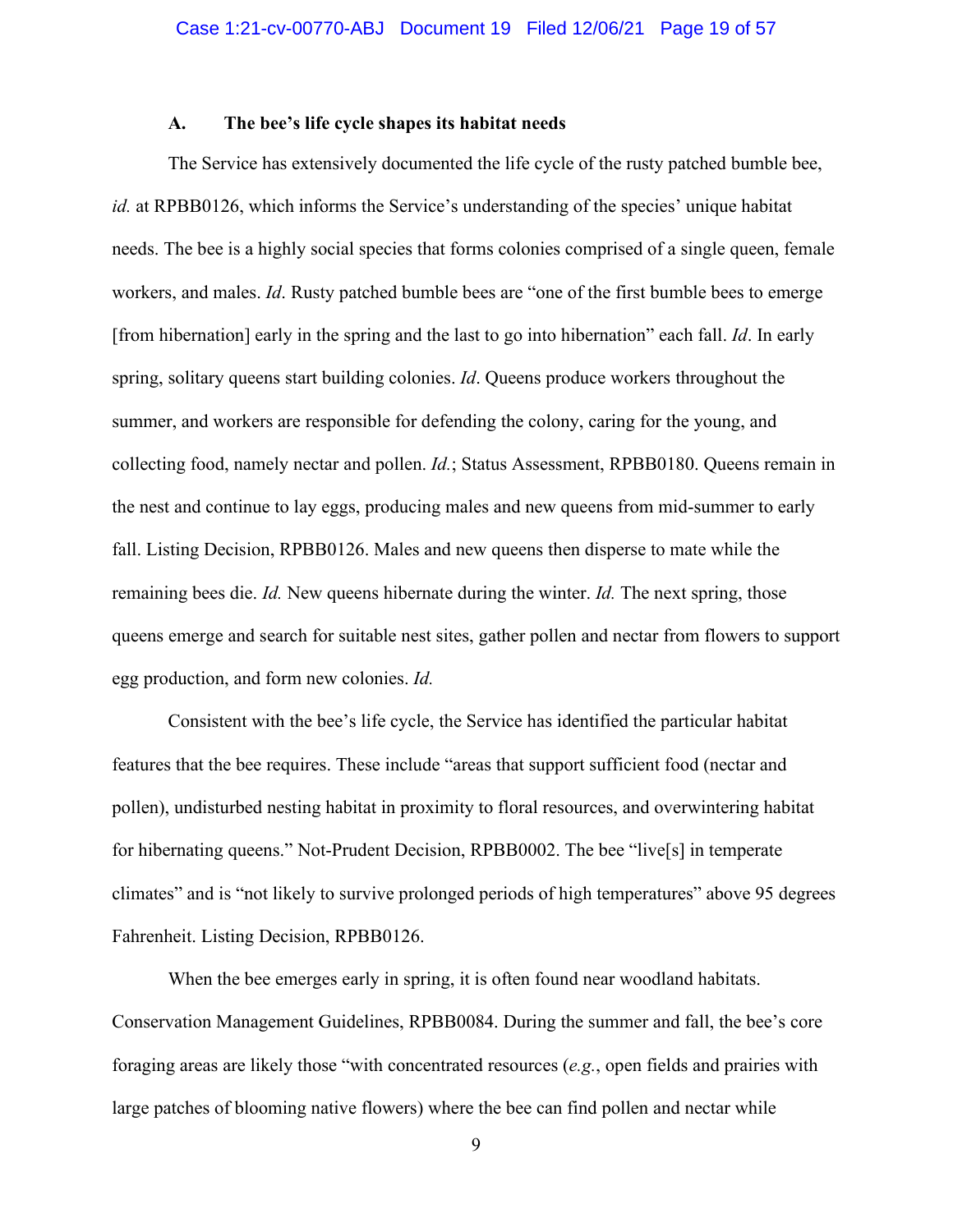#### **A. The bee's life cycle shapes its habitat needs**

The Service has extensively documented the life cycle of the rusty patched bumble bee, *id.* at RPBB0126, which informs the Service's understanding of the species' unique habitat needs. The bee is a highly social species that forms colonies comprised of a single queen, female workers, and males. *Id*. Rusty patched bumble bees are "one of the first bumble bees to emerge [from hibernation] early in the spring and the last to go into hibernation" each fall. *Id*. In early spring, solitary queens start building colonies. *Id*. Queens produce workers throughout the summer, and workers are responsible for defending the colony, caring for the young, and collecting food, namely nectar and pollen. *Id.*; Status Assessment, RPBB0180. Queens remain in the nest and continue to lay eggs, producing males and new queens from mid-summer to early fall. Listing Decision, RPBB0126. Males and new queens then disperse to mate while the remaining bees die. *Id.* New queens hibernate during the winter. *Id.* The next spring, those queens emerge and search for suitable nest sites, gather pollen and nectar from flowers to support egg production, and form new colonies. *Id.*

Consistent with the bee's life cycle, the Service has identified the particular habitat features that the bee requires. These include "areas that support sufficient food (nectar and pollen), undisturbed nesting habitat in proximity to floral resources, and overwintering habitat for hibernating queens." Not-Prudent Decision, RPBB0002. The bee "live[s] in temperate climates" and is "not likely to survive prolonged periods of high temperatures" above 95 degrees Fahrenheit. Listing Decision, RPBB0126.

When the bee emerges early in spring, it is often found near woodland habitats. Conservation Management Guidelines, RPBB0084. During the summer and fall, the bee's core foraging areas are likely those "with concentrated resources (*e.g.*, open fields and prairies with large patches of blooming native flowers) where the bee can find pollen and nectar while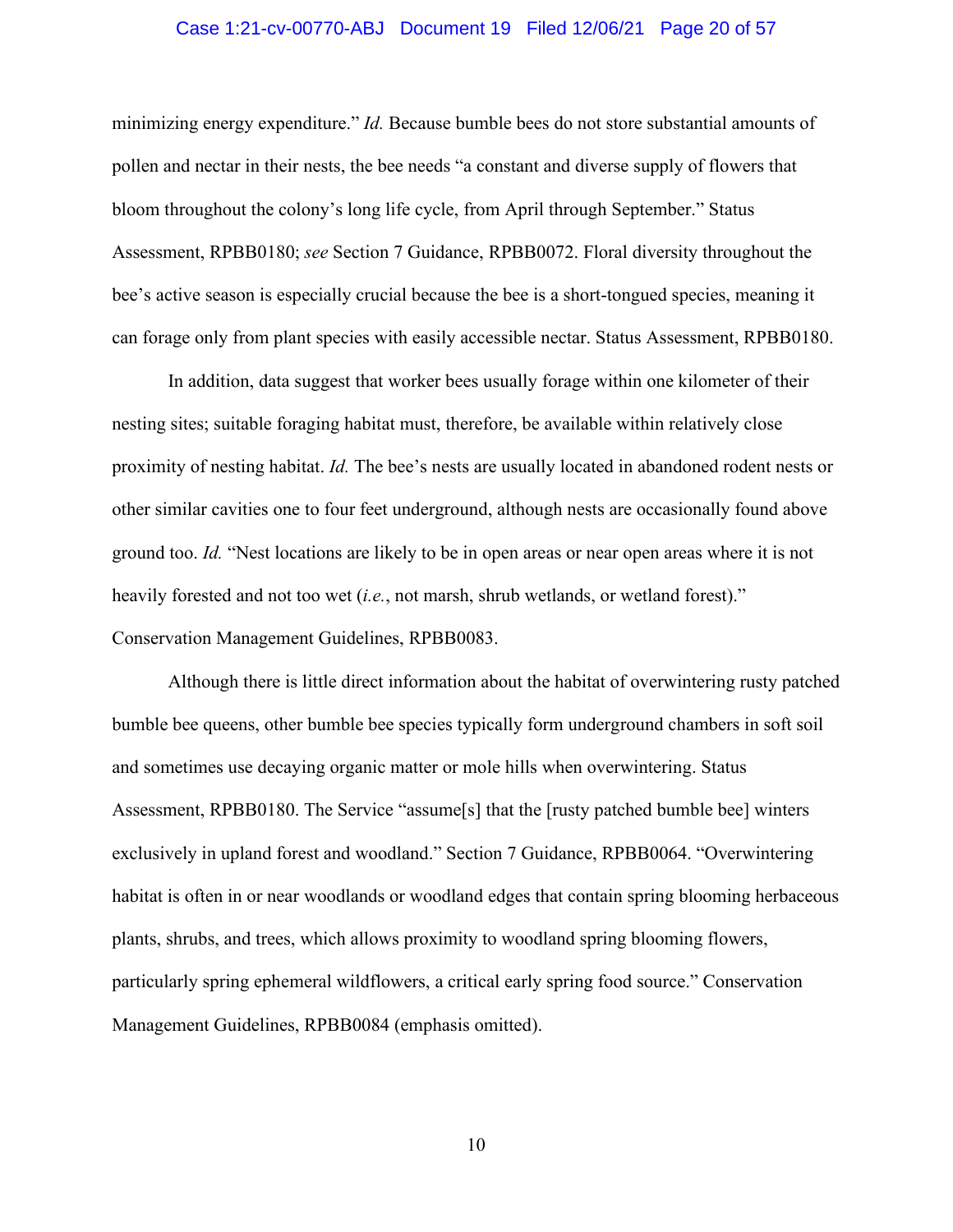#### Case 1:21-cv-00770-ABJ Document 19 Filed 12/06/21 Page 20 of 57

minimizing energy expenditure." *Id.* Because bumble bees do not store substantial amounts of pollen and nectar in their nests, the bee needs "a constant and diverse supply of flowers that bloom throughout the colony's long life cycle, from April through September." Status Assessment, RPBB0180; *see* Section 7 Guidance, RPBB0072. Floral diversity throughout the bee's active season is especially crucial because the bee is a short-tongued species, meaning it can forage only from plant species with easily accessible nectar. Status Assessment, RPBB0180.

In addition, data suggest that worker bees usually forage within one kilometer of their nesting sites; suitable foraging habitat must, therefore, be available within relatively close proximity of nesting habitat. *Id.* The bee's nests are usually located in abandoned rodent nests or other similar cavities one to four feet underground, although nests are occasionally found above ground too. *Id.* "Nest locations are likely to be in open areas or near open areas where it is not heavily forested and not too wet (*i.e.*, not marsh, shrub wetlands, or wetland forest)." Conservation Management Guidelines, RPBB0083.

Although there is little direct information about the habitat of overwintering rusty patched bumble bee queens, other bumble bee species typically form underground chambers in soft soil and sometimes use decaying organic matter or mole hills when overwintering. Status Assessment, RPBB0180. The Service "assume[s] that the [rusty patched bumble bee] winters exclusively in upland forest and woodland." Section 7 Guidance, RPBB0064. "Overwintering habitat is often in or near woodlands or woodland edges that contain spring blooming herbaceous plants, shrubs, and trees, which allows proximity to woodland spring blooming flowers, particularly spring ephemeral wildflowers, a critical early spring food source." Conservation Management Guidelines, RPBB0084 (emphasis omitted).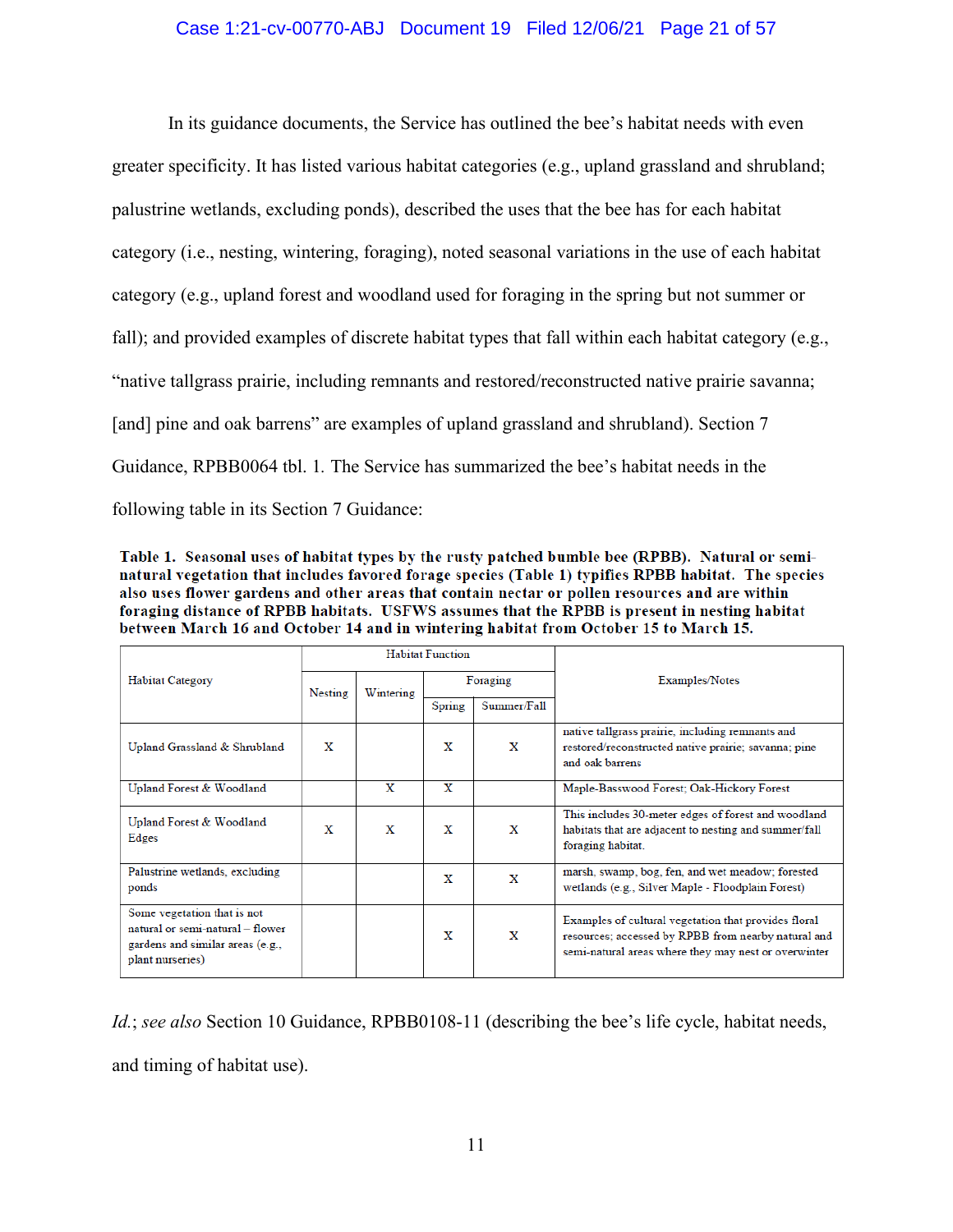## Case 1:21-cv-00770-ABJ Document 19 Filed 12/06/21 Page 21 of 57

In its guidance documents, the Service has outlined the bee's habitat needs with even greater specificity. It has listed various habitat categories (e.g., upland grassland and shrubland; palustrine wetlands, excluding ponds), described the uses that the bee has for each habitat category (i.e., nesting, wintering, foraging), noted seasonal variations in the use of each habitat category (e.g., upland forest and woodland used for foraging in the spring but not summer or fall); and provided examples of discrete habitat types that fall within each habitat category (e.g., "native tallgrass prairie, including remnants and restored/reconstructed native prairie savanna; [and] pine and oak barrens" are examples of upland grassland and shrubland). Section 7 Guidance, RPBB0064 tbl. 1*.* The Service has summarized the bee's habitat needs in the following table in its Section 7 Guidance:

Table 1. Seasonal uses of habitat types by the rusty patched bumble bee (RPBB). Natural or seminatural vegetation that includes favored forage species (Table 1) typifies RPBB habitat. The species also uses flower gardens and other areas that contain nectar or pollen resources and are within foraging distance of RPBB habitats. USFWS assumes that the RPBB is present in nesting habitat between March 16 and October 14 and in wintering habitat from October 15 to March 15.

|                                                                                                                         | <b>Habitat Function</b> |           |          |             |                                                                                                                                                                     |
|-------------------------------------------------------------------------------------------------------------------------|-------------------------|-----------|----------|-------------|---------------------------------------------------------------------------------------------------------------------------------------------------------------------|
| Habitat Category                                                                                                        | <b>Nesting</b>          | Wintering | Foraging |             | Examples/Notes                                                                                                                                                      |
|                                                                                                                         |                         |           | Spring   | Summer/Fall |                                                                                                                                                                     |
| Upland Grassland & Shrubland                                                                                            | X                       |           | X        | X           | native tallgrass prairie, including remnants and<br>restored/reconstructed native prairie; savanna; pine<br>and oak barrens                                         |
| Upland Forest & Woodland                                                                                                |                         | X         | X        |             | Maple-Basswood Forest; Oak-Hickory Forest                                                                                                                           |
| Upland Forest & Woodland<br>Edges                                                                                       | x                       | X         | X        | X           | This includes 30-meter edges of forest and woodland<br>habitats that are adjacent to nesting and summer/fall<br>foraging habitat.                                   |
| Palustrine wetlands, excluding<br>ponds                                                                                 |                         |           | x        | X           | marsh, swamp, bog, fen, and wet meadow; forested<br>wetlands (e.g., Silver Maple - Floodplain Forest)                                                               |
| Some vegetation that is not<br>natural or semi-natural - flower<br>gardens and similar areas (e.g.,<br>plant nurseries) |                         |           | х        | X           | Examples of cultural vegetation that provides floral<br>resources; accessed by RPBB from nearby natural and<br>semi-natural areas where they may nest or overwinter |

*Id.*; *see also* Section 10 Guidance, RPBB0108-11 (describing the bee's life cycle, habitat needs, and timing of habitat use).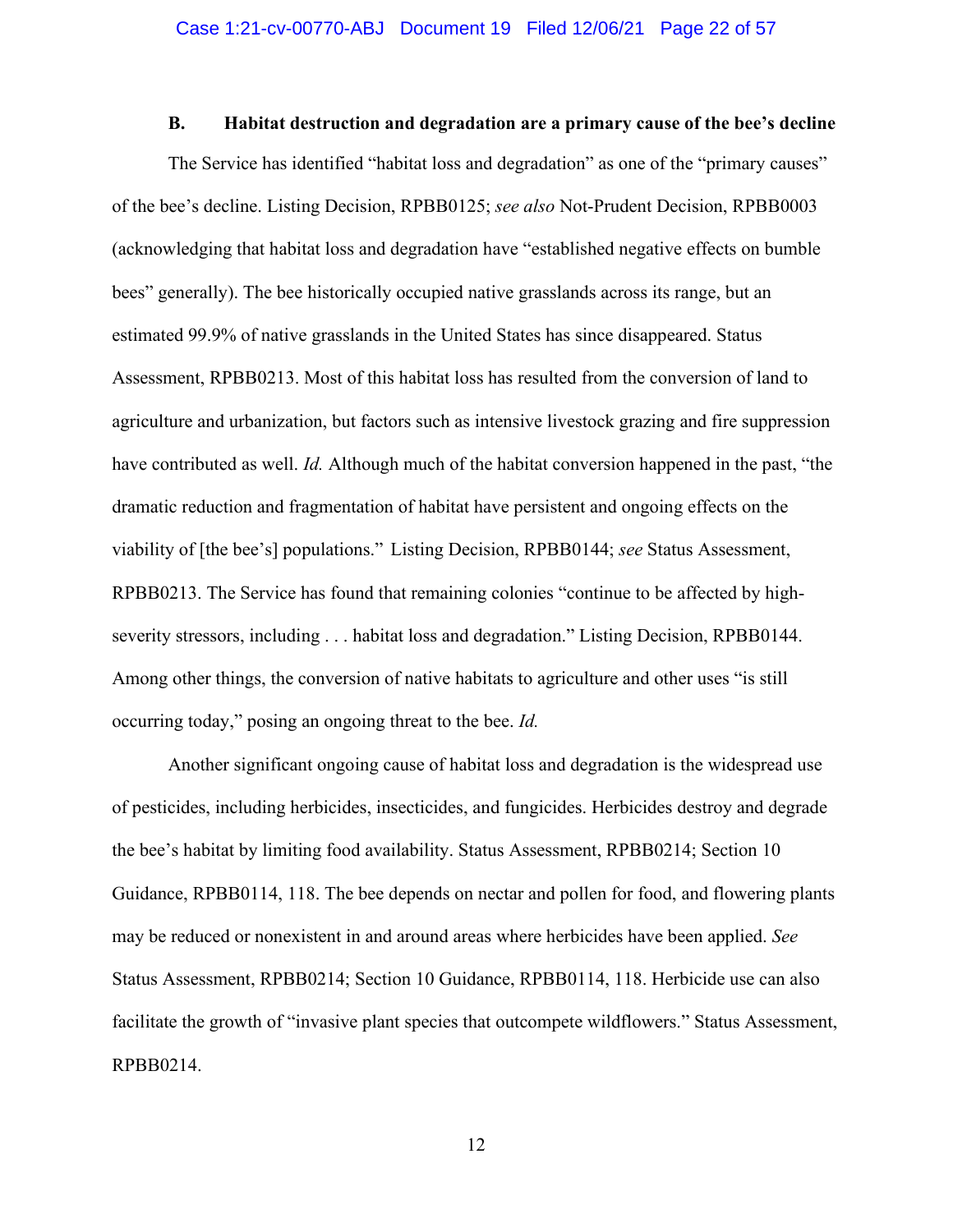#### **B. Habitat destruction and degradation are a primary cause of the bee's decline**

The Service has identified "habitat loss and degradation" as one of the "primary causes" of the bee's decline. Listing Decision, RPBB0125; *see also* Not-Prudent Decision, RPBB0003 (acknowledging that habitat loss and degradation have "established negative effects on bumble bees" generally). The bee historically occupied native grasslands across its range, but an estimated 99.9% of native grasslands in the United States has since disappeared. Status Assessment, RPBB0213. Most of this habitat loss has resulted from the conversion of land to agriculture and urbanization, but factors such as intensive livestock grazing and fire suppression have contributed as well. *Id.* Although much of the habitat conversion happened in the past, "the dramatic reduction and fragmentation of habitat have persistent and ongoing effects on the viability of [the bee's] populations." Listing Decision, RPBB0144; *see* Status Assessment, RPBB0213. The Service has found that remaining colonies "continue to be affected by highseverity stressors, including . . . habitat loss and degradation." Listing Decision, RPBB0144. Among other things, the conversion of native habitats to agriculture and other uses "is still occurring today," posing an ongoing threat to the bee. *Id.*

Another significant ongoing cause of habitat loss and degradation is the widespread use of pesticides, including herbicides, insecticides, and fungicides. Herbicides destroy and degrade the bee's habitat by limiting food availability. Status Assessment, RPBB0214; Section 10 Guidance, RPBB0114, 118. The bee depends on nectar and pollen for food, and flowering plants may be reduced or nonexistent in and around areas where herbicides have been applied. *See*  Status Assessment, RPBB0214; Section 10 Guidance, RPBB0114, 118. Herbicide use can also facilitate the growth of "invasive plant species that outcompete wildflowers." Status Assessment, RPBB0214.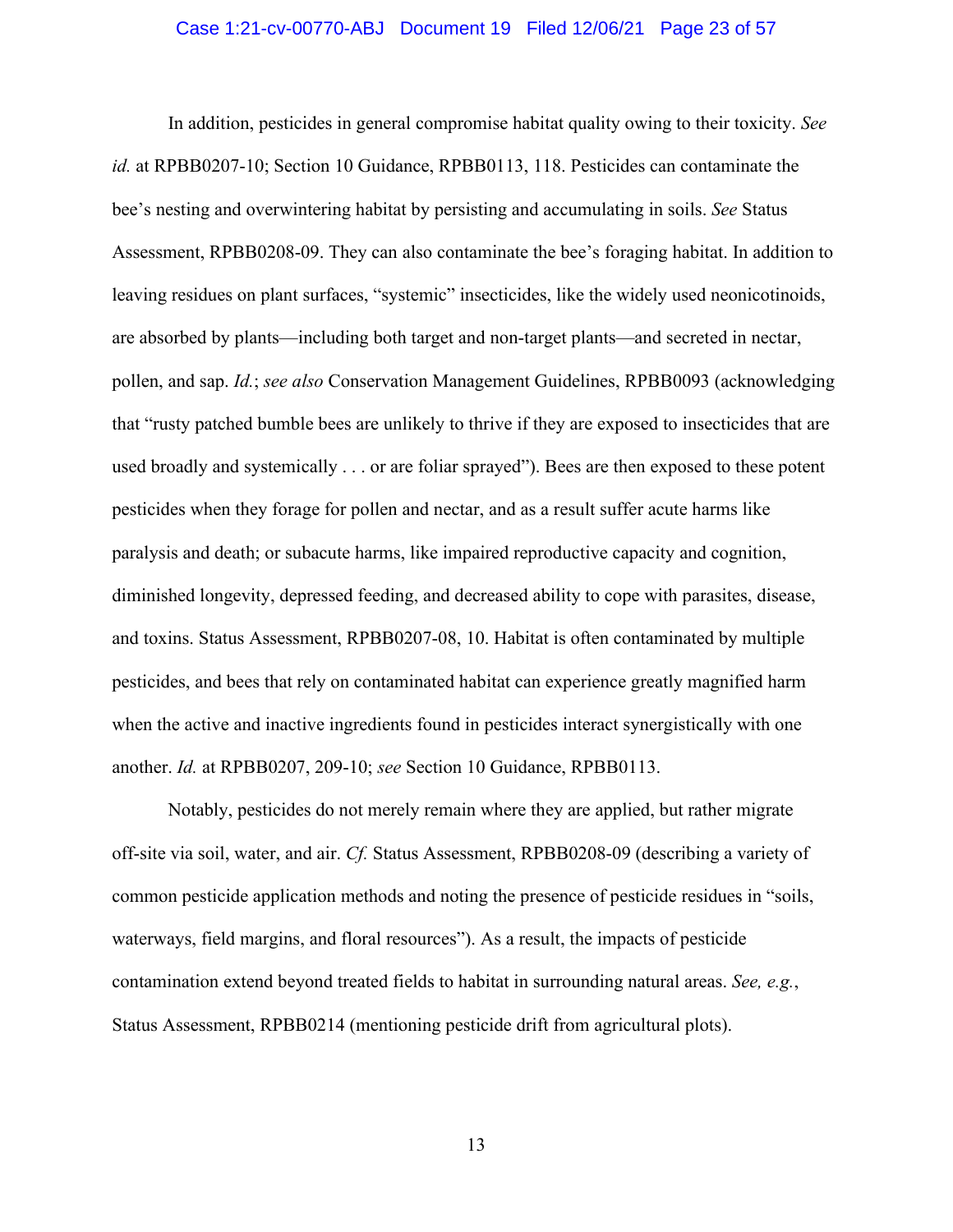#### Case 1:21-cv-00770-ABJ Document 19 Filed 12/06/21 Page 23 of 57

In addition, pesticides in general compromise habitat quality owing to their toxicity. *See id.* at RPBB0207-10; Section 10 Guidance, RPBB0113, 118. Pesticides can contaminate the bee's nesting and overwintering habitat by persisting and accumulating in soils. *See* Status Assessment, RPBB0208-09. They can also contaminate the bee's foraging habitat. In addition to leaving residues on plant surfaces, "systemic" insecticides, like the widely used neonicotinoids, are absorbed by plants—including both target and non-target plants—and secreted in nectar, pollen, and sap. *Id.*; *see also* Conservation Management Guidelines, RPBB0093 (acknowledging that "rusty patched bumble bees are unlikely to thrive if they are exposed to insecticides that are used broadly and systemically . . . or are foliar sprayed"). Bees are then exposed to these potent pesticides when they forage for pollen and nectar, and as a result suffer acute harms like paralysis and death; or subacute harms, like impaired reproductive capacity and cognition, diminished longevity, depressed feeding, and decreased ability to cope with parasites, disease, and toxins. Status Assessment, RPBB0207-08, 10. Habitat is often contaminated by multiple pesticides, and bees that rely on contaminated habitat can experience greatly magnified harm when the active and inactive ingredients found in pesticides interact synergistically with one another. *Id.* at RPBB0207, 209-10; *see* Section 10 Guidance, RPBB0113.

Notably, pesticides do not merely remain where they are applied, but rather migrate off-site via soil, water, and air. *Cf.* Status Assessment, RPBB0208-09 (describing a variety of common pesticide application methods and noting the presence of pesticide residues in "soils, waterways, field margins, and floral resources"). As a result, the impacts of pesticide contamination extend beyond treated fields to habitat in surrounding natural areas. *See, e.g.*, Status Assessment, RPBB0214 (mentioning pesticide drift from agricultural plots).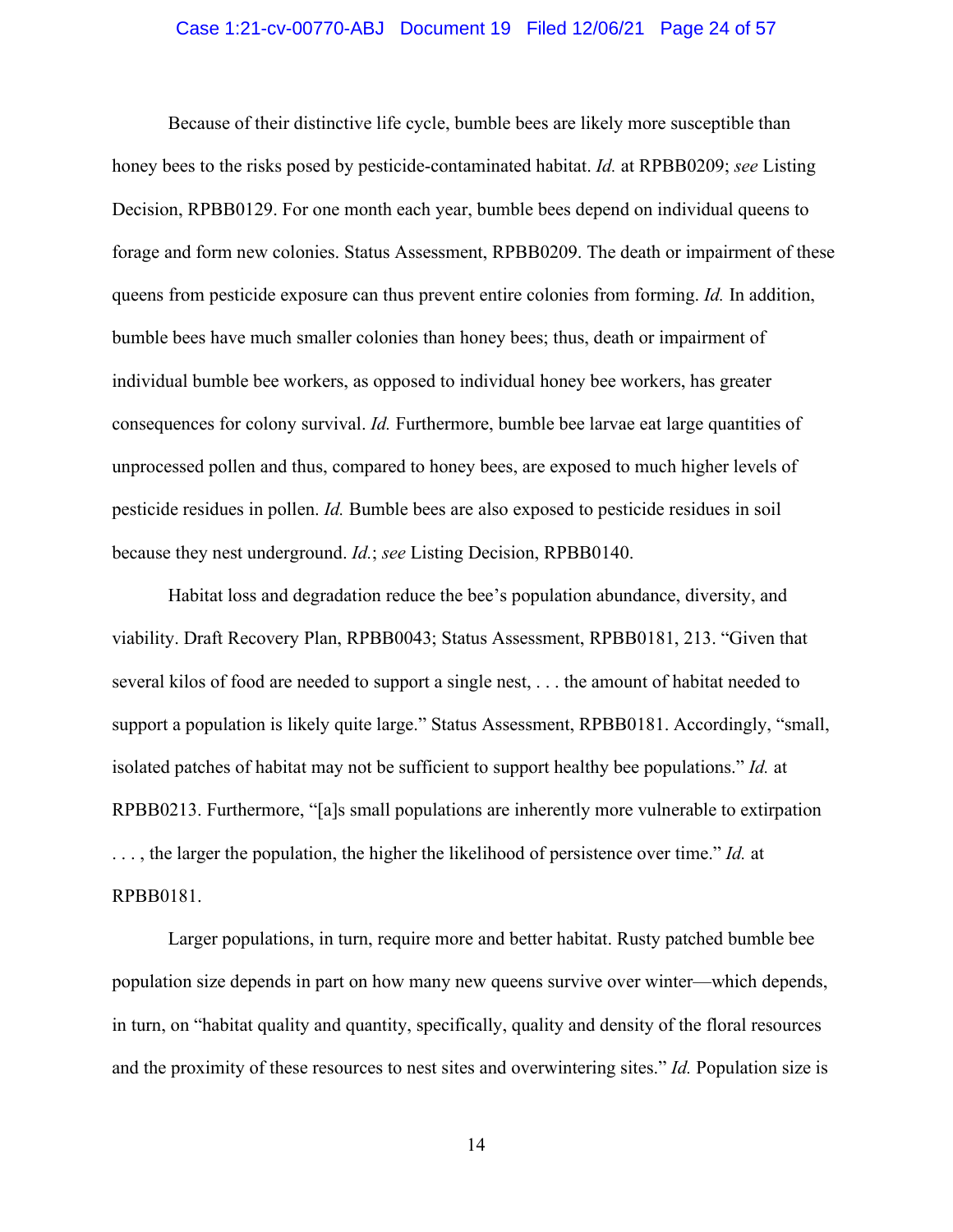#### Case 1:21-cv-00770-ABJ Document 19 Filed 12/06/21 Page 24 of 57

Because of their distinctive life cycle, bumble bees are likely more susceptible than honey bees to the risks posed by pesticide-contaminated habitat. *Id.* at RPBB0209; *see* Listing Decision, RPBB0129. For one month each year, bumble bees depend on individual queens to forage and form new colonies. Status Assessment, RPBB0209. The death or impairment of these queens from pesticide exposure can thus prevent entire colonies from forming. *Id.* In addition, bumble bees have much smaller colonies than honey bees; thus, death or impairment of individual bumble bee workers, as opposed to individual honey bee workers, has greater consequences for colony survival. *Id.* Furthermore, bumble bee larvae eat large quantities of unprocessed pollen and thus, compared to honey bees, are exposed to much higher levels of pesticide residues in pollen. *Id.* Bumble bees are also exposed to pesticide residues in soil because they nest underground. *Id.*; *see* Listing Decision, RPBB0140.

Habitat loss and degradation reduce the bee's population abundance, diversity, and viability. Draft Recovery Plan, RPBB0043; Status Assessment, RPBB0181, 213. "Given that several kilos of food are needed to support a single nest, . . . the amount of habitat needed to support a population is likely quite large." Status Assessment, RPBB0181. Accordingly, "small, isolated patches of habitat may not be sufficient to support healthy bee populations." *Id.* at RPBB0213. Furthermore, "[a]s small populations are inherently more vulnerable to extirpation . . . , the larger the population, the higher the likelihood of persistence over time." *Id.* at RPBB0181.

Larger populations, in turn, require more and better habitat. Rusty patched bumble bee population size depends in part on how many new queens survive over winter—which depends, in turn, on "habitat quality and quantity, specifically, quality and density of the floral resources and the proximity of these resources to nest sites and overwintering sites." *Id.* Population size is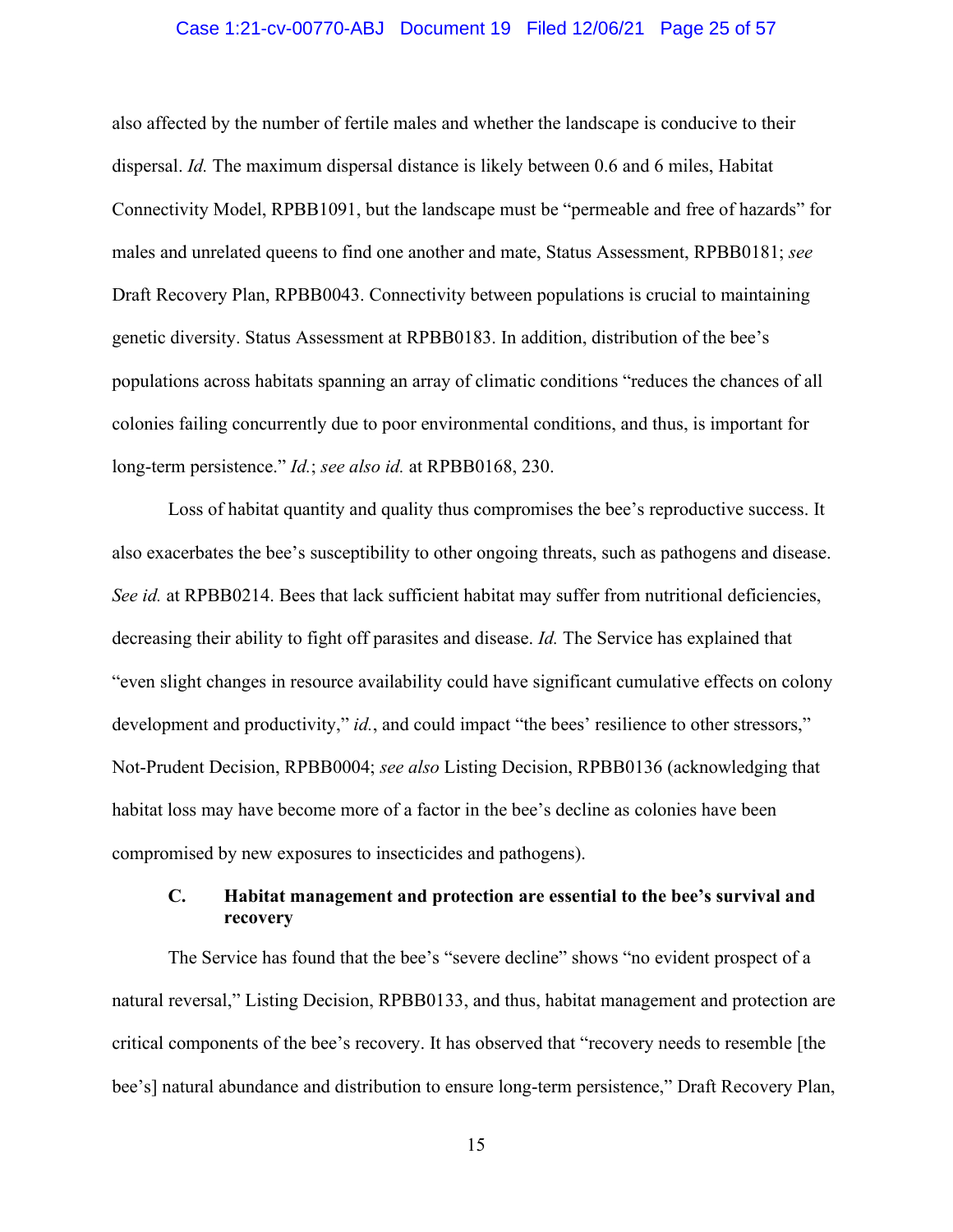#### Case 1:21-cv-00770-ABJ Document 19 Filed 12/06/21 Page 25 of 57

also affected by the number of fertile males and whether the landscape is conducive to their dispersal. *Id.* The maximum dispersal distance is likely between 0.6 and 6 miles, Habitat Connectivity Model, RPBB1091, but the landscape must be "permeable and free of hazards" for males and unrelated queens to find one another and mate, Status Assessment, RPBB0181; *see*  Draft Recovery Plan, RPBB0043. Connectivity between populations is crucial to maintaining genetic diversity. Status Assessment at RPBB0183. In addition, distribution of the bee's populations across habitats spanning an array of climatic conditions "reduces the chances of all colonies failing concurrently due to poor environmental conditions, and thus, is important for long-term persistence." *Id.*; *see also id.* at RPBB0168, 230.

Loss of habitat quantity and quality thus compromises the bee's reproductive success. It also exacerbates the bee's susceptibility to other ongoing threats, such as pathogens and disease. *See id.* at RPBB0214. Bees that lack sufficient habitat may suffer from nutritional deficiencies, decreasing their ability to fight off parasites and disease. *Id.* The Service has explained that "even slight changes in resource availability could have significant cumulative effects on colony development and productivity," *id.*, and could impact "the bees' resilience to other stressors," Not-Prudent Decision, RPBB0004; *see also* Listing Decision, RPBB0136 (acknowledging that habitat loss may have become more of a factor in the bee's decline as colonies have been compromised by new exposures to insecticides and pathogens).

## **C. Habitat management and protection are essential to the bee's survival and recovery**

The Service has found that the bee's "severe decline" shows "no evident prospect of a natural reversal," Listing Decision, RPBB0133, and thus, habitat management and protection are critical components of the bee's recovery. It has observed that "recovery needs to resemble [the bee's] natural abundance and distribution to ensure long-term persistence," Draft Recovery Plan,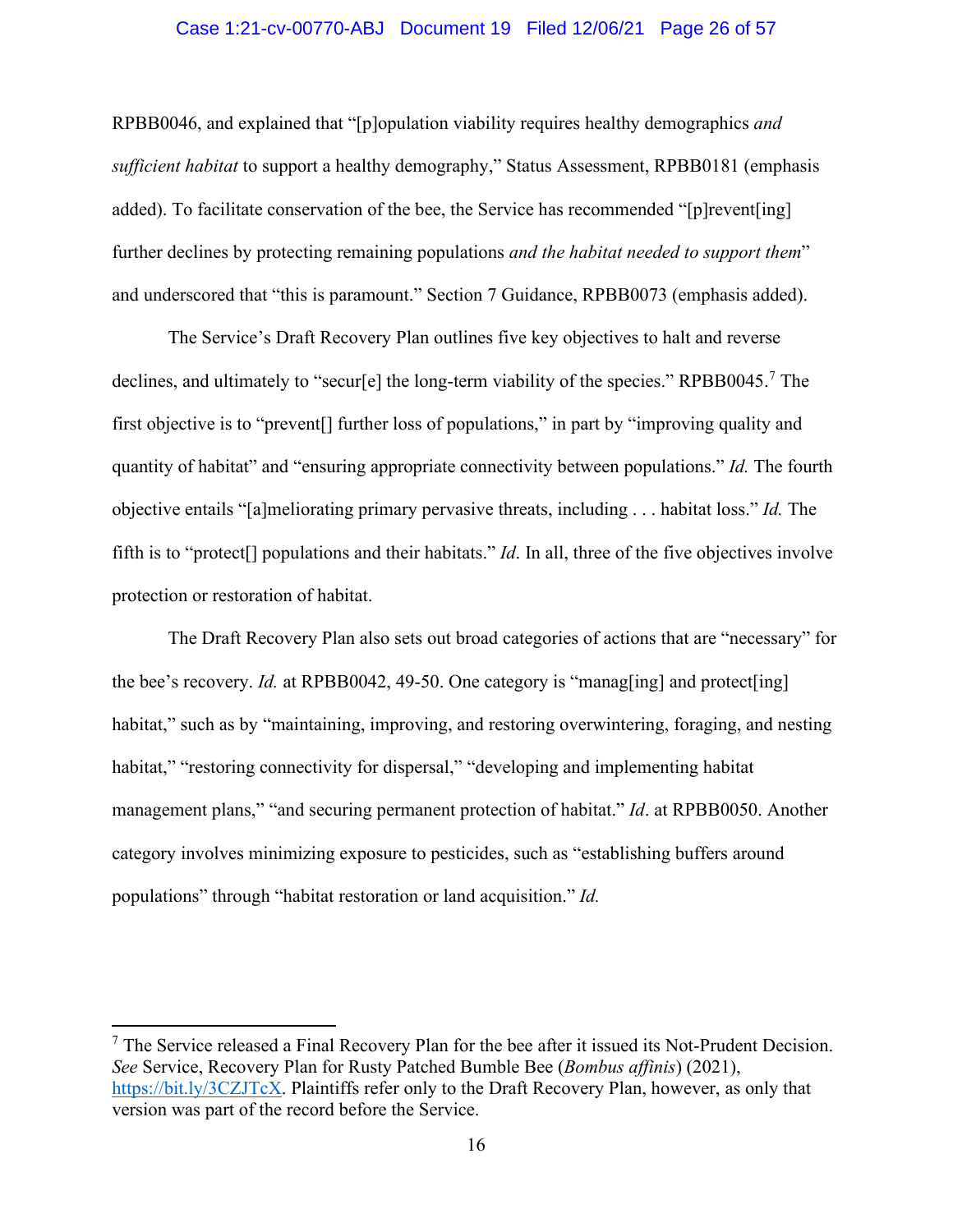#### Case 1:21-cv-00770-ABJ Document 19 Filed 12/06/21 Page 26 of 57

RPBB0046, and explained that "[p]opulation viability requires healthy demographics *and sufficient habitat* to support a healthy demography," Status Assessment, RPBB0181 (emphasis added). To facilitate conservation of the bee, the Service has recommended "[p]revent[ing] further declines by protecting remaining populations *and the habitat needed to support them*" and underscored that "this is paramount." Section 7 Guidance, RPBB0073 (emphasis added).

The Service's Draft Recovery Plan outlines five key objectives to halt and reverse declines, and ultimately to "secur[e] the long-term viability of the species." RPBB0045.<sup>[7](#page-25-0)</sup> The first objective is to "prevent[] further loss of populations," in part by "improving quality and quantity of habitat" and "ensuring appropriate connectivity between populations." *Id.* The fourth objective entails "[a]meliorating primary pervasive threats, including . . . habitat loss." *Id.* The fifth is to "protect[] populations and their habitats." *Id*. In all, three of the five objectives involve protection or restoration of habitat.

The Draft Recovery Plan also sets out broad categories of actions that are "necessary" for the bee's recovery. *Id.* at RPBB0042, 49-50. One category is "managing] and protect [ing] habitat," such as by "maintaining, improving, and restoring overwintering, foraging, and nesting habitat," "restoring connectivity for dispersal," "developing and implementing habitat management plans," "and securing permanent protection of habitat." *Id*. at RPBB0050. Another category involves minimizing exposure to pesticides, such as "establishing buffers around populations" through "habitat restoration or land acquisition." *Id.*

<span id="page-25-0"></span> $<sup>7</sup>$  The Service released a Final Recovery Plan for the bee after it issued its Not-Prudent Decision.</sup> *See* Service, Recovery Plan for Rusty Patched Bumble Bee (*Bombus affinis*) (2021), [https://bit.ly/3CZJTcX.](https://bit.ly/3CZJTcX) Plaintiffs refer only to the Draft Recovery Plan, however, as only that version was part of the record before the Service.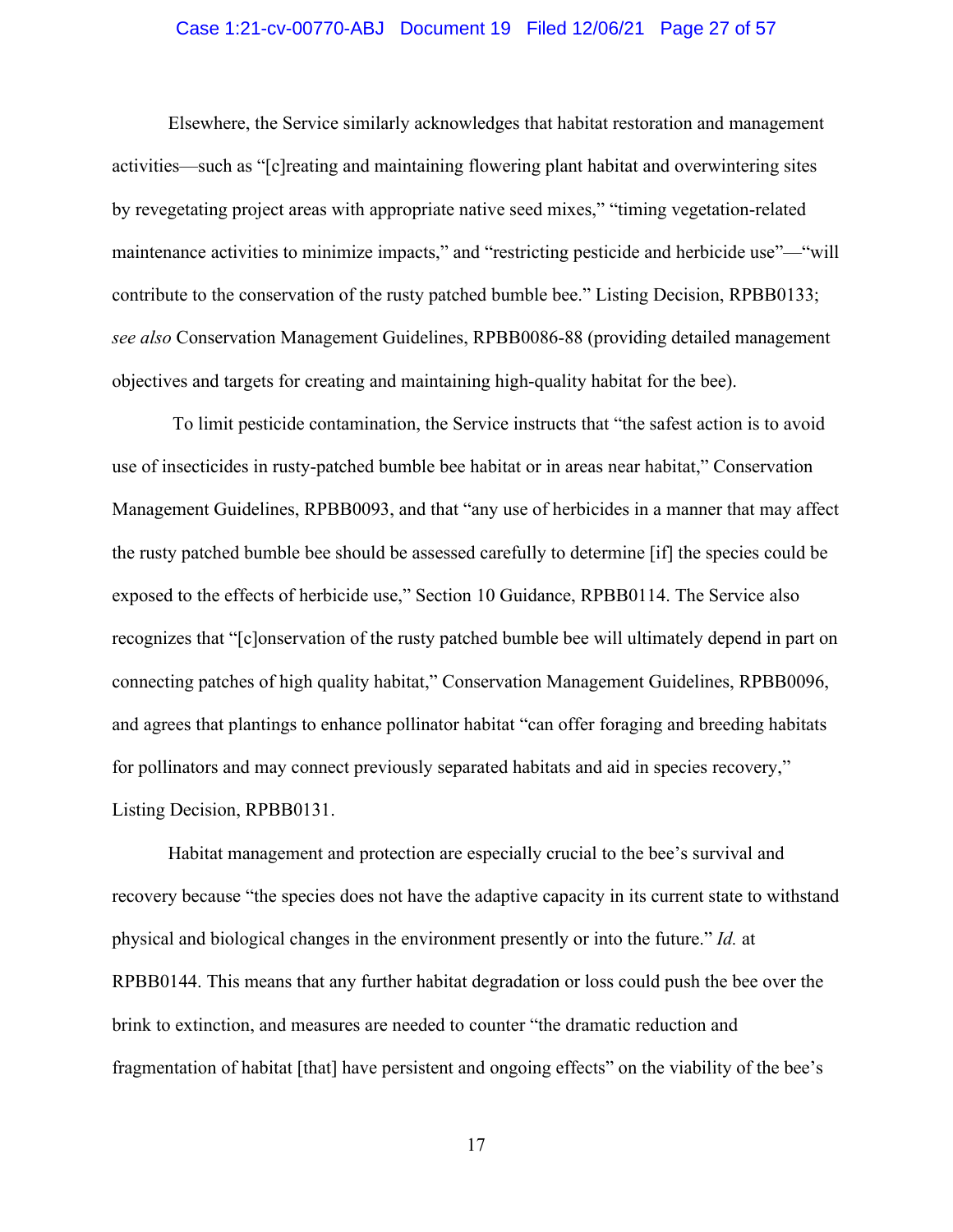#### Case 1:21-cv-00770-ABJ Document 19 Filed 12/06/21 Page 27 of 57

Elsewhere, the Service similarly acknowledges that habitat restoration and management activities—such as "[c]reating and maintaining flowering plant habitat and overwintering sites by revegetating project areas with appropriate native seed mixes," "timing vegetation-related maintenance activities to minimize impacts," and "restricting pesticide and herbicide use"—"will contribute to the conservation of the rusty patched bumble bee." Listing Decision, RPBB0133; *see also* Conservation Management Guidelines, RPBB0086-88 (providing detailed management objectives and targets for creating and maintaining high-quality habitat for the bee).

To limit pesticide contamination, the Service instructs that "the safest action is to avoid use of insecticides in rusty-patched bumble bee habitat or in areas near habitat," Conservation Management Guidelines, RPBB0093, and that "any use of herbicides in a manner that may affect the rusty patched bumble bee should be assessed carefully to determine [if] the species could be exposed to the effects of herbicide use," Section 10 Guidance, RPBB0114. The Service also recognizes that "[c]onservation of the rusty patched bumble bee will ultimately depend in part on connecting patches of high quality habitat," Conservation Management Guidelines, RPBB0096, and agrees that plantings to enhance pollinator habitat "can offer foraging and breeding habitats for pollinators and may connect previously separated habitats and aid in species recovery," Listing Decision, RPBB0131.

Habitat management and protection are especially crucial to the bee's survival and recovery because "the species does not have the adaptive capacity in its current state to withstand physical and biological changes in the environment presently or into the future." *Id.* at RPBB0144. This means that any further habitat degradation or loss could push the bee over the brink to extinction, and measures are needed to counter "the dramatic reduction and fragmentation of habitat [that] have persistent and ongoing effects" on the viability of the bee's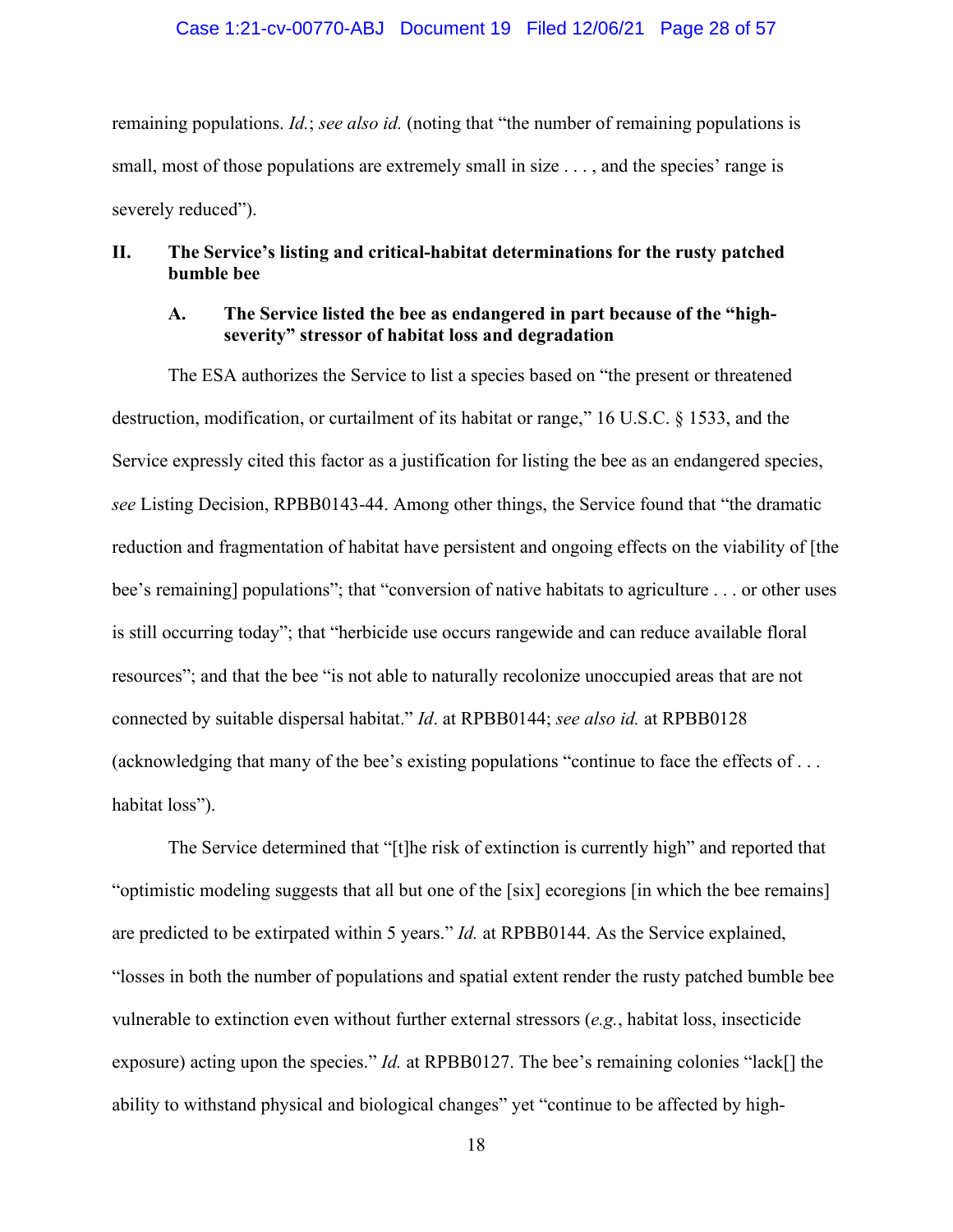#### Case 1:21-cv-00770-ABJ Document 19 Filed 12/06/21 Page 28 of 57

remaining populations. *Id.*; *see also id.* (noting that "the number of remaining populations is small, most of those populations are extremely small in size . . . , and the species' range is severely reduced").

## **II. The Service's listing and critical-habitat determinations for the rusty patched bumble bee**

#### **A. The Service listed the bee as endangered in part because of the "highseverity" stressor of habitat loss and degradation**

The ESA authorizes the Service to list a species based on "the present or threatened destruction, modification, or curtailment of its habitat or range," 16 U.S.C. § 1533, and the Service expressly cited this factor as a justification for listing the bee as an endangered species, *see* Listing Decision, RPBB0143-44. Among other things, the Service found that "the dramatic reduction and fragmentation of habitat have persistent and ongoing effects on the viability of [the bee's remaining] populations"; that "conversion of native habitats to agriculture . . . or other uses is still occurring today"; that "herbicide use occurs rangewide and can reduce available floral resources"; and that the bee "is not able to naturally recolonize unoccupied areas that are not connected by suitable dispersal habitat." *Id*. at RPBB0144; *see also id.* at RPBB0128 (acknowledging that many of the bee's existing populations "continue to face the effects of . . . habitat loss").

The Service determined that "[t]he risk of extinction is currently high" and reported that "optimistic modeling suggests that all but one of the [six] ecoregions [in which the bee remains] are predicted to be extirpated within 5 years." *Id.* at RPBB0144. As the Service explained, "losses in both the number of populations and spatial extent render the rusty patched bumble bee vulnerable to extinction even without further external stressors (*e.g.*, habitat loss, insecticide exposure) acting upon the species." *Id.* at RPBB0127. The bee's remaining colonies "lack<sup>[]</sup> the ability to withstand physical and biological changes" yet "continue to be affected by high-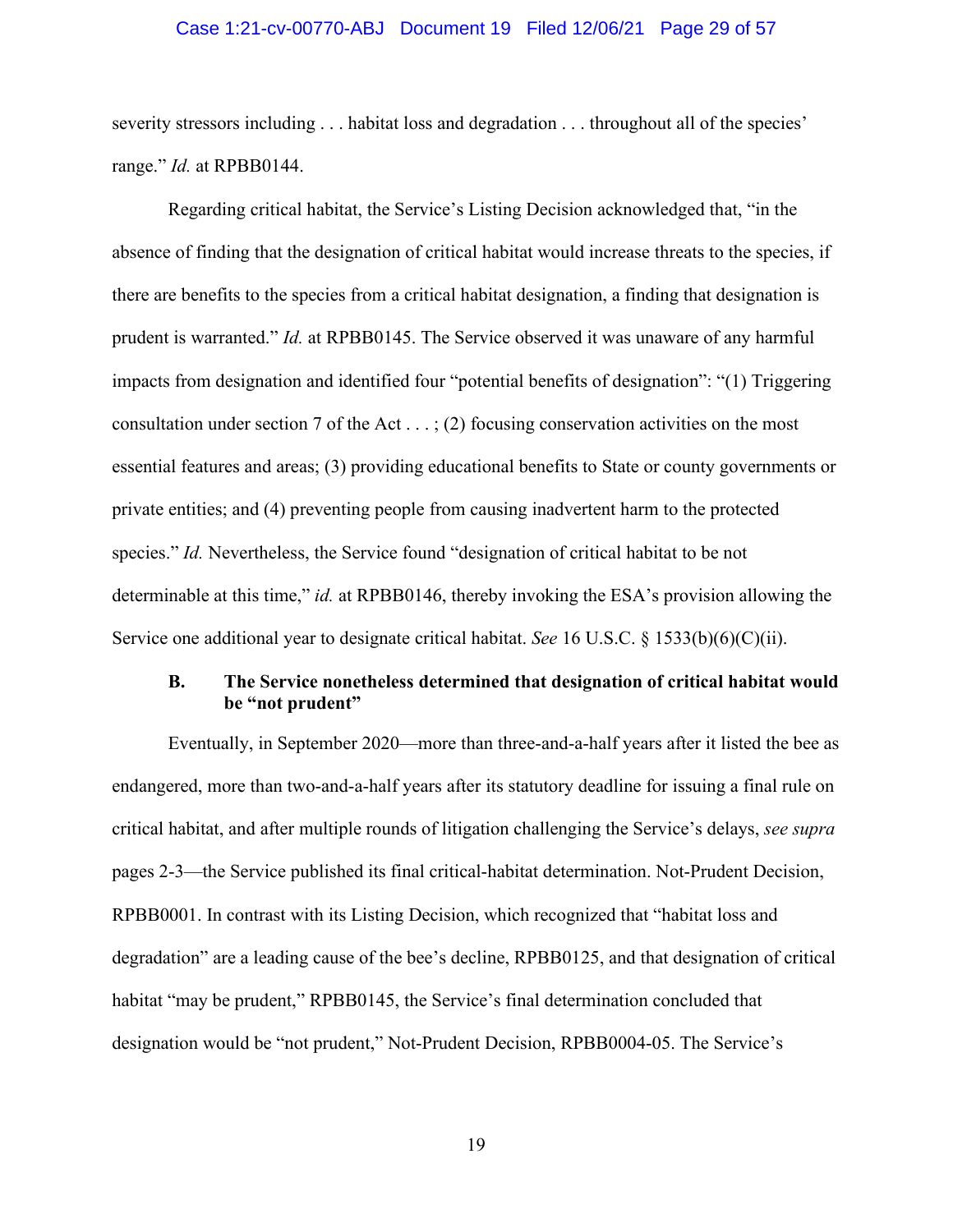#### Case 1:21-cv-00770-ABJ Document 19 Filed 12/06/21 Page 29 of 57

severity stressors including . . . habitat loss and degradation . . . throughout all of the species' range." *Id.* at RPBB0144.

Regarding critical habitat, the Service's Listing Decision acknowledged that, "in the absence of finding that the designation of critical habitat would increase threats to the species, if there are benefits to the species from a critical habitat designation, a finding that designation is prudent is warranted." *Id.* at RPBB0145. The Service observed it was unaware of any harmful impacts from designation and identified four "potential benefits of designation": "(1) Triggering consultation under section 7 of the Act  $\dots$ ; (2) focusing conservation activities on the most essential features and areas; (3) providing educational benefits to State or county governments or private entities; and (4) preventing people from causing inadvertent harm to the protected species." *Id.* Nevertheless, the Service found "designation of critical habitat to be not determinable at this time," *id.* at RPBB0146, thereby invoking the ESA's provision allowing the Service one additional year to designate critical habitat. *See* 16 U.S.C. § 1533(b)(6)(C)(ii).

## **B. The Service nonetheless determined that designation of critical habitat would be "not prudent"**

Eventually, in September 2020—more than three-and-a-half years after it listed the bee as endangered, more than two-and-a-half years after its statutory deadline for issuing a final rule on critical habitat, and after multiple rounds of litigation challenging the Service's delays, *see supra*  pages 2-3—the Service published its final critical-habitat determination. Not-Prudent Decision, RPBB0001. In contrast with its Listing Decision, which recognized that "habitat loss and degradation" are a leading cause of the bee's decline, RPBB0125, and that designation of critical habitat "may be prudent," RPBB0145, the Service's final determination concluded that designation would be "not prudent," Not-Prudent Decision, RPBB0004-05. The Service's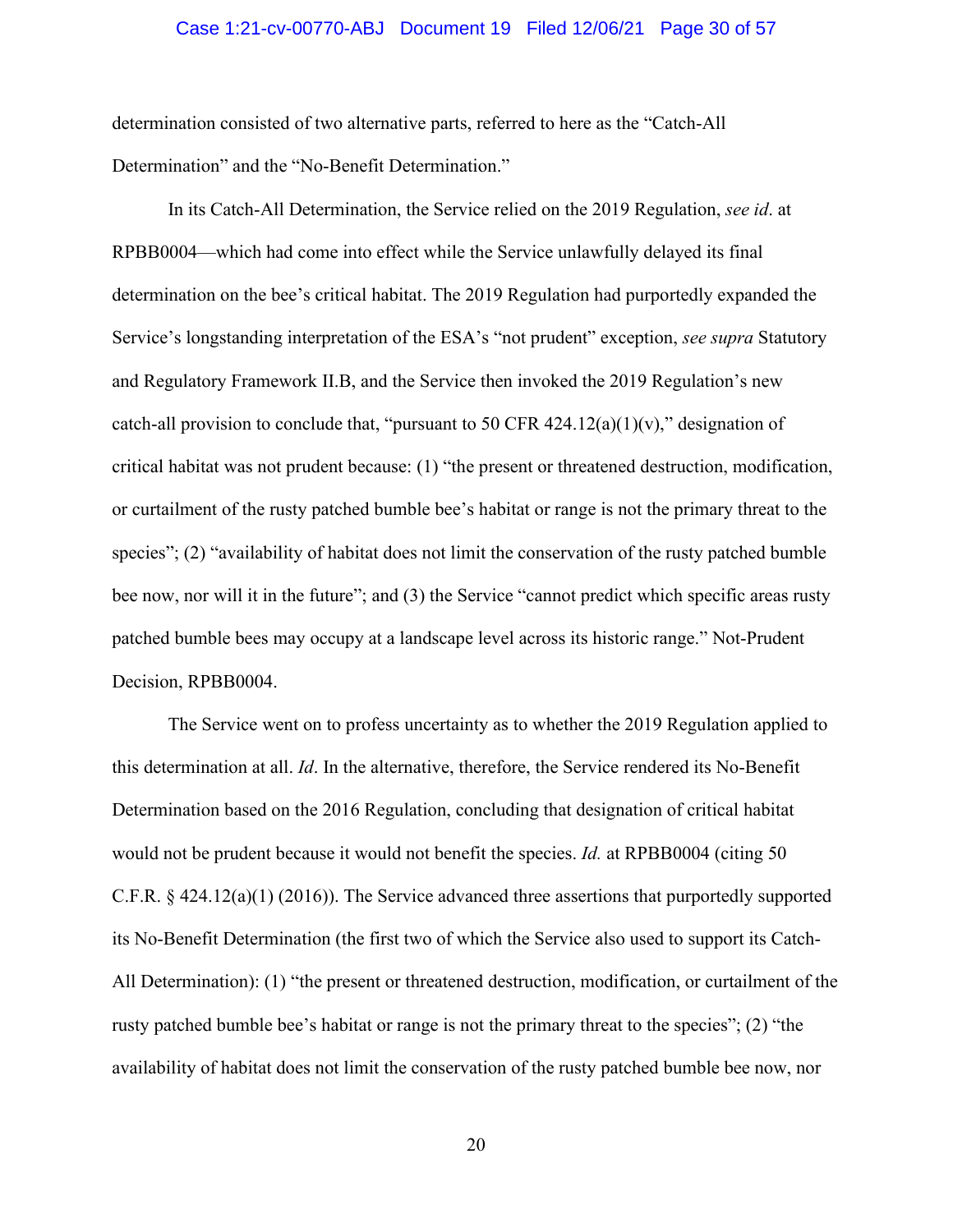#### Case 1:21-cv-00770-ABJ Document 19 Filed 12/06/21 Page 30 of 57

determination consisted of two alternative parts, referred to here as the "Catch-All Determination" and the "No-Benefit Determination."

In its Catch-All Determination, the Service relied on the 2019 Regulation, *see id*. at RPBB0004—which had come into effect while the Service unlawfully delayed its final determination on the bee's critical habitat. The 2019 Regulation had purportedly expanded the Service's longstanding interpretation of the ESA's "not prudent" exception, *see supra* Statutory and Regulatory Framework II.B, and the Service then invoked the 2019 Regulation's new catch-all provision to conclude that, "pursuant to 50 CFR  $424.12(a)(1)(v)$ ," designation of critical habitat was not prudent because: (1) "the present or threatened destruction, modification, or curtailment of the rusty patched bumble bee's habitat or range is not the primary threat to the species"; (2) "availability of habitat does not limit the conservation of the rusty patched bumble bee now, nor will it in the future"; and (3) the Service "cannot predict which specific areas rusty patched bumble bees may occupy at a landscape level across its historic range." Not-Prudent Decision, RPBB0004.

The Service went on to profess uncertainty as to whether the 2019 Regulation applied to this determination at all. *Id*. In the alternative, therefore, the Service rendered its No-Benefit Determination based on the 2016 Regulation, concluding that designation of critical habitat would not be prudent because it would not benefit the species. *Id.* at RPBB0004 (citing 50 C.F.R. § 424.12(a)(1) (2016)). The Service advanced three assertions that purportedly supported its No-Benefit Determination (the first two of which the Service also used to support its Catch-All Determination): (1) "the present or threatened destruction, modification, or curtailment of the rusty patched bumble bee's habitat or range is not the primary threat to the species"; (2) "the availability of habitat does not limit the conservation of the rusty patched bumble bee now, nor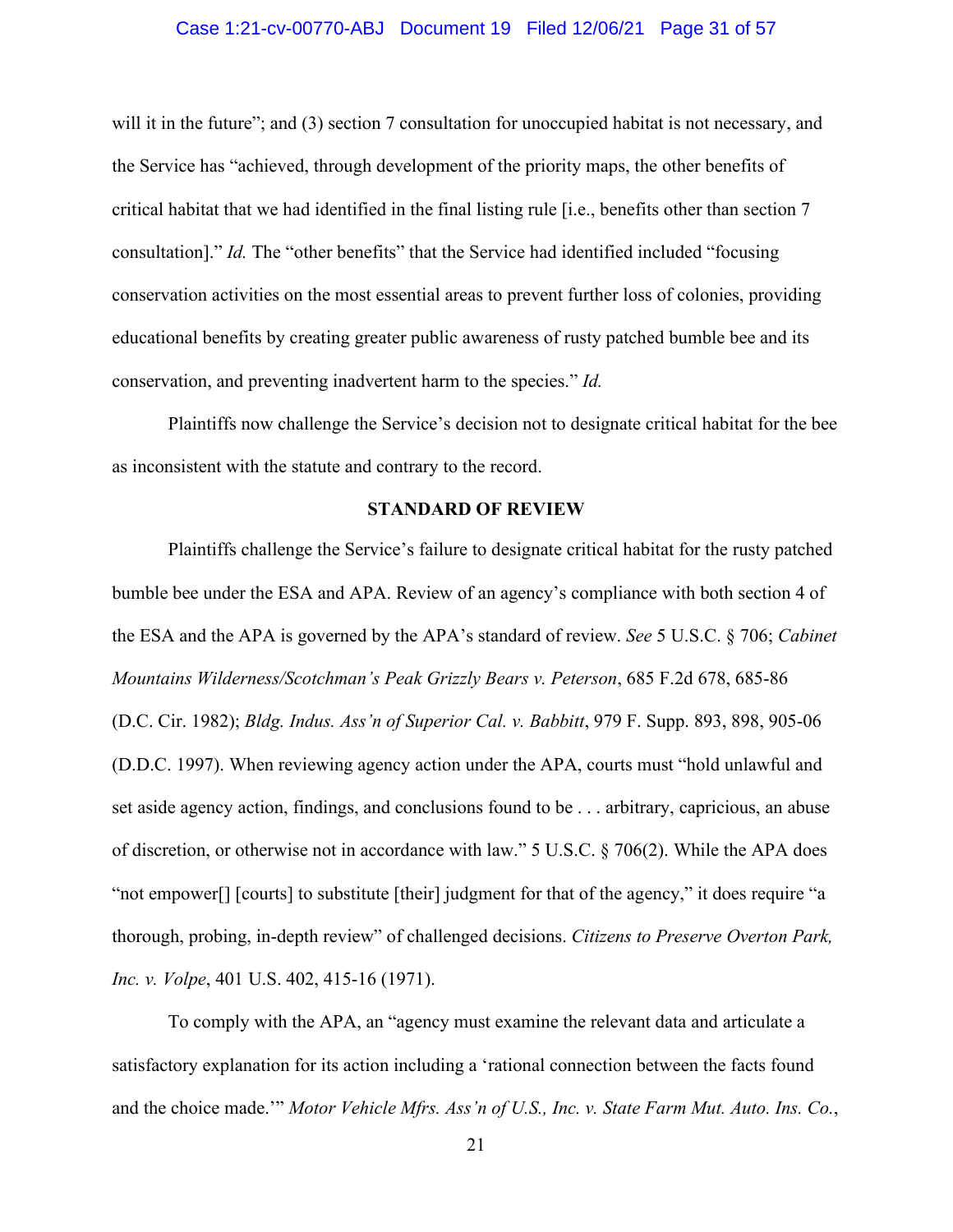#### Case 1:21-cv-00770-ABJ Document 19 Filed 12/06/21 Page 31 of 57

will it in the future"; and (3) section 7 consultation for unoccupied habitat is not necessary, and the Service has "achieved, through development of the priority maps, the other benefits of critical habitat that we had identified in the final listing rule [i.e., benefits other than section 7 consultation]." *Id.* The "other benefits" that the Service had identified included "focusing conservation activities on the most essential areas to prevent further loss of colonies, providing educational benefits by creating greater public awareness of rusty patched bumble bee and its conservation, and preventing inadvertent harm to the species." *Id.*

Plaintiffs now challenge the Service's decision not to designate critical habitat for the bee as inconsistent with the statute and contrary to the record.

#### **STANDARD OF REVIEW**

Plaintiffs challenge the Service's failure to designate critical habitat for the rusty patched bumble bee under the ESA and APA. Review of an agency's compliance with both section 4 of the ESA and the APA is governed by the APA's standard of review. *See* 5 U.S.C. § 706; *Cabinet Mountains Wilderness/Scotchman's Peak Grizzly Bears v. Peterson*, 685 F.2d 678, 685-86 (D.C. Cir. 1982); *Bldg. Indus. Ass'n of Superior Cal. v. Babbitt*, 979 F. Supp. 893, 898, 905-06 (D.D.C. 1997). When reviewing agency action under the APA, courts must "hold unlawful and set aside agency action, findings, and conclusions found to be . . . arbitrary, capricious, an abuse of discretion, or otherwise not in accordance with law." 5 U.S.C. § 706(2). While the APA does "not empower[] [courts] to substitute [their] judgment for that of the agency," it does require "a thorough, probing, in-depth review" of challenged decisions. *Citizens to Preserve Overton Park, Inc. v. Volpe*, 401 U.S. 402, 415-16 (1971).

To comply with the APA, an "agency must examine the relevant data and articulate a satisfactory explanation for its action including a 'rational connection between the facts found and the choice made.'" *Motor Vehicle Mfrs. Ass'n of U.S., Inc. v. State Farm Mut. Auto. Ins. Co.*,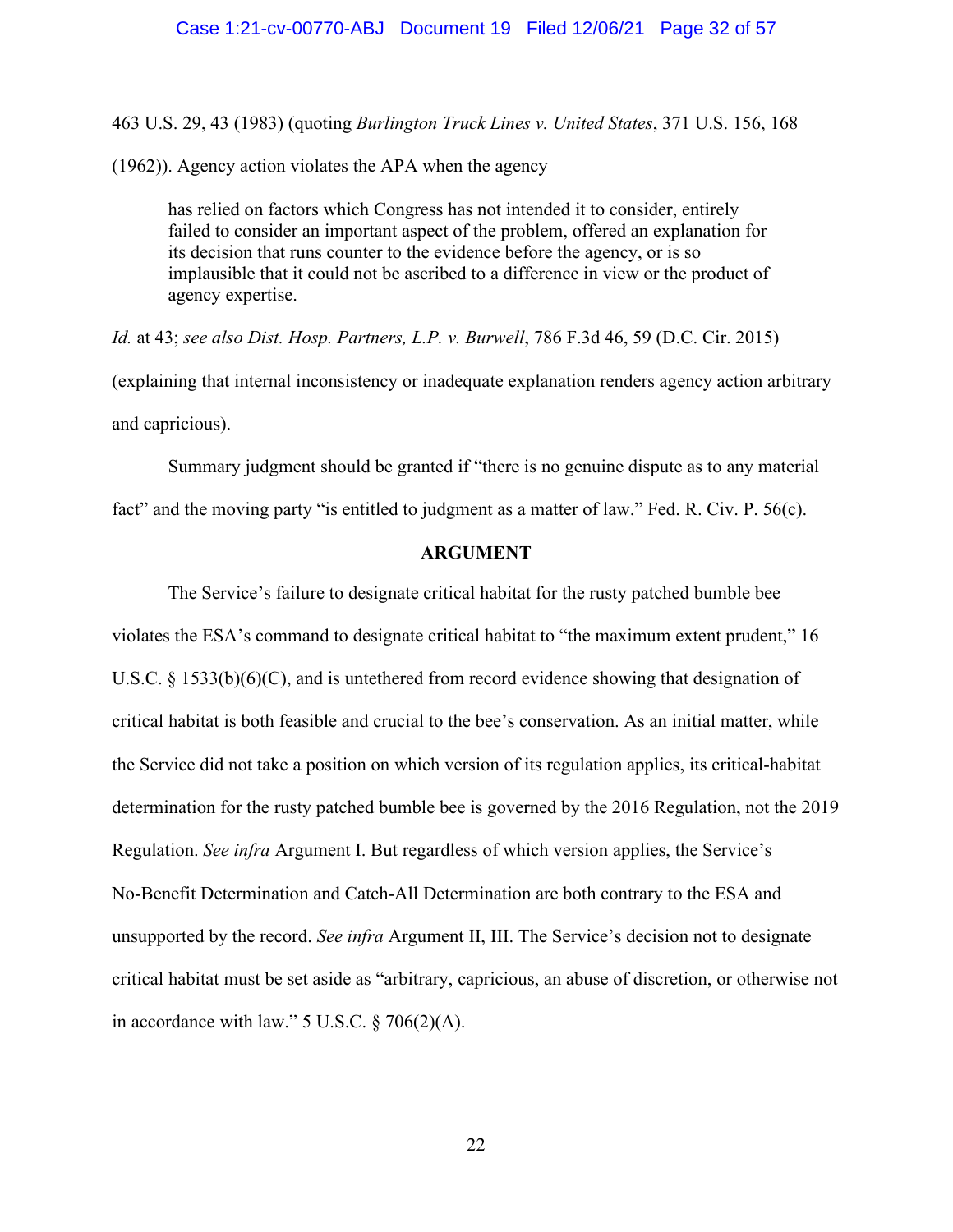#### Case 1:21-cv-00770-ABJ Document 19 Filed 12/06/21 Page 32 of 57

463 U.S. 29, 43 (1983) (quoting *Burlington Truck Lines v. United States*, 371 U.S. 156, 168

(1962)). Agency action violates the APA when the agency

has relied on factors which Congress has not intended it to consider, entirely failed to consider an important aspect of the problem, offered an explanation for its decision that runs counter to the evidence before the agency, or is so implausible that it could not be ascribed to a difference in view or the product of agency expertise.

*Id.* at 43; *see also Dist. Hosp. Partners, L.P. v. Burwell*, 786 F.3d 46, 59 (D.C. Cir. 2015) (explaining that internal inconsistency or inadequate explanation renders agency action arbitrary and capricious).

Summary judgment should be granted if "there is no genuine dispute as to any material fact" and the moving party "is entitled to judgment as a matter of law." Fed. R. Civ. P. 56(c).

#### **ARGUMENT**

The Service's failure to designate critical habitat for the rusty patched bumble bee violates the ESA's command to designate critical habitat to "the maximum extent prudent," 16 U.S.C.  $\S$  1533(b)(6)(C), and is untethered from record evidence showing that designation of critical habitat is both feasible and crucial to the bee's conservation. As an initial matter, while the Service did not take a position on which version of its regulation applies, its critical-habitat determination for the rusty patched bumble bee is governed by the 2016 Regulation, not the 2019 Regulation. *See infra* Argument I. But regardless of which version applies, the Service's No-Benefit Determination and Catch-All Determination are both contrary to the ESA and unsupported by the record. *See infra* Argument II, III. The Service's decision not to designate critical habitat must be set aside as "arbitrary, capricious, an abuse of discretion, or otherwise not in accordance with law." 5 U.S.C. § 706(2)(A).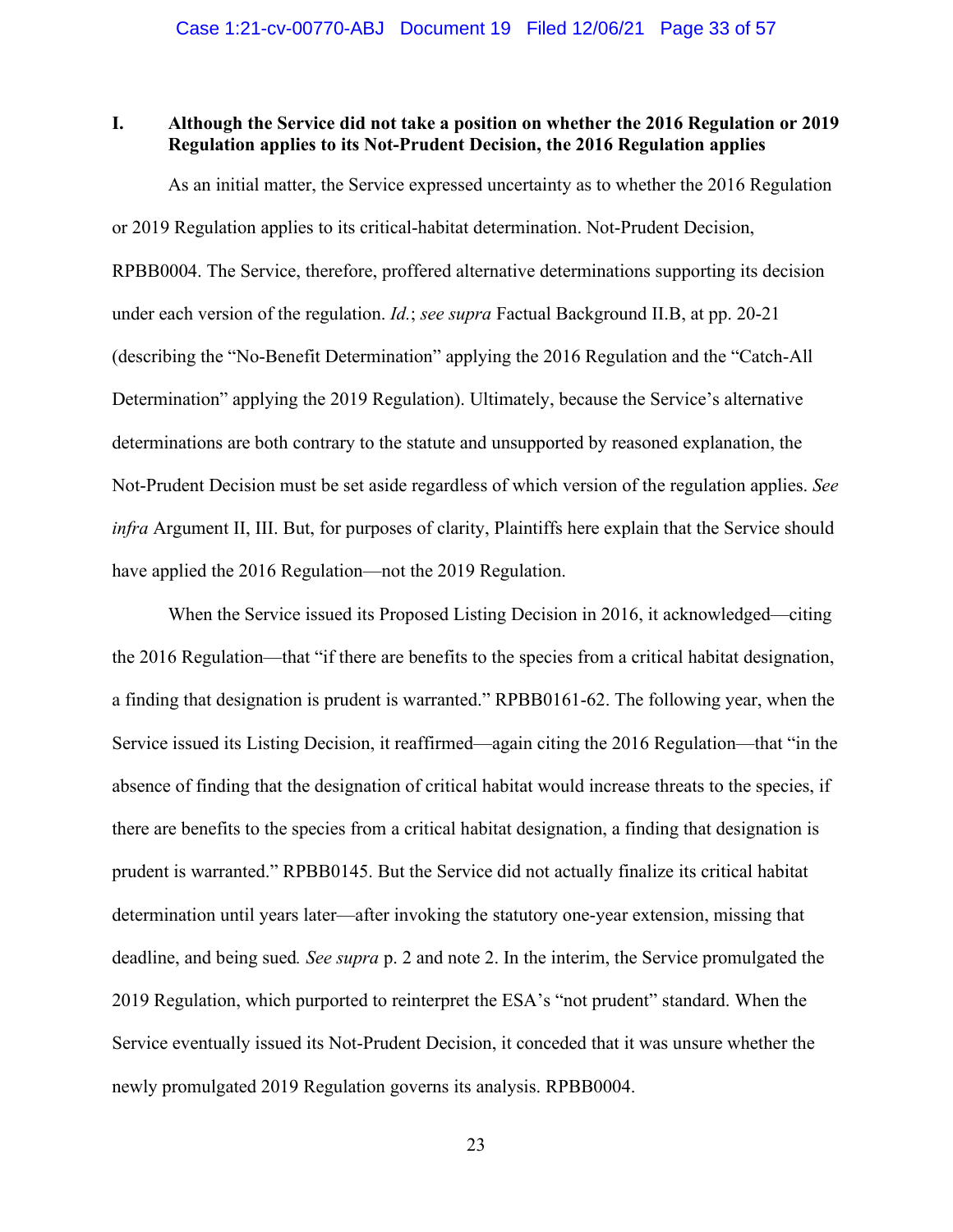## **I. Although the Service did not take a position on whether the 2016 Regulation or 2019 Regulation applies to its Not-Prudent Decision, the 2016 Regulation applies**

As an initial matter, the Service expressed uncertainty as to whether the 2016 Regulation or 2019 Regulation applies to its critical-habitat determination. Not-Prudent Decision, RPBB0004. The Service, therefore, proffered alternative determinations supporting its decision under each version of the regulation. *Id.*; *see supra* Factual Background II.B, at pp. 20-21 (describing the "No-Benefit Determination" applying the 2016 Regulation and the "Catch-All Determination" applying the 2019 Regulation). Ultimately, because the Service's alternative determinations are both contrary to the statute and unsupported by reasoned explanation, the Not-Prudent Decision must be set aside regardless of which version of the regulation applies. *See infra* Argument II, III. But, for purposes of clarity, Plaintiffs here explain that the Service should have applied the 2016 Regulation—not the 2019 Regulation.

When the Service issued its Proposed Listing Decision in 2016, it acknowledged—citing the 2016 Regulation—that "if there are benefits to the species from a critical habitat designation, a finding that designation is prudent is warranted." RPBB0161-62. The following year, when the Service issued its Listing Decision, it reaffirmed—again citing the 2016 Regulation—that "in the absence of finding that the designation of critical habitat would increase threats to the species, if there are benefits to the species from a critical habitat designation, a finding that designation is prudent is warranted." RPBB0145. But the Service did not actually finalize its critical habitat determination until years later—after invoking the statutory one-year extension, missing that deadline, and being sued*. See supra* p. 2 and note 2. In the interim, the Service promulgated the 2019 Regulation, which purported to reinterpret the ESA's "not prudent" standard. When the Service eventually issued its Not-Prudent Decision, it conceded that it was unsure whether the newly promulgated 2019 Regulation governs its analysis. RPBB0004.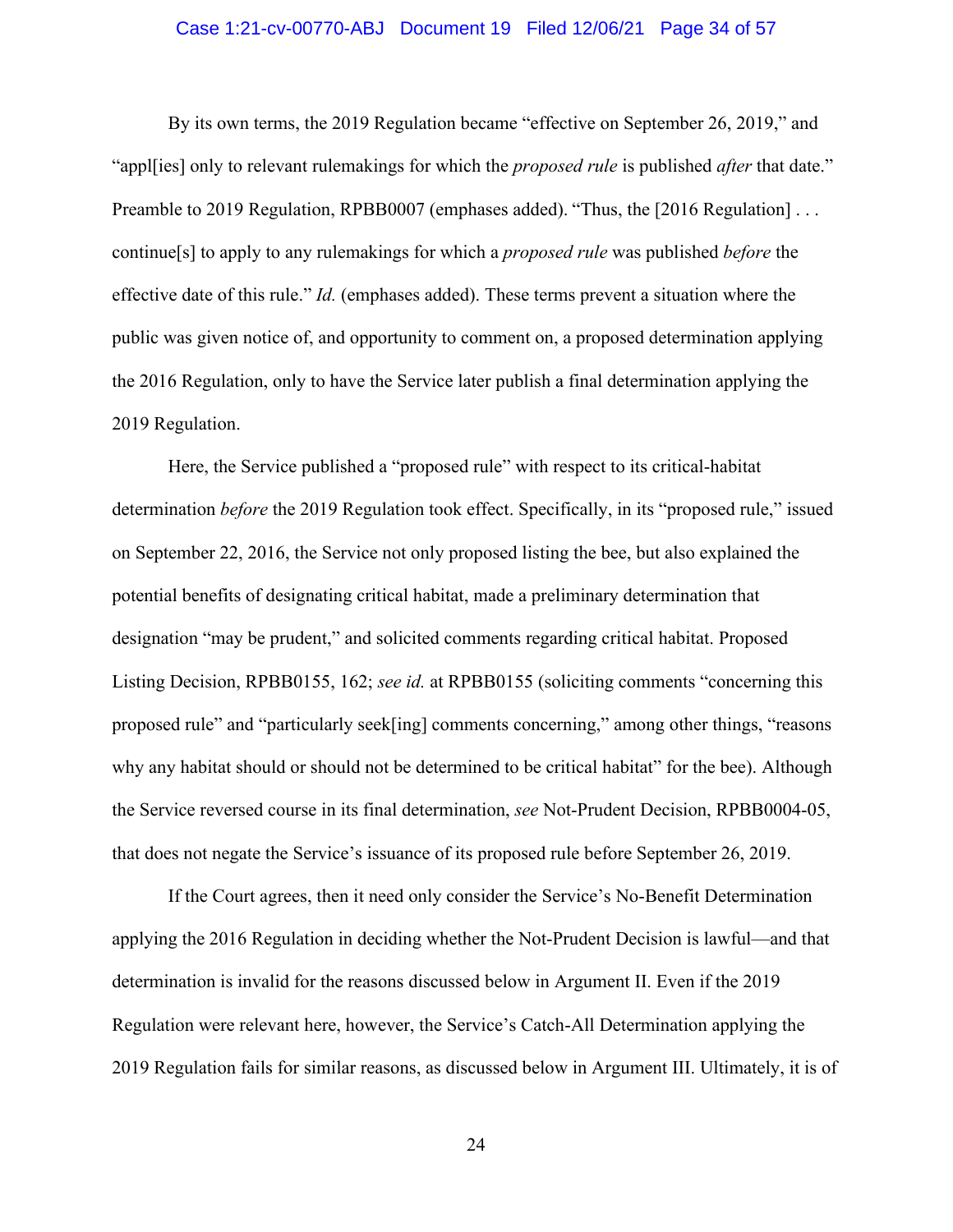#### Case 1:21-cv-00770-ABJ Document 19 Filed 12/06/21 Page 34 of 57

By its own terms, the 2019 Regulation became "effective on September 26, 2019," and "appl[ies] only to relevant rulemakings for which the *proposed rule* is published *after* that date." Preamble to 2019 Regulation, RPBB0007 (emphases added). "Thus, the [2016 Regulation] . . . continue[s] to apply to any rulemakings for which a *proposed rule* was published *before* the effective date of this rule." *Id.* (emphases added). These terms prevent a situation where the public was given notice of, and opportunity to comment on, a proposed determination applying the 2016 Regulation, only to have the Service later publish a final determination applying the 2019 Regulation.

Here, the Service published a "proposed rule" with respect to its critical-habitat determination *before* the 2019 Regulation took effect. Specifically, in its "proposed rule," issued on September 22, 2016, the Service not only proposed listing the bee, but also explained the potential benefits of designating critical habitat, made a preliminary determination that designation "may be prudent," and solicited comments regarding critical habitat. Proposed Listing Decision, RPBB0155, 162; *see id.* at RPBB0155 (soliciting comments "concerning this proposed rule" and "particularly seek[ing] comments concerning," among other things, "reasons why any habitat should or should not be determined to be critical habitat" for the bee). Although the Service reversed course in its final determination, *see* Not-Prudent Decision, RPBB0004-05, that does not negate the Service's issuance of its proposed rule before September 26, 2019.

If the Court agrees, then it need only consider the Service's No-Benefit Determination applying the 2016 Regulation in deciding whether the Not-Prudent Decision is lawful—and that determination is invalid for the reasons discussed below in Argument II. Even if the 2019 Regulation were relevant here, however, the Service's Catch-All Determination applying the 2019 Regulation fails for similar reasons, as discussed below in Argument III. Ultimately, it is of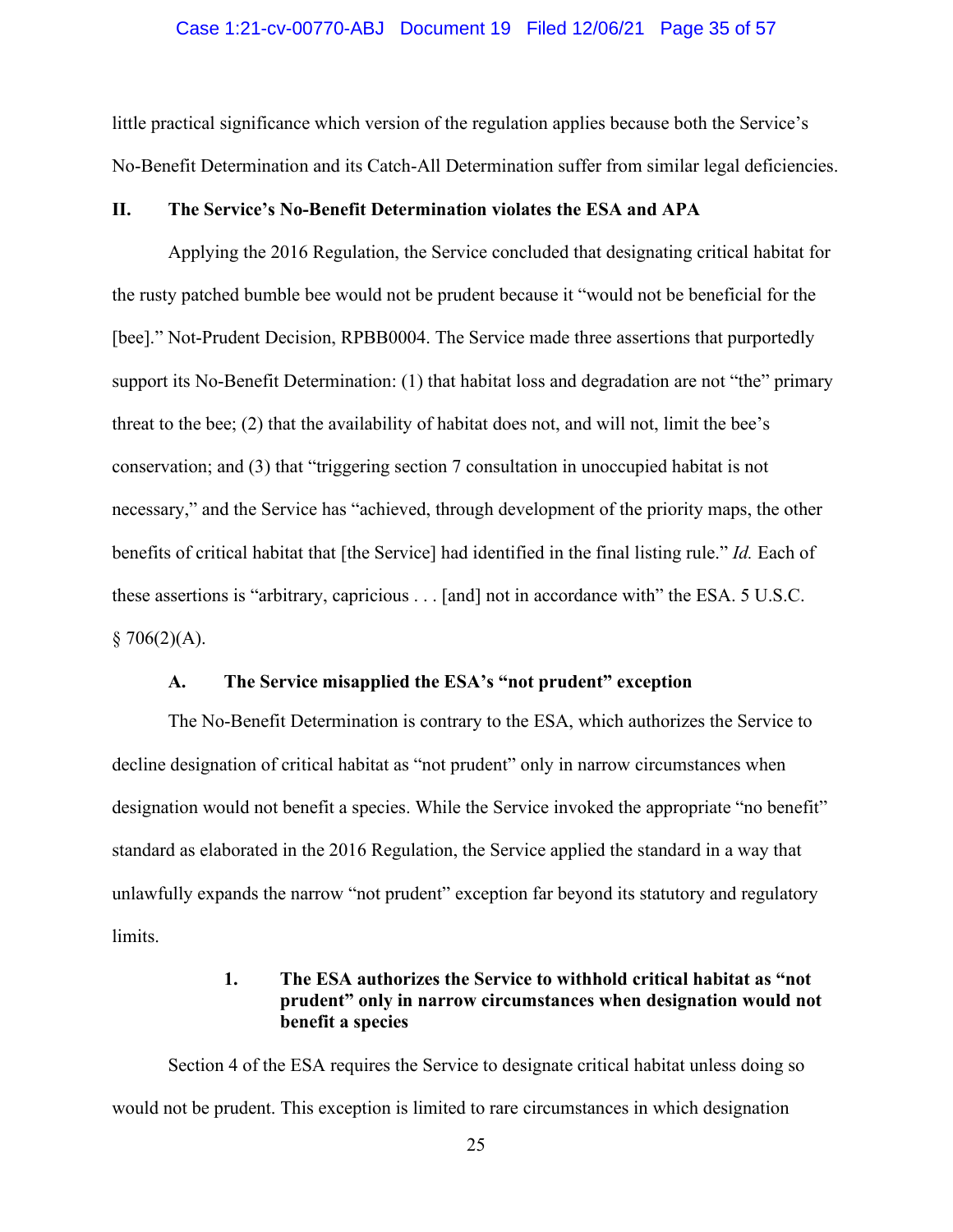#### Case 1:21-cv-00770-ABJ Document 19 Filed 12/06/21 Page 35 of 57

little practical significance which version of the regulation applies because both the Service's No-Benefit Determination and its Catch-All Determination suffer from similar legal deficiencies.

## **II. The Service's No-Benefit Determination violates the ESA and APA**

Applying the 2016 Regulation, the Service concluded that designating critical habitat for the rusty patched bumble bee would not be prudent because it "would not be beneficial for the [bee]." Not-Prudent Decision, RPBB0004. The Service made three assertions that purportedly support its No-Benefit Determination: (1) that habitat loss and degradation are not "the" primary threat to the bee; (2) that the availability of habitat does not, and will not, limit the bee's conservation; and (3) that "triggering section 7 consultation in unoccupied habitat is not necessary," and the Service has "achieved, through development of the priority maps, the other benefits of critical habitat that [the Service] had identified in the final listing rule." *Id.* Each of these assertions is "arbitrary, capricious . . . [and] not in accordance with" the ESA. 5 U.S.C.  $$706(2)(A).$ 

#### **A. The Service misapplied the ESA's "not prudent" exception**

The No-Benefit Determination is contrary to the ESA, which authorizes the Service to decline designation of critical habitat as "not prudent" only in narrow circumstances when designation would not benefit a species. While the Service invoked the appropriate "no benefit" standard as elaborated in the 2016 Regulation, the Service applied the standard in a way that unlawfully expands the narrow "not prudent" exception far beyond its statutory and regulatory limits.

## **1. The ESA authorizes the Service to withhold critical habitat as "not prudent" only in narrow circumstances when designation would not benefit a species**

Section 4 of the ESA requires the Service to designate critical habitat unless doing so would not be prudent. This exception is limited to rare circumstances in which designation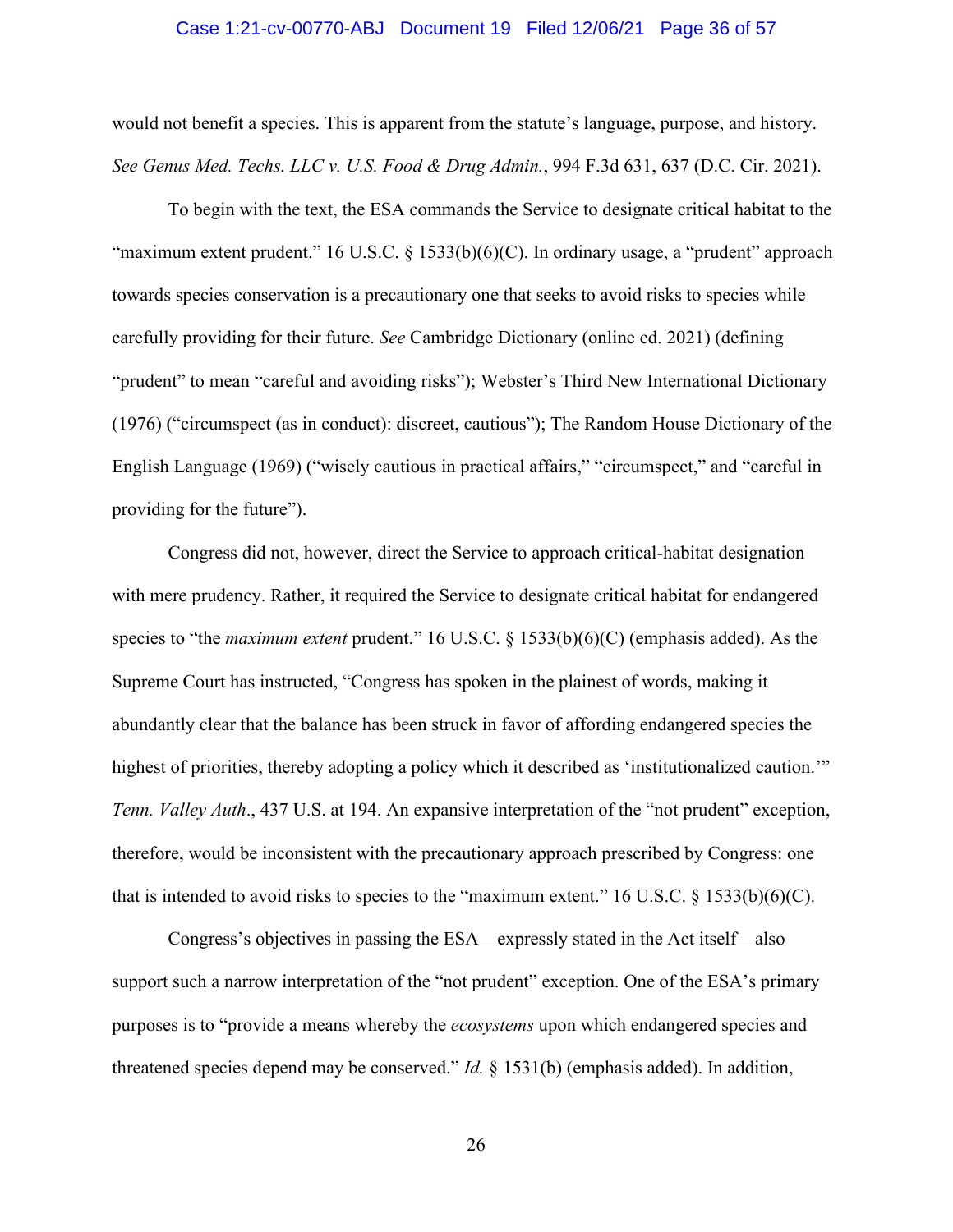#### Case 1:21-cv-00770-ABJ Document 19 Filed 12/06/21 Page 36 of 57

would not benefit a species. This is apparent from the statute's language, purpose, and history. *See Genus Med. Techs. LLC v. U.S. Food & Drug Admin.*, 994 F.3d 631, 637 (D.C. Cir. 2021).

To begin with the text, the ESA commands the Service to designate critical habitat to the "maximum extent prudent." 16 U.S.C. § 1533(b)(6)(C). In ordinary usage, a "prudent" approach towards species conservation is a precautionary one that seeks to avoid risks to species while carefully providing for their future. *See* Cambridge Dictionary (online ed. 2021) (defining "prudent" to mean "careful and avoiding risks"); Webster's Third New International Dictionary (1976) ("circumspect (as in conduct): discreet, cautious"); The Random House Dictionary of the English Language (1969) ("wisely cautious in practical affairs," "circumspect," and "careful in providing for the future").

Congress did not, however, direct the Service to approach critical-habitat designation with mere prudency. Rather, it required the Service to designate critical habitat for endangered species to "the *maximum extent* prudent." 16 U.S.C. § 1533(b)(6)(C) (emphasis added). As the Supreme Court has instructed, "Congress has spoken in the plainest of words, making it abundantly clear that the balance has been struck in favor of affording endangered species the highest of priorities, thereby adopting a policy which it described as 'institutionalized caution.'" *Tenn. Valley Auth*., 437 U.S. at 194. An expansive interpretation of the "not prudent" exception, therefore, would be inconsistent with the precautionary approach prescribed by Congress: one that is intended to avoid risks to species to the "maximum extent." 16 U.S.C.  $\S$  1533(b)(6)(C).

Congress's objectives in passing the ESA—expressly stated in the Act itself—also support such a narrow interpretation of the "not prudent" exception. One of the ESA's primary purposes is to "provide a means whereby the *ecosystems* upon which endangered species and threatened species depend may be conserved." *Id.* § 1531(b) (emphasis added). In addition,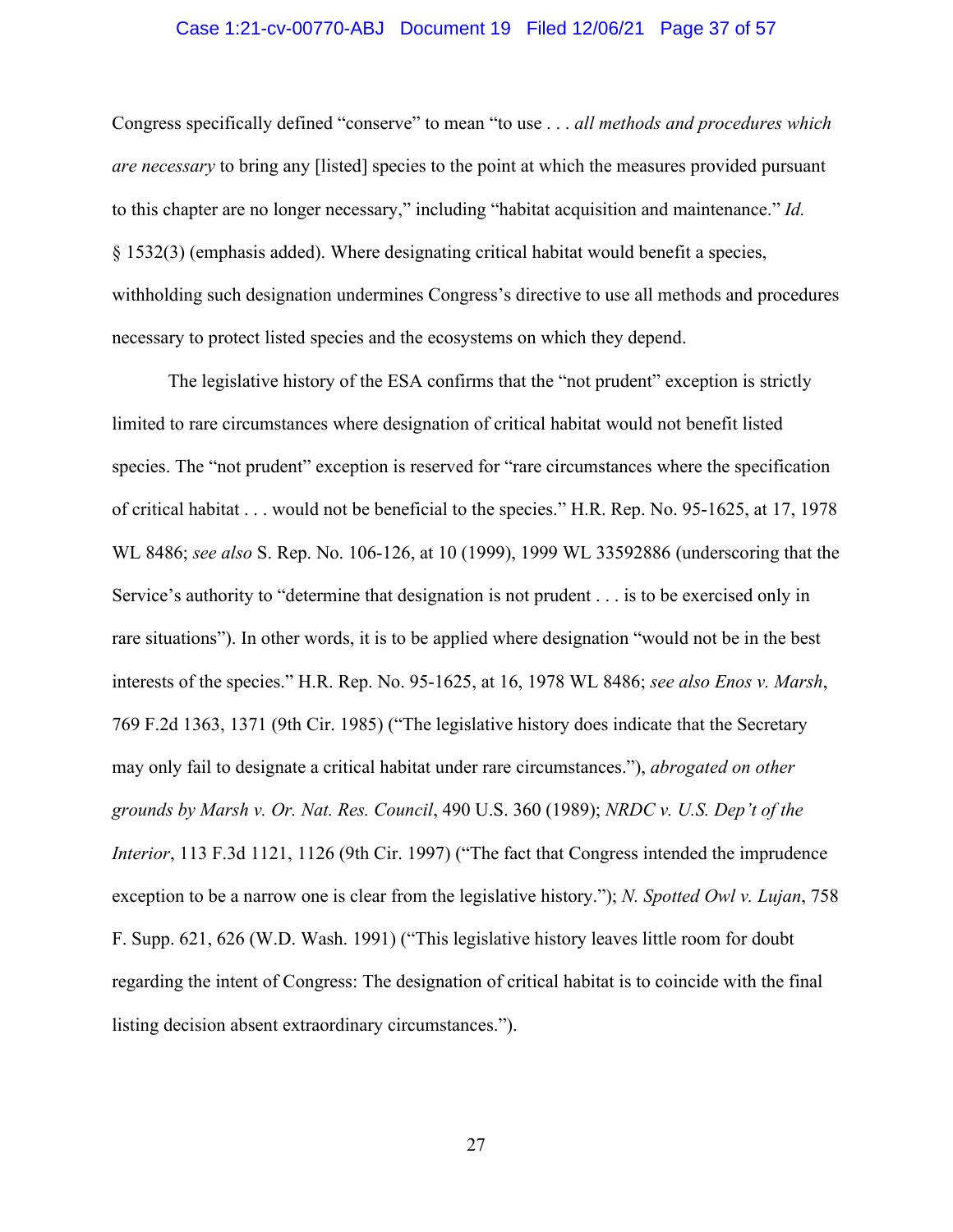#### Case 1:21-cv-00770-ABJ Document 19 Filed 12/06/21 Page 37 of 57

Congress specifically defined "conserve" to mean "to use . . . *all methods and procedures which are necessary* to bring any [listed] species to the point at which the measures provided pursuant to this chapter are no longer necessary," including "habitat acquisition and maintenance." *Id.*  § 1532(3) (emphasis added). Where designating critical habitat would benefit a species, withholding such designation undermines Congress's directive to use all methods and procedures necessary to protect listed species and the ecosystems on which they depend.

The legislative history of the ESA confirms that the "not prudent" exception is strictly limited to rare circumstances where designation of critical habitat would not benefit listed species. The "not prudent" exception is reserved for "rare circumstances where the specification of critical habitat . . . would not be beneficial to the species." H.R. Rep. No. 95-1625, at 17, 1978 WL 8486; *see also* S. Rep. No. 106-126, at 10 (1999), 1999 WL 33592886 (underscoring that the Service's authority to "determine that designation is not prudent . . . is to be exercised only in rare situations"). In other words, it is to be applied where designation "would not be in the best interests of the species." H.R. Rep. No. 95-1625, at 16, 1978 WL 8486; *see also Enos v. Marsh*, 769 F.2d 1363, 1371 (9th Cir. 1985) ("The legislative history does indicate that the Secretary may only fail to designate a critical habitat under rare circumstances."), *abrogated on other grounds by Marsh v. Or. Nat. Res. Council*, 490 U.S. 360 (1989); *NRDC v. U.S. Dep't of the Interior*, 113 F.3d 1121, 1126 (9th Cir. 1997) ("The fact that Congress intended the imprudence exception to be a narrow one is clear from the legislative history."); *N. Spotted Owl v. Lujan*, 758 F. Supp. 621, 626 (W.D. Wash. 1991) ("This legislative history leaves little room for doubt regarding the intent of Congress: The designation of critical habitat is to coincide with the final listing decision absent extraordinary circumstances.").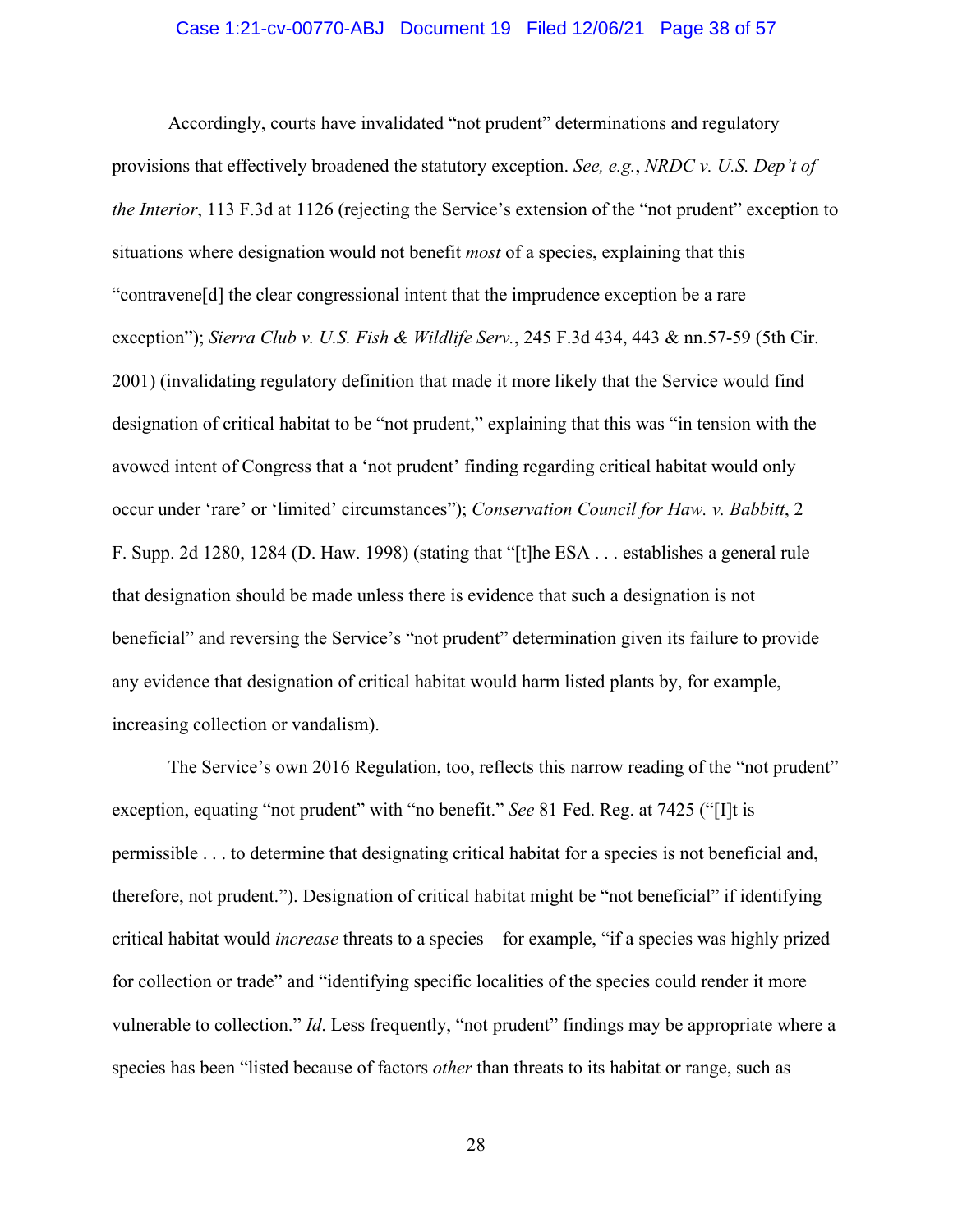#### Case 1:21-cv-00770-ABJ Document 19 Filed 12/06/21 Page 38 of 57

Accordingly, courts have invalidated "not prudent" determinations and regulatory provisions that effectively broadened the statutory exception. *See, e.g.*, *NRDC v. U.S. Dep't of the Interior*, 113 F.3d at 1126 (rejecting the Service's extension of the "not prudent" exception to situations where designation would not benefit *most* of a species, explaining that this "contravene[d] the clear congressional intent that the imprudence exception be a rare exception"); *Sierra Club v. U.S. Fish & Wildlife Serv.*, 245 F.3d 434, 443 & nn.57-59 (5th Cir. 2001) (invalidating regulatory definition that made it more likely that the Service would find designation of critical habitat to be "not prudent," explaining that this was "in tension with the avowed intent of Congress that a 'not prudent' finding regarding critical habitat would only occur under 'rare' or 'limited' circumstances"); *Conservation Council for Haw. v. Babbitt*, 2 F. Supp. 2d 1280, 1284 (D. Haw. 1998) (stating that "[t]he ESA . . . establishes a general rule that designation should be made unless there is evidence that such a designation is not beneficial" and reversing the Service's "not prudent" determination given its failure to provide any evidence that designation of critical habitat would harm listed plants by, for example, increasing collection or vandalism).

The Service's own 2016 Regulation, too, reflects this narrow reading of the "not prudent" exception, equating "not prudent" with "no benefit." *See* 81 Fed. Reg. at 7425 ("[I]t is permissible . . . to determine that designating critical habitat for a species is not beneficial and, therefore, not prudent."). Designation of critical habitat might be "not beneficial" if identifying critical habitat would *increase* threats to a species—for example, "if a species was highly prized for collection or trade" and "identifying specific localities of the species could render it more vulnerable to collection." *Id*. Less frequently, "not prudent" findings may be appropriate where a species has been "listed because of factors *other* than threats to its habitat or range, such as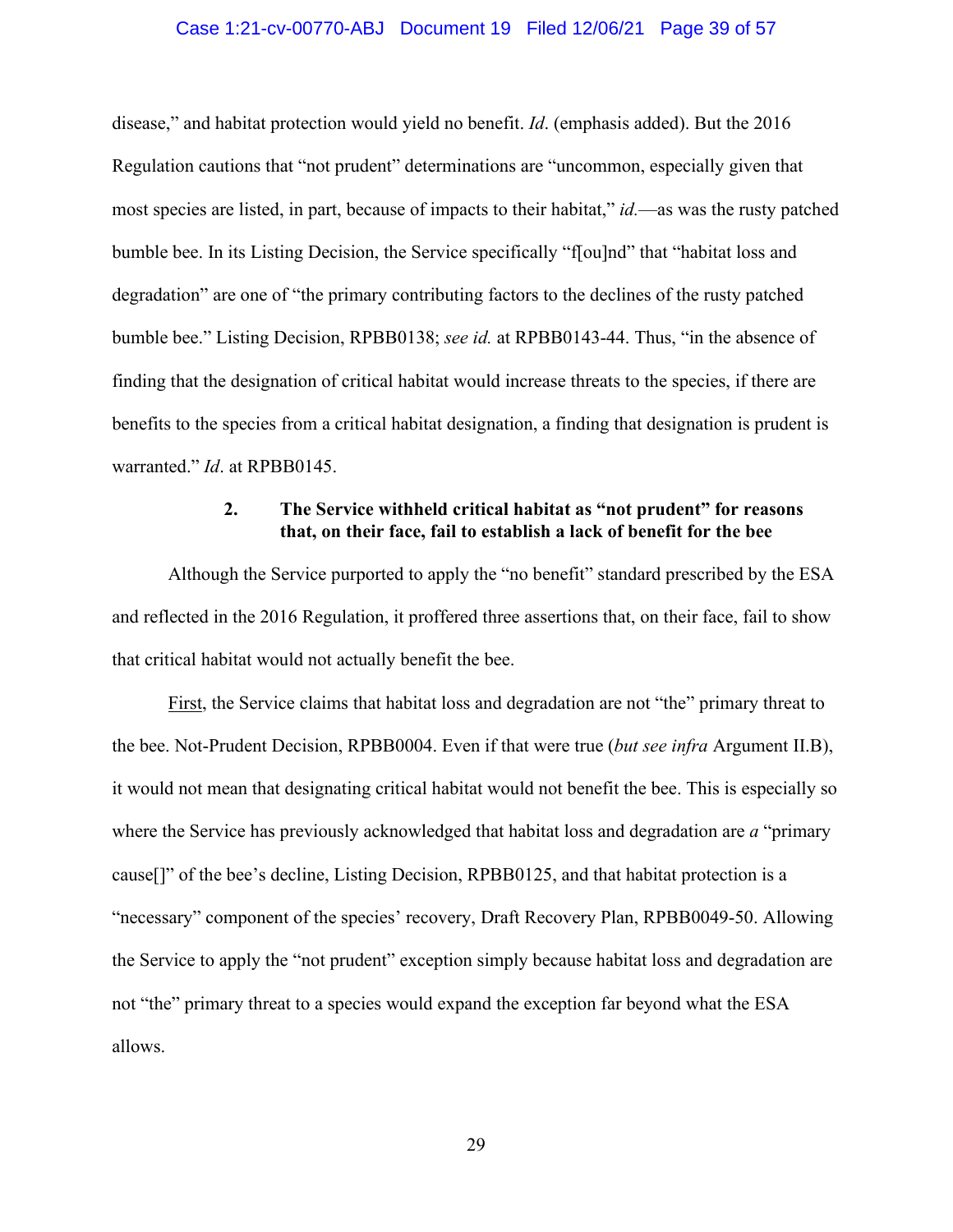#### Case 1:21-cv-00770-ABJ Document 19 Filed 12/06/21 Page 39 of 57

disease," and habitat protection would yield no benefit. *Id*. (emphasis added). But the 2016 Regulation cautions that "not prudent" determinations are "uncommon, especially given that most species are listed, in part, because of impacts to their habitat," *id.*—as was the rusty patched bumble bee. In its Listing Decision, the Service specifically "f[ou]nd" that "habitat loss and degradation" are one of "the primary contributing factors to the declines of the rusty patched bumble bee." Listing Decision, RPBB0138; *see id.* at RPBB0143-44. Thus, "in the absence of finding that the designation of critical habitat would increase threats to the species, if there are benefits to the species from a critical habitat designation, a finding that designation is prudent is warranted." *Id*. at RPBB0145.

## **2. The Service withheld critical habitat as "not prudent" for reasons that, on their face, fail to establish a lack of benefit for the bee**

Although the Service purported to apply the "no benefit" standard prescribed by the ESA and reflected in the 2016 Regulation, it proffered three assertions that, on their face, fail to show that critical habitat would not actually benefit the bee.

First, the Service claims that habitat loss and degradation are not "the" primary threat to the bee. Not-Prudent Decision, RPBB0004. Even if that were true (*but see infra* Argument II.B), it would not mean that designating critical habitat would not benefit the bee. This is especially so where the Service has previously acknowledged that habitat loss and degradation are *a* "primary cause[]" of the bee's decline, Listing Decision, RPBB0125, and that habitat protection is a "necessary" component of the species' recovery, Draft Recovery Plan, RPBB0049-50. Allowing the Service to apply the "not prudent" exception simply because habitat loss and degradation are not "the" primary threat to a species would expand the exception far beyond what the ESA allows.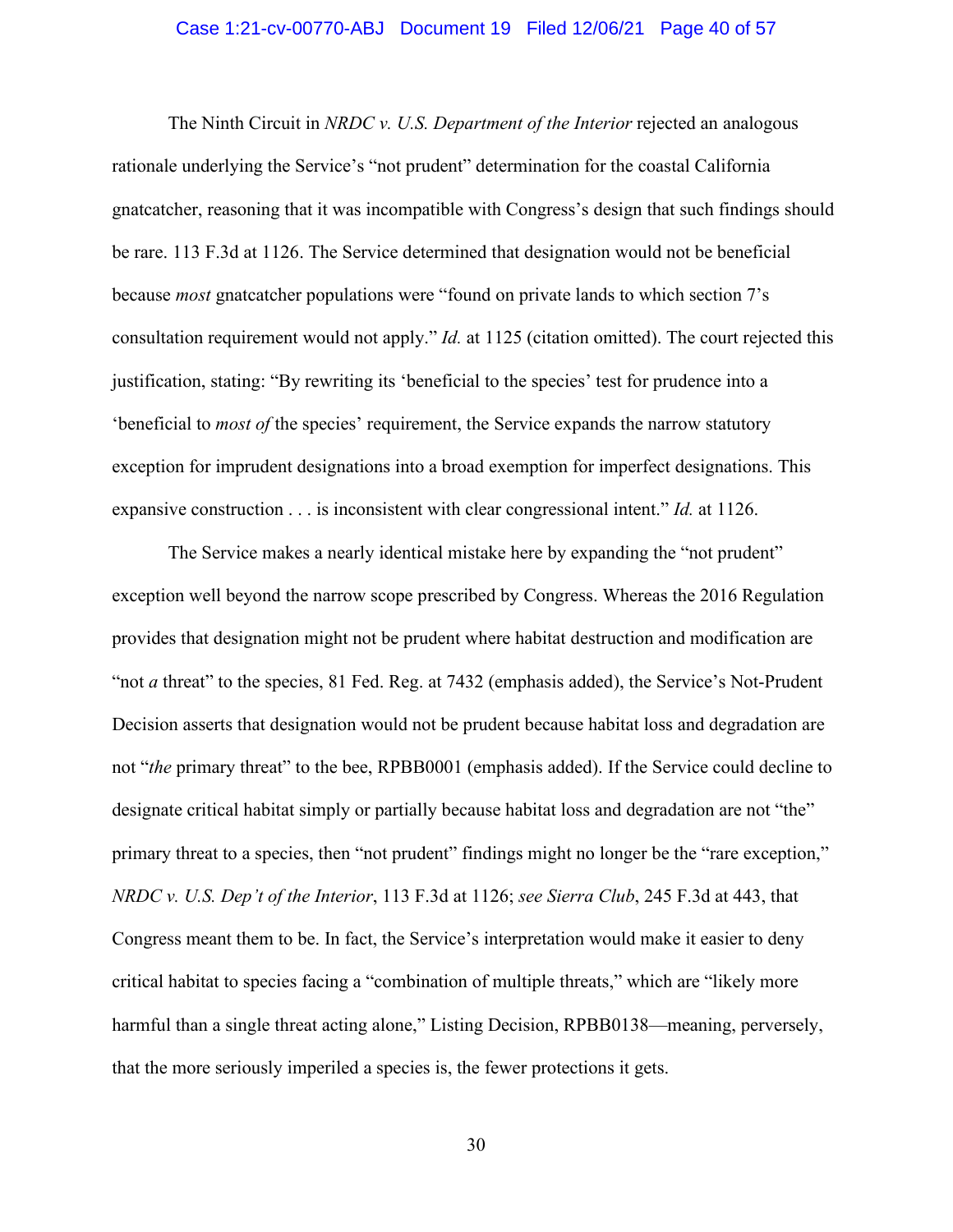#### Case 1:21-cv-00770-ABJ Document 19 Filed 12/06/21 Page 40 of 57

The Ninth Circuit in *NRDC v. U.S. Department of the Interior* rejected an analogous rationale underlying the Service's "not prudent" determination for the coastal California gnatcatcher, reasoning that it was incompatible with Congress's design that such findings should be rare. 113 F.3d at 1126. The Service determined that designation would not be beneficial because *most* gnatcatcher populations were "found on private lands to which section 7's consultation requirement would not apply." *Id.* at 1125 (citation omitted). The court rejected this justification, stating: "By rewriting its 'beneficial to the species' test for prudence into a 'beneficial to *most of* the species' requirement, the Service expands the narrow statutory exception for imprudent designations into a broad exemption for imperfect designations. This expansive construction . . . is inconsistent with clear congressional intent." *Id.* at 1126.

The Service makes a nearly identical mistake here by expanding the "not prudent" exception well beyond the narrow scope prescribed by Congress. Whereas the 2016 Regulation provides that designation might not be prudent where habitat destruction and modification are "not *a* threat" to the species, 81 Fed. Reg. at 7432 (emphasis added), the Service's Not-Prudent Decision asserts that designation would not be prudent because habitat loss and degradation are not "*the* primary threat" to the bee, RPBB0001 (emphasis added). If the Service could decline to designate critical habitat simply or partially because habitat loss and degradation are not "the" primary threat to a species, then "not prudent" findings might no longer be the "rare exception," *NRDC v. U.S. Dep't of the Interior*, 113 F.3d at 1126; *see Sierra Club*, 245 F.3d at 443, that Congress meant them to be. In fact, the Service's interpretation would make it easier to deny critical habitat to species facing a "combination of multiple threats," which are "likely more harmful than a single threat acting alone," Listing Decision, RPBB0138—meaning, perversely, that the more seriously imperiled a species is, the fewer protections it gets.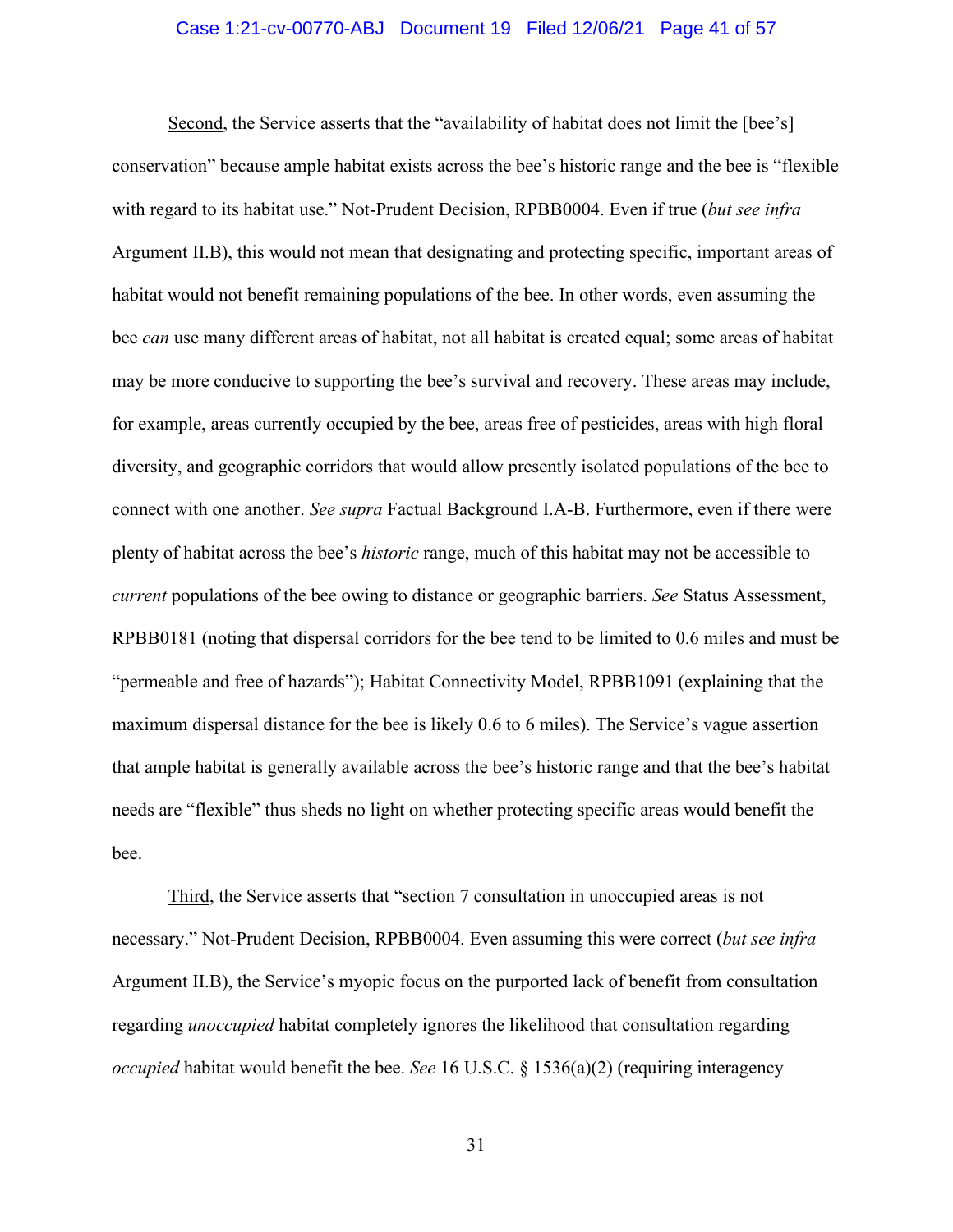#### Case 1:21-cv-00770-ABJ Document 19 Filed 12/06/21 Page 41 of 57

Second, the Service asserts that the "availability of habitat does not limit the [bee's] conservation" because ample habitat exists across the bee's historic range and the bee is "flexible with regard to its habitat use." Not-Prudent Decision, RPBB0004. Even if true (*but see infra*  Argument II.B), this would not mean that designating and protecting specific, important areas of habitat would not benefit remaining populations of the bee. In other words, even assuming the bee *can* use many different areas of habitat, not all habitat is created equal; some areas of habitat may be more conducive to supporting the bee's survival and recovery. These areas may include, for example, areas currently occupied by the bee, areas free of pesticides, areas with high floral diversity, and geographic corridors that would allow presently isolated populations of the bee to connect with one another. *See supra* Factual Background I.A-B. Furthermore, even if there were plenty of habitat across the bee's *historic* range, much of this habitat may not be accessible to *current* populations of the bee owing to distance or geographic barriers. *See* Status Assessment, RPBB0181 (noting that dispersal corridors for the bee tend to be limited to 0.6 miles and must be "permeable and free of hazards"); Habitat Connectivity Model, RPBB1091 (explaining that the maximum dispersal distance for the bee is likely 0.6 to 6 miles). The Service's vague assertion that ample habitat is generally available across the bee's historic range and that the bee's habitat needs are "flexible" thus sheds no light on whether protecting specific areas would benefit the bee.

Third, the Service asserts that "section 7 consultation in unoccupied areas is not necessary." Not-Prudent Decision, RPBB0004. Even assuming this were correct (*but see infra*  Argument II.B), the Service's myopic focus on the purported lack of benefit from consultation regarding *unoccupied* habitat completely ignores the likelihood that consultation regarding *occupied* habitat would benefit the bee. *See* 16 U.S.C. § 1536(a)(2) (requiring interagency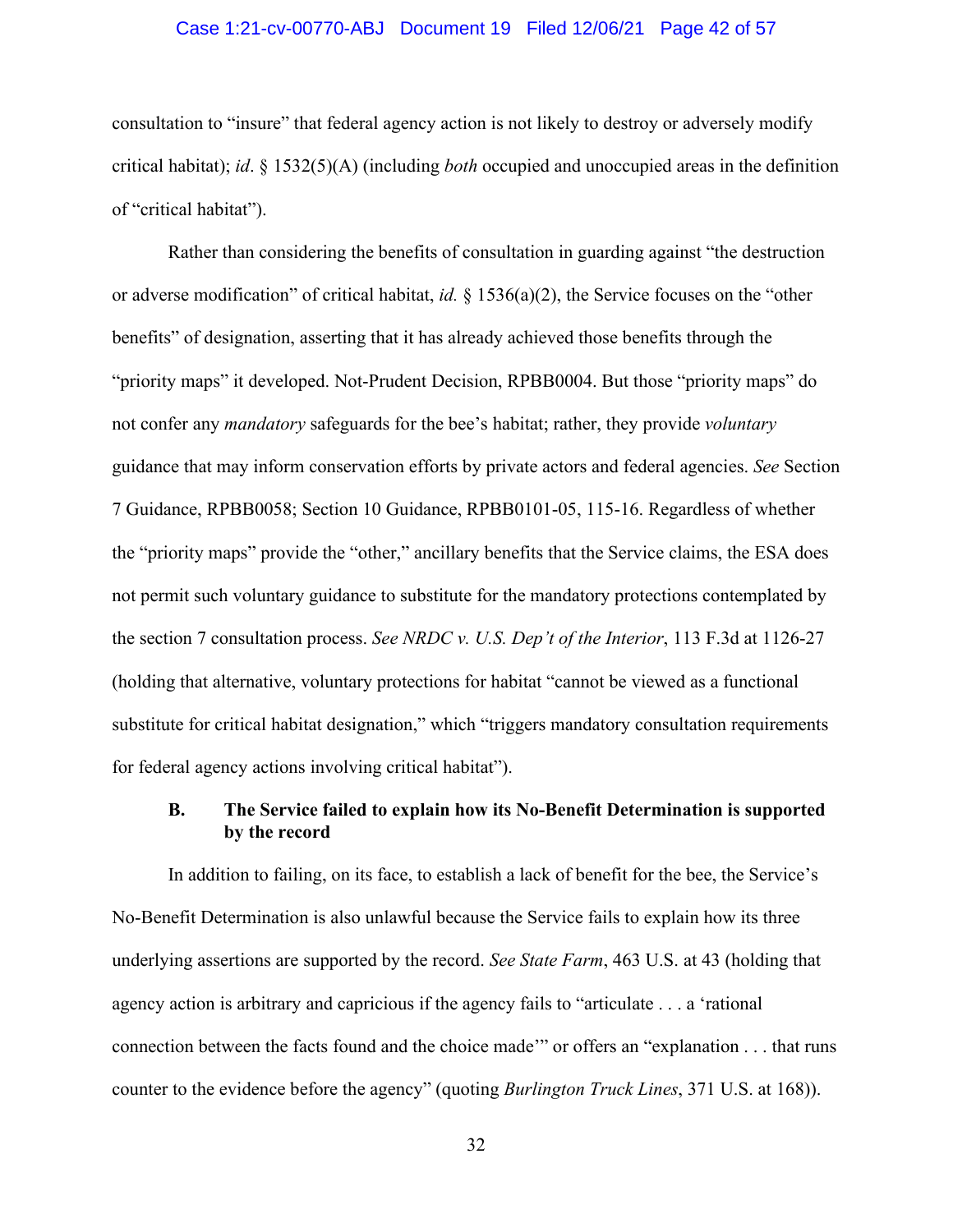#### Case 1:21-cv-00770-ABJ Document 19 Filed 12/06/21 Page 42 of 57

consultation to "insure" that federal agency action is not likely to destroy or adversely modify critical habitat); *id*. § 1532(5)(A) (including *both* occupied and unoccupied areas in the definition of "critical habitat").

Rather than considering the benefits of consultation in guarding against "the destruction or adverse modification" of critical habitat, *id.* § 1536(a)(2), the Service focuses on the "other benefits" of designation, asserting that it has already achieved those benefits through the "priority maps" it developed. Not-Prudent Decision, RPBB0004. But those "priority maps" do not confer any *mandatory* safeguards for the bee's habitat; rather, they provide *voluntary* guidance that may inform conservation efforts by private actors and federal agencies. *See* Section 7 Guidance, RPBB0058; Section 10 Guidance, RPBB0101-05, 115-16. Regardless of whether the "priority maps" provide the "other," ancillary benefits that the Service claims, the ESA does not permit such voluntary guidance to substitute for the mandatory protections contemplated by the section 7 consultation process. *See NRDC v. U.S. Dep't of the Interior*, 113 F.3d at 1126-27 (holding that alternative, voluntary protections for habitat "cannot be viewed as a functional substitute for critical habitat designation," which "triggers mandatory consultation requirements for federal agency actions involving critical habitat").

## **B. The Service failed to explain how its No-Benefit Determination is supported by the record**

In addition to failing, on its face, to establish a lack of benefit for the bee, the Service's No-Benefit Determination is also unlawful because the Service fails to explain how its three underlying assertions are supported by the record. *See State Farm*, 463 U.S. at 43 (holding that agency action is arbitrary and capricious if the agency fails to "articulate . . . a 'rational connection between the facts found and the choice made'" or offers an "explanation . . . that runs counter to the evidence before the agency" (quoting *Burlington Truck Lines*, 371 U.S. at 168)).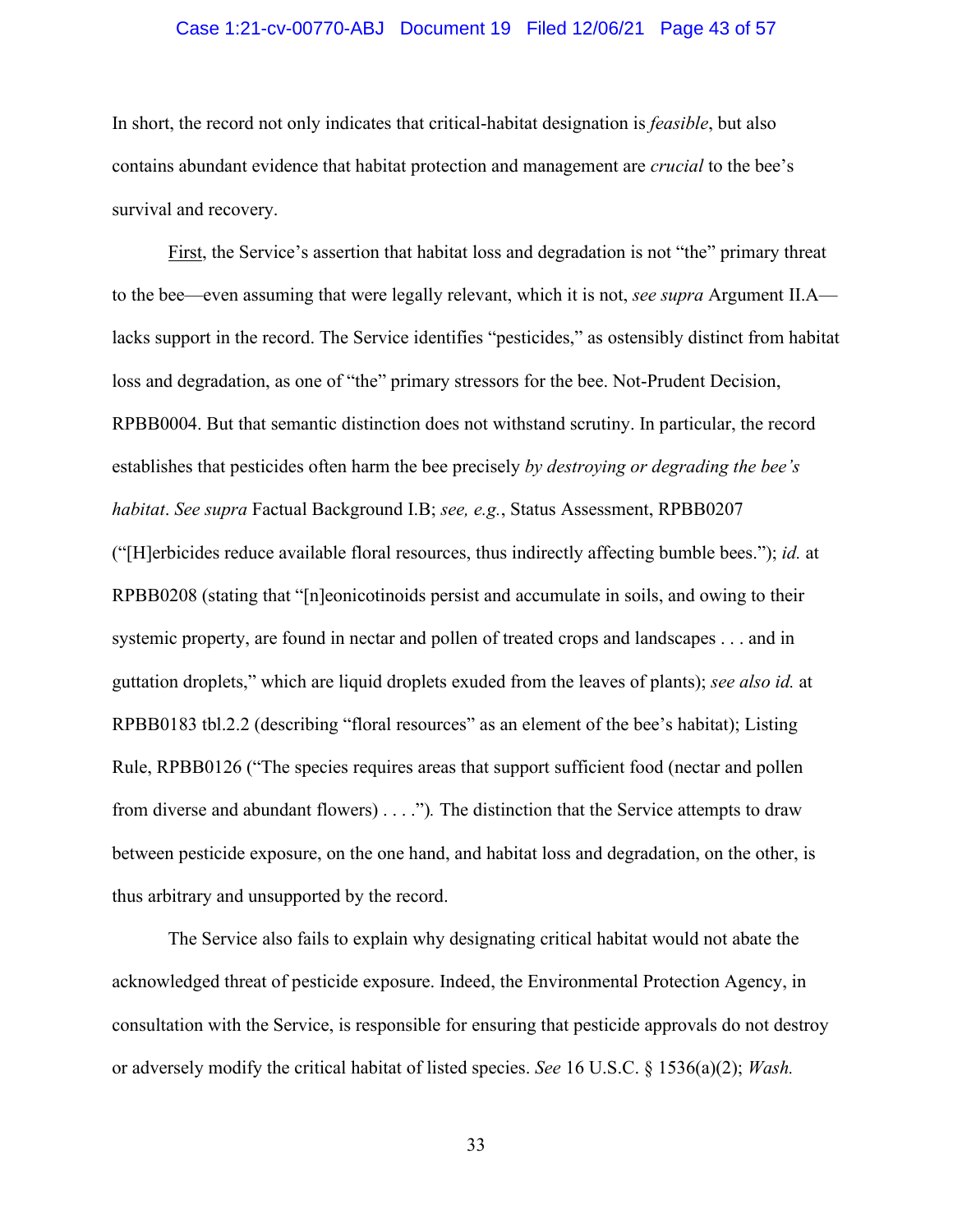#### Case 1:21-cv-00770-ABJ Document 19 Filed 12/06/21 Page 43 of 57

In short, the record not only indicates that critical-habitat designation is *feasible*, but also contains abundant evidence that habitat protection and management are *crucial* to the bee's survival and recovery.

First, the Service's assertion that habitat loss and degradation is not "the" primary threat to the bee—even assuming that were legally relevant, which it is not, *see supra* Argument II.A lacks support in the record. The Service identifies "pesticides," as ostensibly distinct from habitat loss and degradation, as one of "the" primary stressors for the bee. Not-Prudent Decision, RPBB0004. But that semantic distinction does not withstand scrutiny. In particular, the record establishes that pesticides often harm the bee precisely *by destroying or degrading the bee's habitat*. *See supra* Factual Background I.B; *see, e.g.*, Status Assessment, RPBB0207 ("[H]erbicides reduce available floral resources, thus indirectly affecting bumble bees."); *id.* at RPBB0208 (stating that "[n]eonicotinoids persist and accumulate in soils, and owing to their systemic property, are found in nectar and pollen of treated crops and landscapes . . . and in guttation droplets," which are liquid droplets exuded from the leaves of plants); *see also id.* at RPBB0183 tbl.2.2 (describing "floral resources" as an element of the bee's habitat); Listing Rule, RPBB0126 ("The species requires areas that support sufficient food (nectar and pollen from diverse and abundant flowers) . . . .")*.* The distinction that the Service attempts to draw between pesticide exposure, on the one hand, and habitat loss and degradation, on the other, is thus arbitrary and unsupported by the record.

The Service also fails to explain why designating critical habitat would not abate the acknowledged threat of pesticide exposure. Indeed, the Environmental Protection Agency, in consultation with the Service, is responsible for ensuring that pesticide approvals do not destroy or adversely modify the critical habitat of listed species. *See* 16 U.S.C. § 1536(a)(2); *Wash.*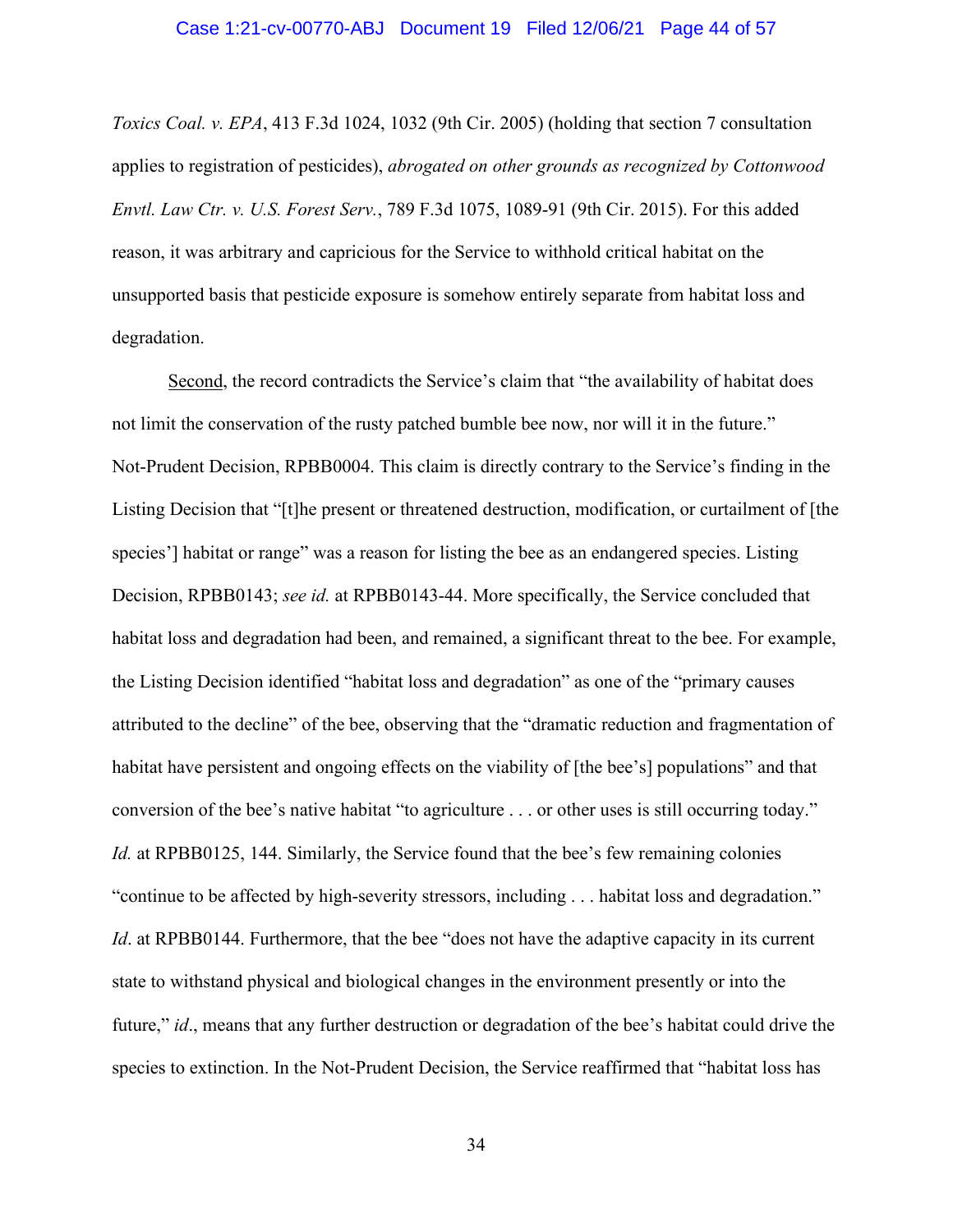#### Case 1:21-cv-00770-ABJ Document 19 Filed 12/06/21 Page 44 of 57

*Toxics Coal. v. EPA*, 413 F.3d 1024, 1032 (9th Cir. 2005) (holding that section 7 consultation applies to registration of pesticides), *abrogated on other grounds as recognized by Cottonwood Envtl. Law Ctr. v. U.S. Forest Serv.*, 789 F.3d 1075, 1089-91 (9th Cir. 2015). For this added reason, it was arbitrary and capricious for the Service to withhold critical habitat on the unsupported basis that pesticide exposure is somehow entirely separate from habitat loss and degradation.

Second, the record contradicts the Service's claim that "the availability of habitat does not limit the conservation of the rusty patched bumble bee now, nor will it in the future." Not-Prudent Decision, RPBB0004. This claim is directly contrary to the Service's finding in the Listing Decision that "[t]he present or threatened destruction, modification, or curtailment of [the species'] habitat or range" was a reason for listing the bee as an endangered species. Listing Decision, RPBB0143; *see id.* at RPBB0143-44. More specifically, the Service concluded that habitat loss and degradation had been, and remained, a significant threat to the bee. For example, the Listing Decision identified "habitat loss and degradation" as one of the "primary causes attributed to the decline" of the bee, observing that the "dramatic reduction and fragmentation of habitat have persistent and ongoing effects on the viability of [the bee's] populations" and that conversion of the bee's native habitat "to agriculture . . . or other uses is still occurring today." *Id.* at RPBB0125, 144. Similarly, the Service found that the bee's few remaining colonies "continue to be affected by high-severity stressors, including . . . habitat loss and degradation." *Id.* at RPBB0144. Furthermore, that the bee "does not have the adaptive capacity in its current state to withstand physical and biological changes in the environment presently or into the future," *id*., means that any further destruction or degradation of the bee's habitat could drive the species to extinction. In the Not-Prudent Decision, the Service reaffirmed that "habitat loss has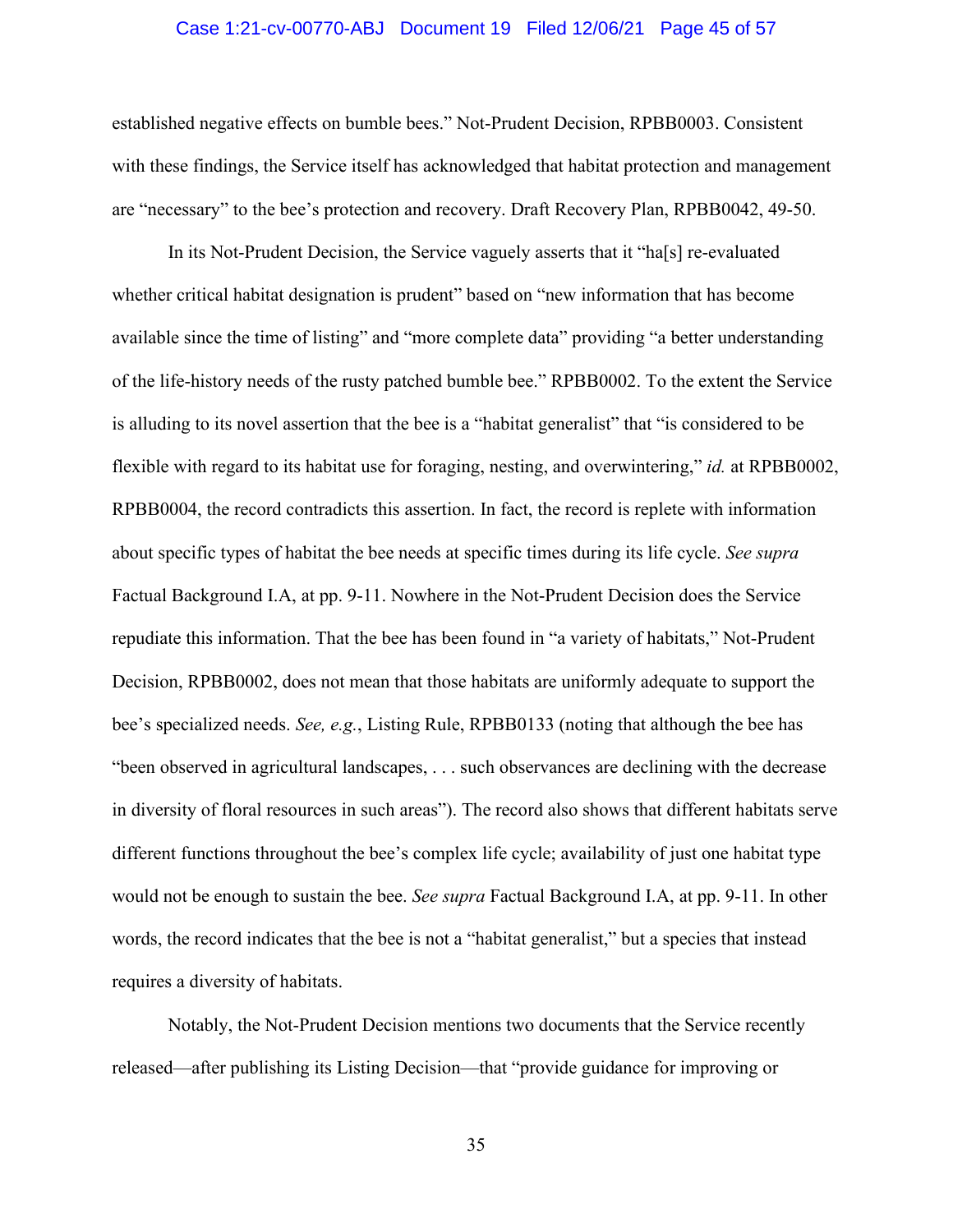#### Case 1:21-cv-00770-ABJ Document 19 Filed 12/06/21 Page 45 of 57

established negative effects on bumble bees." Not-Prudent Decision, RPBB0003. Consistent with these findings, the Service itself has acknowledged that habitat protection and management are "necessary" to the bee's protection and recovery. Draft Recovery Plan, RPBB0042, 49-50.

In its Not-Prudent Decision, the Service vaguely asserts that it "ha[s] re-evaluated whether critical habitat designation is prudent" based on "new information that has become available since the time of listing" and "more complete data" providing "a better understanding of the life-history needs of the rusty patched bumble bee." RPBB0002. To the extent the Service is alluding to its novel assertion that the bee is a "habitat generalist" that "is considered to be flexible with regard to its habitat use for foraging, nesting, and overwintering," *id.* at RPBB0002, RPBB0004, the record contradicts this assertion. In fact, the record is replete with information about specific types of habitat the bee needs at specific times during its life cycle. *See supra* Factual Background I.A, at pp. 9-11. Nowhere in the Not-Prudent Decision does the Service repudiate this information. That the bee has been found in "a variety of habitats," Not-Prudent Decision, RPBB0002, does not mean that those habitats are uniformly adequate to support the bee's specialized needs. *See, e.g.*, Listing Rule, RPBB0133 (noting that although the bee has "been observed in agricultural landscapes, . . . such observances are declining with the decrease in diversity of floral resources in such areas"). The record also shows that different habitats serve different functions throughout the bee's complex life cycle; availability of just one habitat type would not be enough to sustain the bee. *See supra* Factual Background I.A, at pp. 9-11. In other words, the record indicates that the bee is not a "habitat generalist," but a species that instead requires a diversity of habitats.

Notably, the Not-Prudent Decision mentions two documents that the Service recently released—after publishing its Listing Decision—that "provide guidance for improving or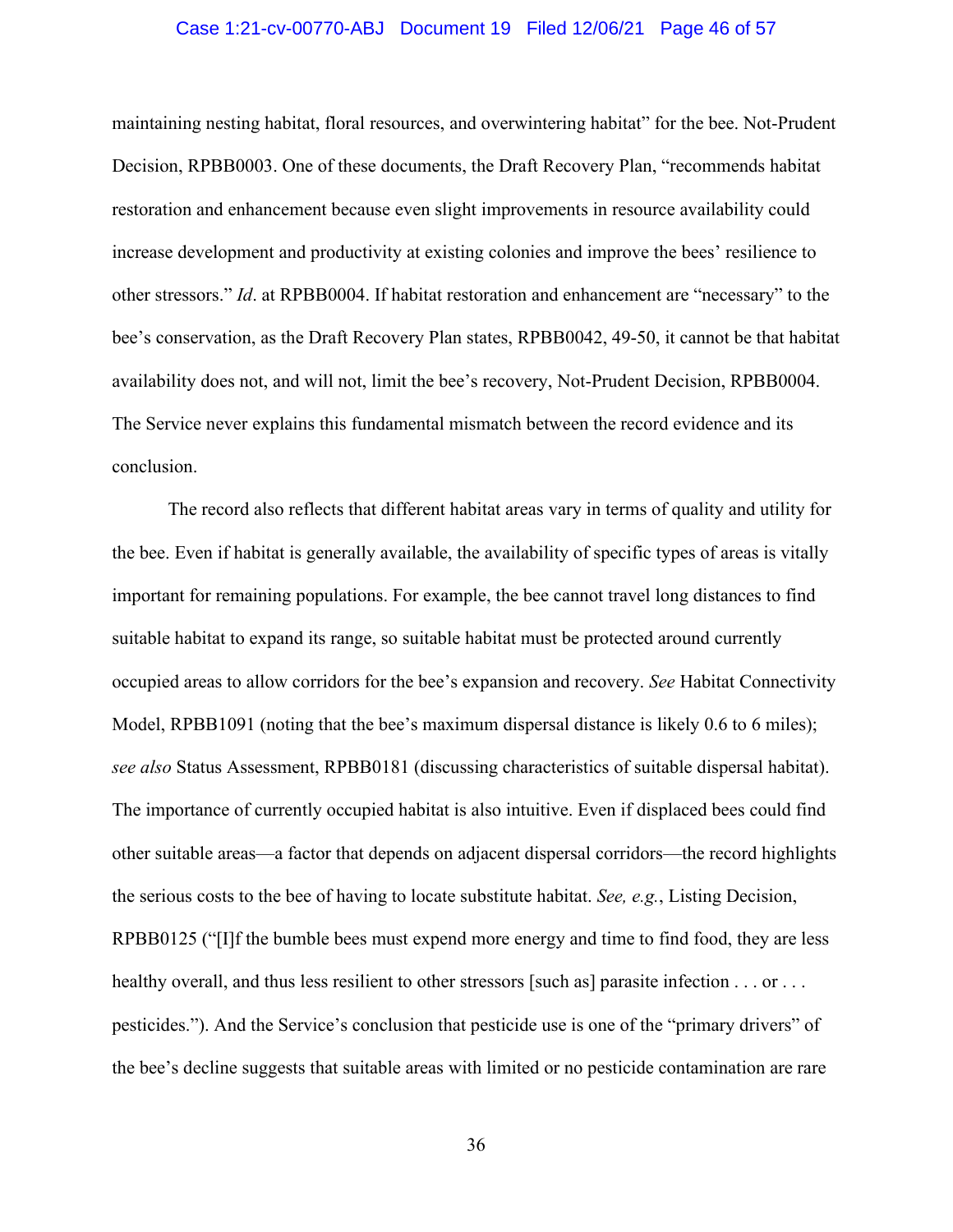#### Case 1:21-cv-00770-ABJ Document 19 Filed 12/06/21 Page 46 of 57

maintaining nesting habitat, floral resources, and overwintering habitat" for the bee. Not-Prudent Decision, RPBB0003. One of these documents, the Draft Recovery Plan, "recommends habitat restoration and enhancement because even slight improvements in resource availability could increase development and productivity at existing colonies and improve the bees' resilience to other stressors." *Id*. at RPBB0004. If habitat restoration and enhancement are "necessary" to the bee's conservation, as the Draft Recovery Plan states, RPBB0042, 49-50, it cannot be that habitat availability does not, and will not, limit the bee's recovery, Not-Prudent Decision, RPBB0004. The Service never explains this fundamental mismatch between the record evidence and its conclusion.

The record also reflects that different habitat areas vary in terms of quality and utility for the bee. Even if habitat is generally available, the availability of specific types of areas is vitally important for remaining populations. For example, the bee cannot travel long distances to find suitable habitat to expand its range, so suitable habitat must be protected around currently occupied areas to allow corridors for the bee's expansion and recovery. *See* Habitat Connectivity Model, RPBB1091 (noting that the bee's maximum dispersal distance is likely 0.6 to 6 miles); *see also* Status Assessment, RPBB0181 (discussing characteristics of suitable dispersal habitat). The importance of currently occupied habitat is also intuitive. Even if displaced bees could find other suitable areas—a factor that depends on adjacent dispersal corridors—the record highlights the serious costs to the bee of having to locate substitute habitat. *See, e.g.*, Listing Decision, RPBB0125 ("[I]f the bumble bees must expend more energy and time to find food, they are less healthy overall, and thus less resilient to other stressors [such as] parasite infection  $\dots$  or  $\dots$ pesticides."). And the Service's conclusion that pesticide use is one of the "primary drivers" of the bee's decline suggests that suitable areas with limited or no pesticide contamination are rare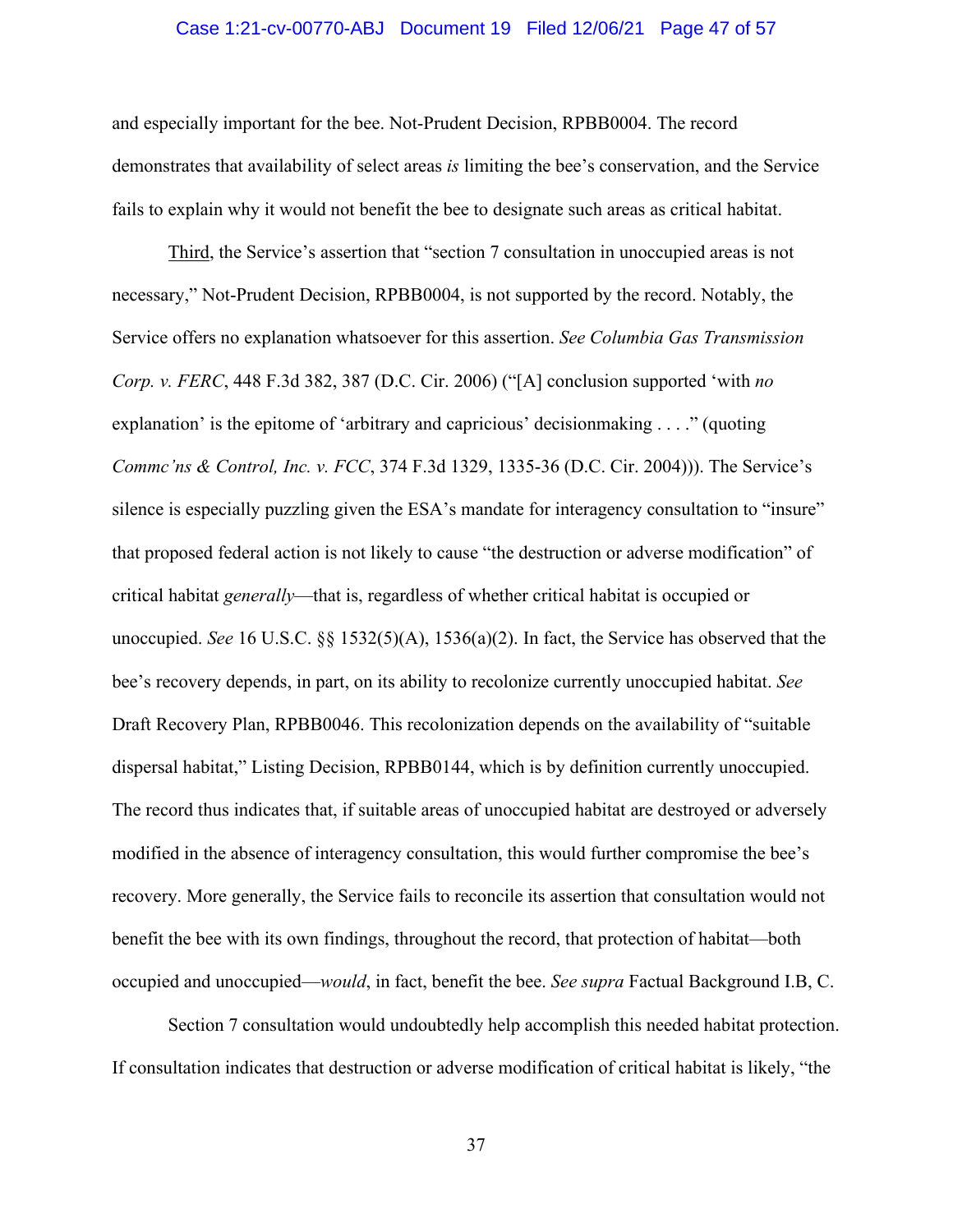#### Case 1:21-cv-00770-ABJ Document 19 Filed 12/06/21 Page 47 of 57

and especially important for the bee. Not-Prudent Decision, RPBB0004. The record demonstrates that availability of select areas *is* limiting the bee's conservation, and the Service fails to explain why it would not benefit the bee to designate such areas as critical habitat.

Third, the Service's assertion that "section 7 consultation in unoccupied areas is not necessary," Not-Prudent Decision, RPBB0004, is not supported by the record. Notably, the Service offers no explanation whatsoever for this assertion. *See Columbia Gas Transmission Corp. v. FERC*, 448 F.3d 382, 387 (D.C. Cir. 2006) ("[A] conclusion supported 'with *no* explanation' is the epitome of 'arbitrary and capricious' decisionmaking . . . ." (quoting *Commc'ns & Control, Inc. v. FCC*, 374 F.3d 1329, 1335-36 (D.C. Cir. 2004))). The Service's silence is especially puzzling given the ESA's mandate for interagency consultation to "insure" that proposed federal action is not likely to cause "the destruction or adverse modification" of critical habitat *generally*—that is, regardless of whether critical habitat is occupied or unoccupied. *See* 16 U.S.C. §§ 1532(5)(A), 1536(a)(2). In fact, the Service has observed that the bee's recovery depends, in part, on its ability to recolonize currently unoccupied habitat. *See* Draft Recovery Plan, RPBB0046. This recolonization depends on the availability of "suitable dispersal habitat," Listing Decision, RPBB0144, which is by definition currently unoccupied. The record thus indicates that, if suitable areas of unoccupied habitat are destroyed or adversely modified in the absence of interagency consultation, this would further compromise the bee's recovery. More generally, the Service fails to reconcile its assertion that consultation would not benefit the bee with its own findings, throughout the record, that protection of habitat—both occupied and unoccupied—*would*, in fact, benefit the bee. *See supra* Factual Background I.B, C.

Section 7 consultation would undoubtedly help accomplish this needed habitat protection. If consultation indicates that destruction or adverse modification of critical habitat is likely, "the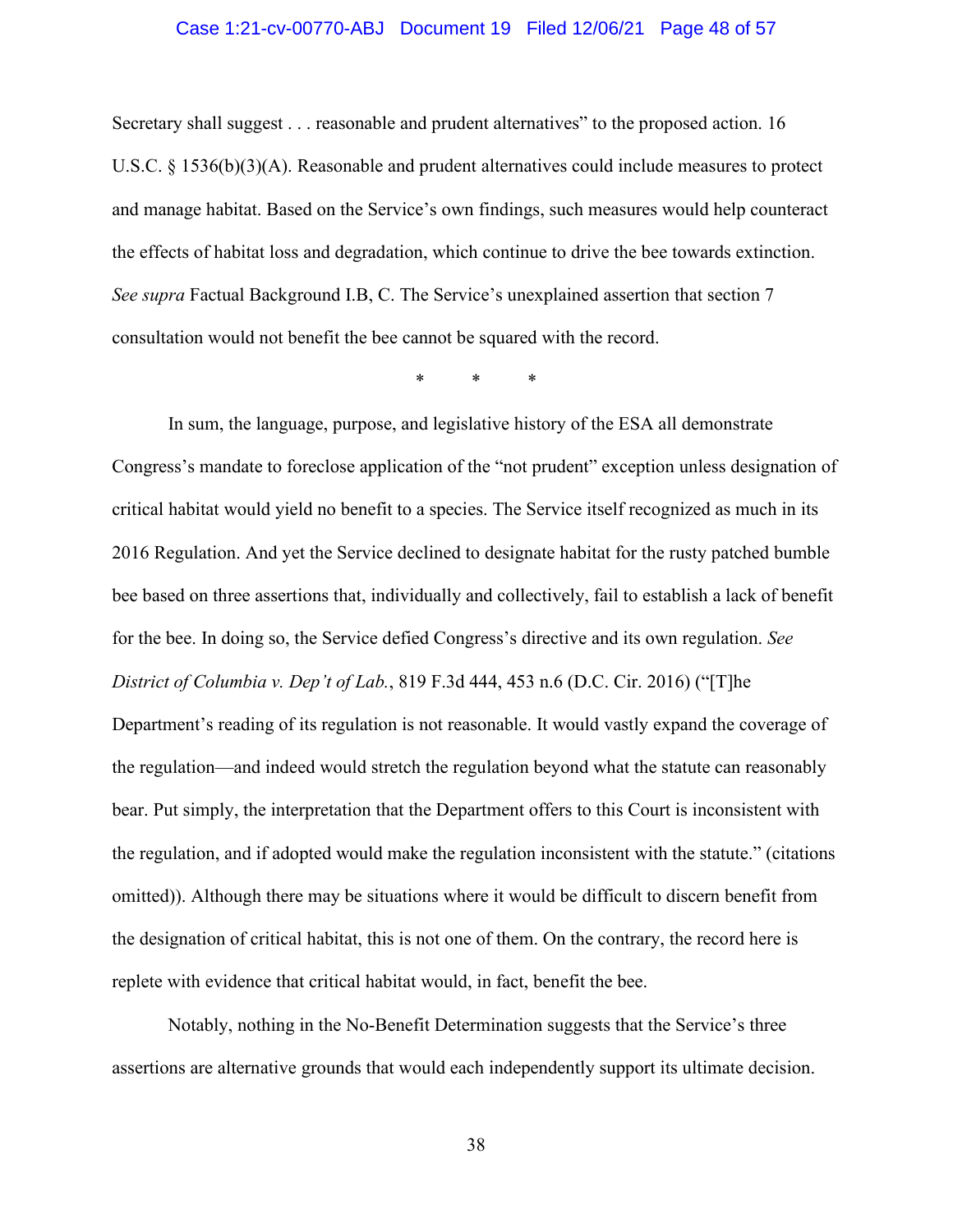#### Case 1:21-cv-00770-ABJ Document 19 Filed 12/06/21 Page 48 of 57

Secretary shall suggest . . . reasonable and prudent alternatives" to the proposed action. 16 U.S.C. § 1536(b)(3)(A). Reasonable and prudent alternatives could include measures to protect and manage habitat. Based on the Service's own findings, such measures would help counteract the effects of habitat loss and degradation, which continue to drive the bee towards extinction. *See supra* Factual Background I.B, C. The Service's unexplained assertion that section 7 consultation would not benefit the bee cannot be squared with the record.

\* \* \*

In sum, the language, purpose, and legislative history of the ESA all demonstrate Congress's mandate to foreclose application of the "not prudent" exception unless designation of critical habitat would yield no benefit to a species. The Service itself recognized as much in its 2016 Regulation. And yet the Service declined to designate habitat for the rusty patched bumble bee based on three assertions that, individually and collectively, fail to establish a lack of benefit for the bee. In doing so, the Service defied Congress's directive and its own regulation. *See District of Columbia v. Dep't of Lab.*, 819 F.3d 444, 453 n.6 (D.C. Cir. 2016) ("[T]he Department's reading of its regulation is not reasonable. It would vastly expand the coverage of the regulation—and indeed would stretch the regulation beyond what the statute can reasonably bear. Put simply, the interpretation that the Department offers to this Court is inconsistent with the regulation, and if adopted would make the regulation inconsistent with the statute." (citations omitted)). Although there may be situations where it would be difficult to discern benefit from the designation of critical habitat, this is not one of them. On the contrary, the record here is replete with evidence that critical habitat would, in fact, benefit the bee.

Notably, nothing in the No-Benefit Determination suggests that the Service's three assertions are alternative grounds that would each independently support its ultimate decision.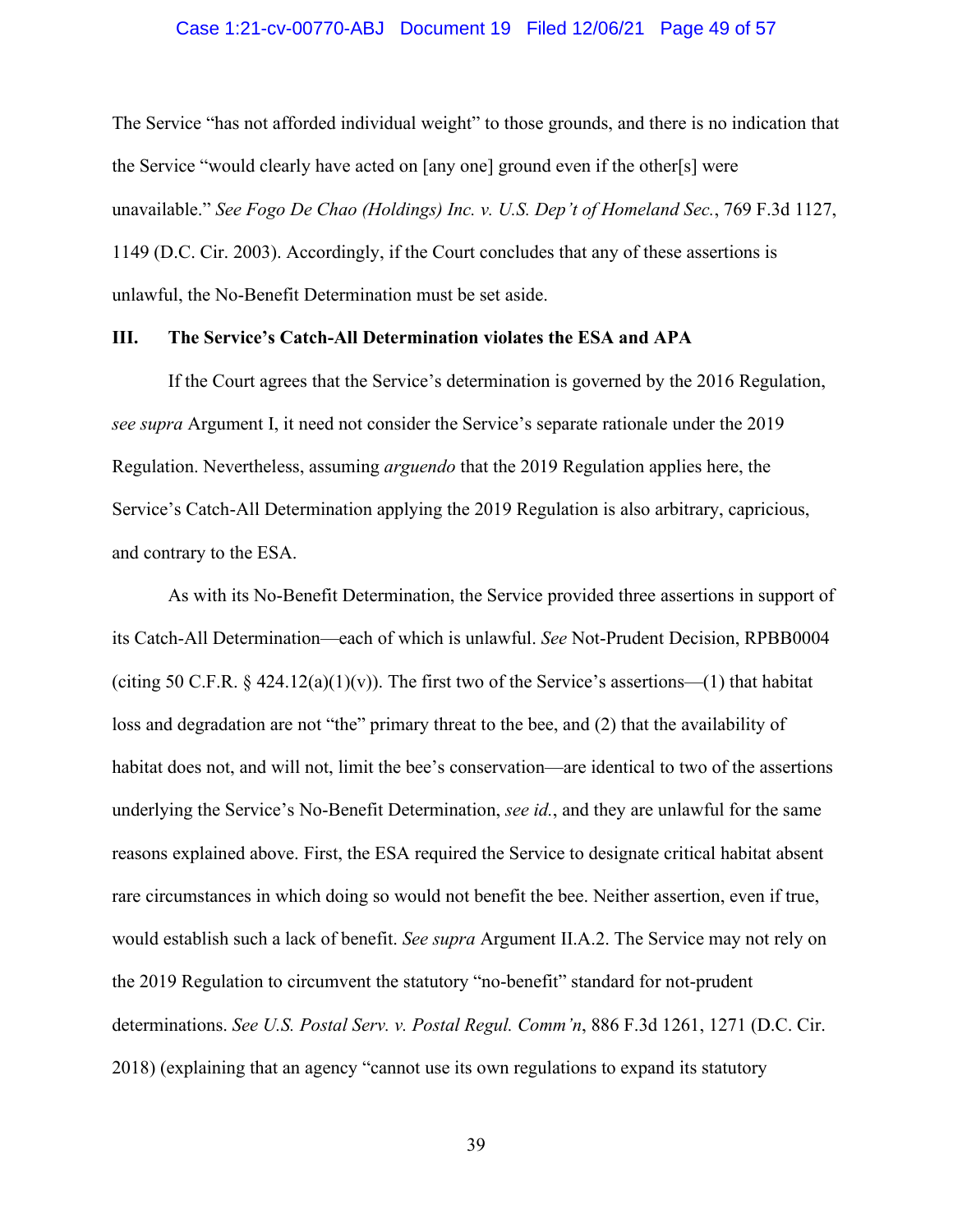#### Case 1:21-cv-00770-ABJ Document 19 Filed 12/06/21 Page 49 of 57

The Service "has not afforded individual weight" to those grounds, and there is no indication that the Service "would clearly have acted on [any one] ground even if the other[s] were unavailable." *See Fogo De Chao (Holdings) Inc. v. U.S. Dep't of Homeland Sec.*, 769 F.3d 1127, 1149 (D.C. Cir. 2003). Accordingly, if the Court concludes that any of these assertions is unlawful, the No-Benefit Determination must be set aside.

#### **III. The Service's Catch-All Determination violates the ESA and APA**

If the Court agrees that the Service's determination is governed by the 2016 Regulation, *see supra* Argument I, it need not consider the Service's separate rationale under the 2019 Regulation. Nevertheless, assuming *arguendo* that the 2019 Regulation applies here, the Service's Catch-All Determination applying the 2019 Regulation is also arbitrary, capricious, and contrary to the ESA.

As with its No-Benefit Determination, the Service provided three assertions in support of its Catch-All Determination—each of which is unlawful. *See* Not-Prudent Decision, RPBB0004 (citing 50 C.F.R. § 424.12(a)(1)(v)). The first two of the Service's assertions—(1) that habitat loss and degradation are not "the" primary threat to the bee, and (2) that the availability of habitat does not, and will not, limit the bee's conservation—are identical to two of the assertions underlying the Service's No-Benefit Determination, *see id.*, and they are unlawful for the same reasons explained above. First, the ESA required the Service to designate critical habitat absent rare circumstances in which doing so would not benefit the bee. Neither assertion, even if true, would establish such a lack of benefit. *See supra* Argument II.A.2. The Service may not rely on the 2019 Regulation to circumvent the statutory "no-benefit" standard for not-prudent determinations. *See U.S. Postal Serv. v. Postal Regul. Comm'n*, 886 F.3d 1261, 1271 (D.C. Cir. 2018) (explaining that an agency "cannot use its own regulations to expand its statutory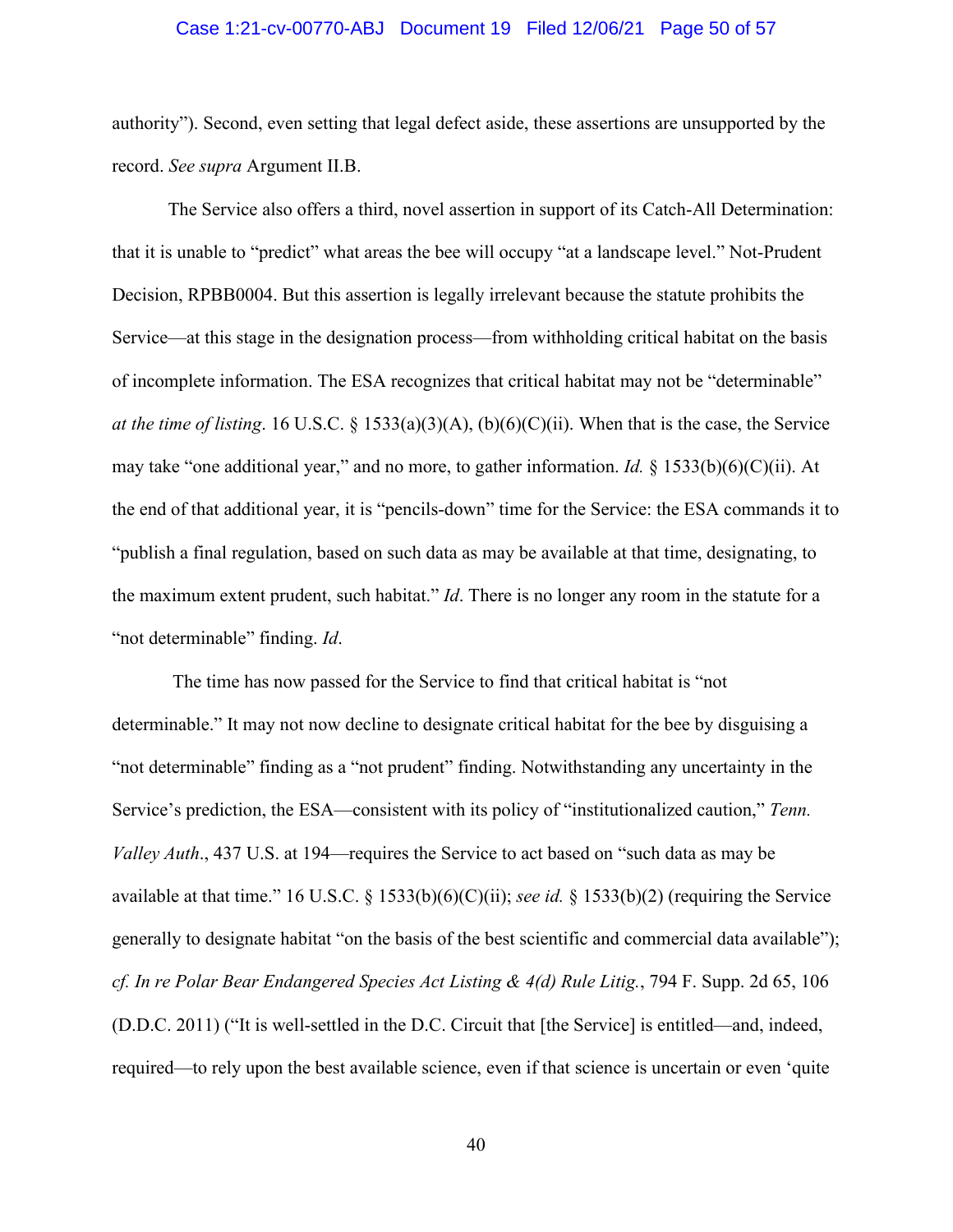#### Case 1:21-cv-00770-ABJ Document 19 Filed 12/06/21 Page 50 of 57

authority"). Second, even setting that legal defect aside, these assertions are unsupported by the record. *See supra* Argument II.B.

The Service also offers a third, novel assertion in support of its Catch-All Determination: that it is unable to "predict" what areas the bee will occupy "at a landscape level." Not-Prudent Decision, RPBB0004. But this assertion is legally irrelevant because the statute prohibits the Service—at this stage in the designation process—from withholding critical habitat on the basis of incomplete information. The ESA recognizes that critical habitat may not be "determinable" *at the time of listing*. 16 U.S.C. § 1533(a)(3)(A), (b)(6)(C)(ii). When that is the case, the Service may take "one additional year," and no more, to gather information. *Id.* § 1533(b)(6)(C)(ii). At the end of that additional year, it is "pencils-down" time for the Service: the ESA commands it to "publish a final regulation, based on such data as may be available at that time, designating, to the maximum extent prudent, such habitat." *Id*. There is no longer any room in the statute for a "not determinable" finding. *Id*.

The time has now passed for the Service to find that critical habitat is "not determinable." It may not now decline to designate critical habitat for the bee by disguising a "not determinable" finding as a "not prudent" finding. Notwithstanding any uncertainty in the Service's prediction, the ESA—consistent with its policy of "institutionalized caution," *Tenn. Valley Auth*., 437 U.S. at 194—requires the Service to act based on "such data as may be available at that time." 16 U.S.C. § 1533(b)(6)(C)(ii); *see id.* § 1533(b)(2) (requiring the Service generally to designate habitat "on the basis of the best scientific and commercial data available"); *cf. In re Polar Bear Endangered Species Act Listing & 4(d) Rule Litig.*, 794 F. Supp. 2d 65, 106 (D.D.C. 2011) ("It is well-settled in the D.C. Circuit that [the Service] is entitled—and, indeed, required—to rely upon the best available science, even if that science is uncertain or even 'quite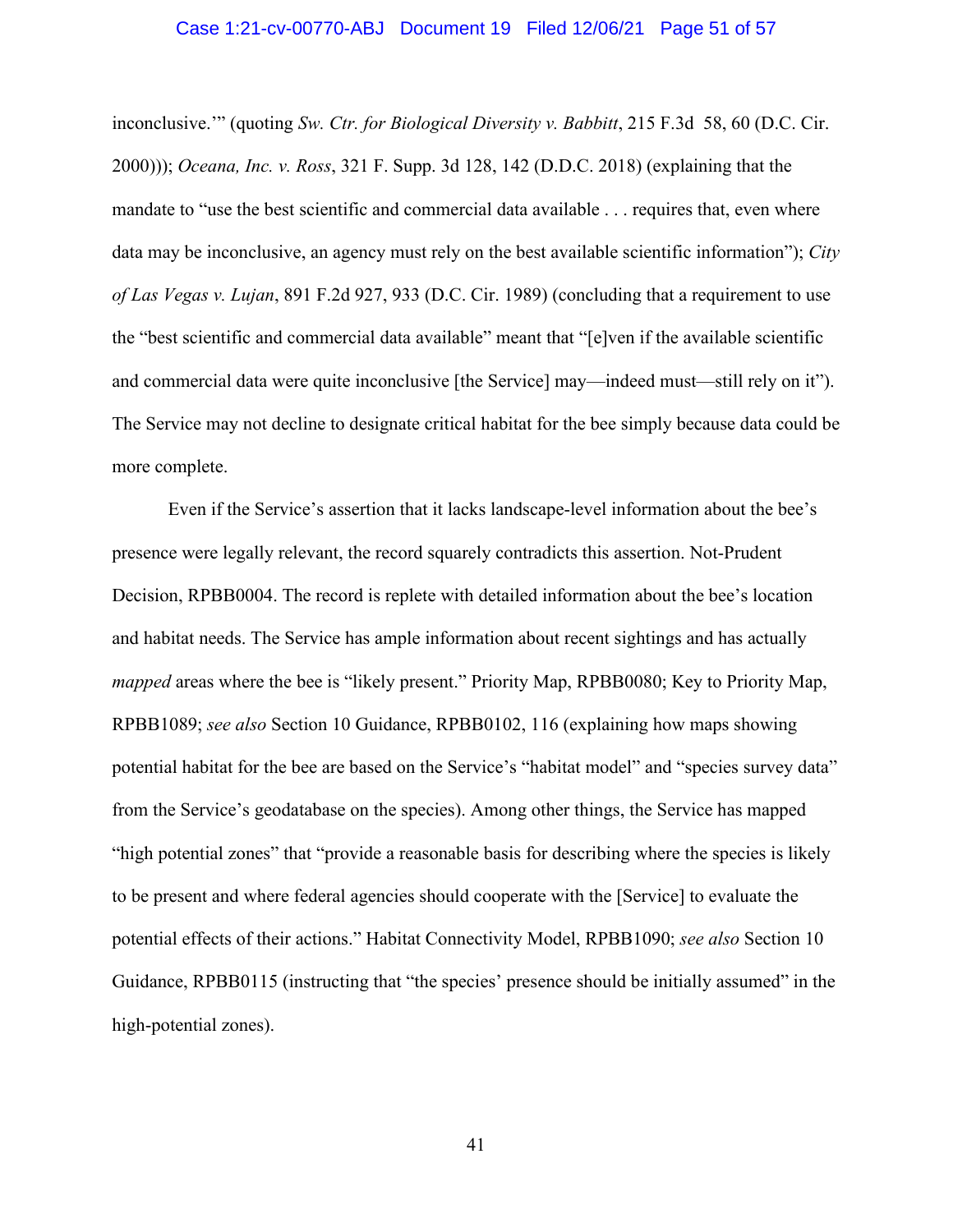#### Case 1:21-cv-00770-ABJ Document 19 Filed 12/06/21 Page 51 of 57

inconclusive.'" (quoting *Sw. Ctr. for Biological Diversity v. Babbitt*, 215 F.3d 58, 60 (D.C. Cir. 2000))); *Oceana, Inc. v. Ross*, 321 F. Supp. 3d 128, 142 (D.D.C. 2018) (explaining that the mandate to "use the best scientific and commercial data available . . . requires that, even where data may be inconclusive, an agency must rely on the best available scientific information"); *City of Las Vegas v. Lujan*, 891 F.2d 927, 933 (D.C. Cir. 1989) (concluding that a requirement to use the "best scientific and commercial data available" meant that "[e]ven if the available scientific and commercial data were quite inconclusive [the Service] may—indeed must—still rely on it"). The Service may not decline to designate critical habitat for the bee simply because data could be more complete.

Even if the Service's assertion that it lacks landscape-level information about the bee's presence were legally relevant, the record squarely contradicts this assertion. Not-Prudent Decision, RPBB0004. The record is replete with detailed information about the bee's location and habitat needs. The Service has ample information about recent sightings and has actually *mapped* areas where the bee is "likely present." Priority Map, RPBB0080; Key to Priority Map, RPBB1089; *see also* Section 10 Guidance, RPBB0102, 116 (explaining how maps showing potential habitat for the bee are based on the Service's "habitat model" and "species survey data" from the Service's geodatabase on the species). Among other things, the Service has mapped "high potential zones" that "provide a reasonable basis for describing where the species is likely to be present and where federal agencies should cooperate with the [Service] to evaluate the potential effects of their actions." Habitat Connectivity Model, RPBB1090; *see also* Section 10 Guidance, RPBB0115 (instructing that "the species' presence should be initially assumed" in the high-potential zones).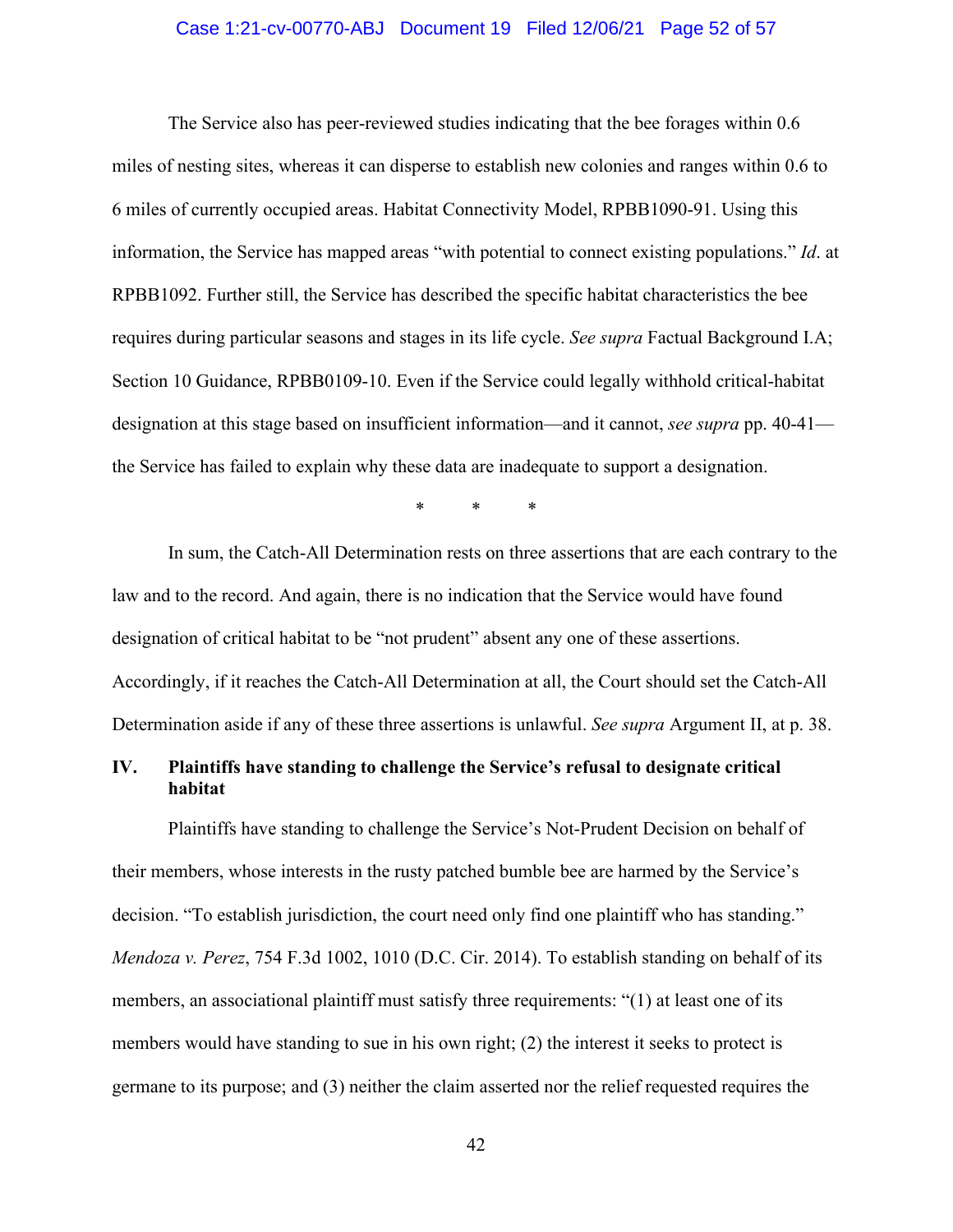#### Case 1:21-cv-00770-ABJ Document 19 Filed 12/06/21 Page 52 of 57

The Service also has peer-reviewed studies indicating that the bee forages within 0.6 miles of nesting sites, whereas it can disperse to establish new colonies and ranges within 0.6 to 6 miles of currently occupied areas. Habitat Connectivity Model, RPBB1090-91. Using this information, the Service has mapped areas "with potential to connect existing populations." *Id*. at RPBB1092. Further still, the Service has described the specific habitat characteristics the bee requires during particular seasons and stages in its life cycle. *See supra* Factual Background I.A; Section 10 Guidance, RPBB0109-10. Even if the Service could legally withhold critical-habitat designation at this stage based on insufficient information—and it cannot, *see supra* pp. 40-41 the Service has failed to explain why these data are inadequate to support a designation.

\* \* \*

In sum, the Catch-All Determination rests on three assertions that are each contrary to the law and to the record. And again, there is no indication that the Service would have found designation of critical habitat to be "not prudent" absent any one of these assertions. Accordingly, if it reaches the Catch-All Determination at all, the Court should set the Catch-All Determination aside if any of these three assertions is unlawful. *See supra* Argument II, at p. 38.

## **IV. Plaintiffs have standing to challenge the Service's refusal to designate critical habitat**

Plaintiffs have standing to challenge the Service's Not-Prudent Decision on behalf of their members, whose interests in the rusty patched bumble bee are harmed by the Service's decision. "To establish jurisdiction, the court need only find one plaintiff who has standing." *Mendoza v. Perez*, 754 F.3d 1002, 1010 (D.C. Cir. 2014). To establish standing on behalf of its members, an associational plaintiff must satisfy three requirements: "(1) at least one of its members would have standing to sue in his own right; (2) the interest it seeks to protect is germane to its purpose; and (3) neither the claim asserted nor the relief requested requires the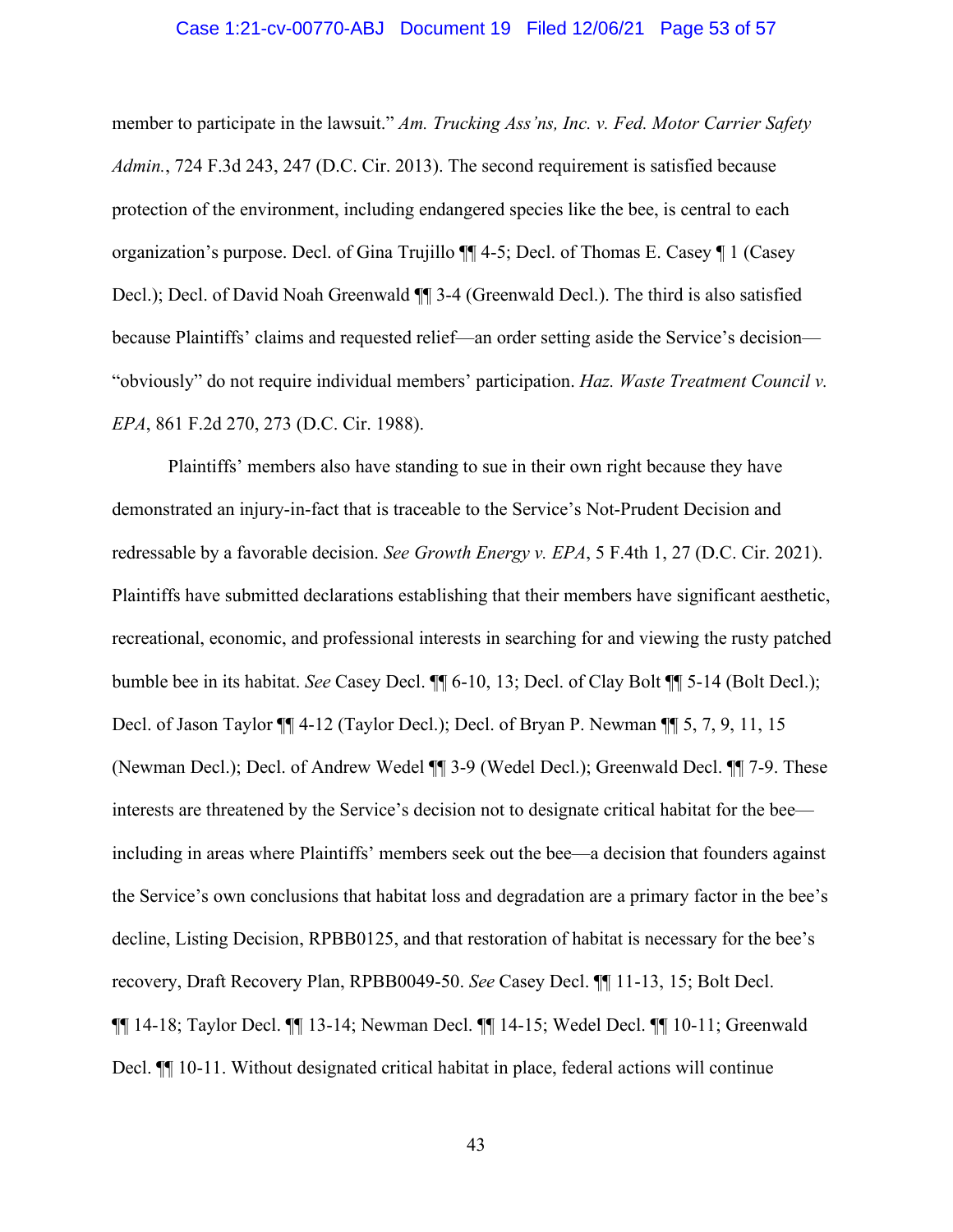#### Case 1:21-cv-00770-ABJ Document 19 Filed 12/06/21 Page 53 of 57

member to participate in the lawsuit." *Am. Trucking Ass'ns, Inc. v. Fed. Motor Carrier Safety Admin.*, 724 F.3d 243, 247 (D.C. Cir. 2013). The second requirement is satisfied because protection of the environment, including endangered species like the bee, is central to each organization's purpose. Decl. of Gina Trujillo ¶¶ 4-5; Decl. of Thomas E. Casey ¶ 1 (Casey Decl.); Decl. of David Noah Greenwald ¶¶ 3-4 (Greenwald Decl.). The third is also satisfied because Plaintiffs' claims and requested relief—an order setting aside the Service's decision— "obviously" do not require individual members' participation. *Haz. Waste Treatment Council v. EPA*, 861 F.2d 270, 273 (D.C. Cir. 1988).

Plaintiffs' members also have standing to sue in their own right because they have demonstrated an injury-in-fact that is traceable to the Service's Not-Prudent Decision and redressable by a favorable decision. *See Growth Energy v. EPA*, 5 F.4th 1, 27 (D.C. Cir. 2021). Plaintiffs have submitted declarations establishing that their members have significant aesthetic, recreational, economic, and professional interests in searching for and viewing the rusty patched bumble bee in its habitat. *See* Casey Decl. ¶¶ 6-10, 13; Decl. of Clay Bolt ¶¶ 5-14 (Bolt Decl.); Decl. of Jason Taylor ¶¶ 4-12 (Taylor Decl.); Decl. of Bryan P. Newman ¶¶ 5, 7, 9, 11, 15 (Newman Decl.); Decl. of Andrew Wedel ¶¶ 3-9 (Wedel Decl.); Greenwald Decl. ¶¶ 7-9. These interests are threatened by the Service's decision not to designate critical habitat for the bee including in areas where Plaintiffs' members seek out the bee—a decision that founders against the Service's own conclusions that habitat loss and degradation are a primary factor in the bee's decline, Listing Decision, RPBB0125, and that restoration of habitat is necessary for the bee's recovery, Draft Recovery Plan, RPBB0049-50. *See* Casey Decl. ¶¶ 11-13, 15; Bolt Decl. ¶¶ 14-18; Taylor Decl. ¶¶ 13-14; Newman Decl. ¶¶ 14-15; Wedel Decl. ¶¶ 10-11; Greenwald Decl.  $\P$  10-11. Without designated critical habitat in place, federal actions will continue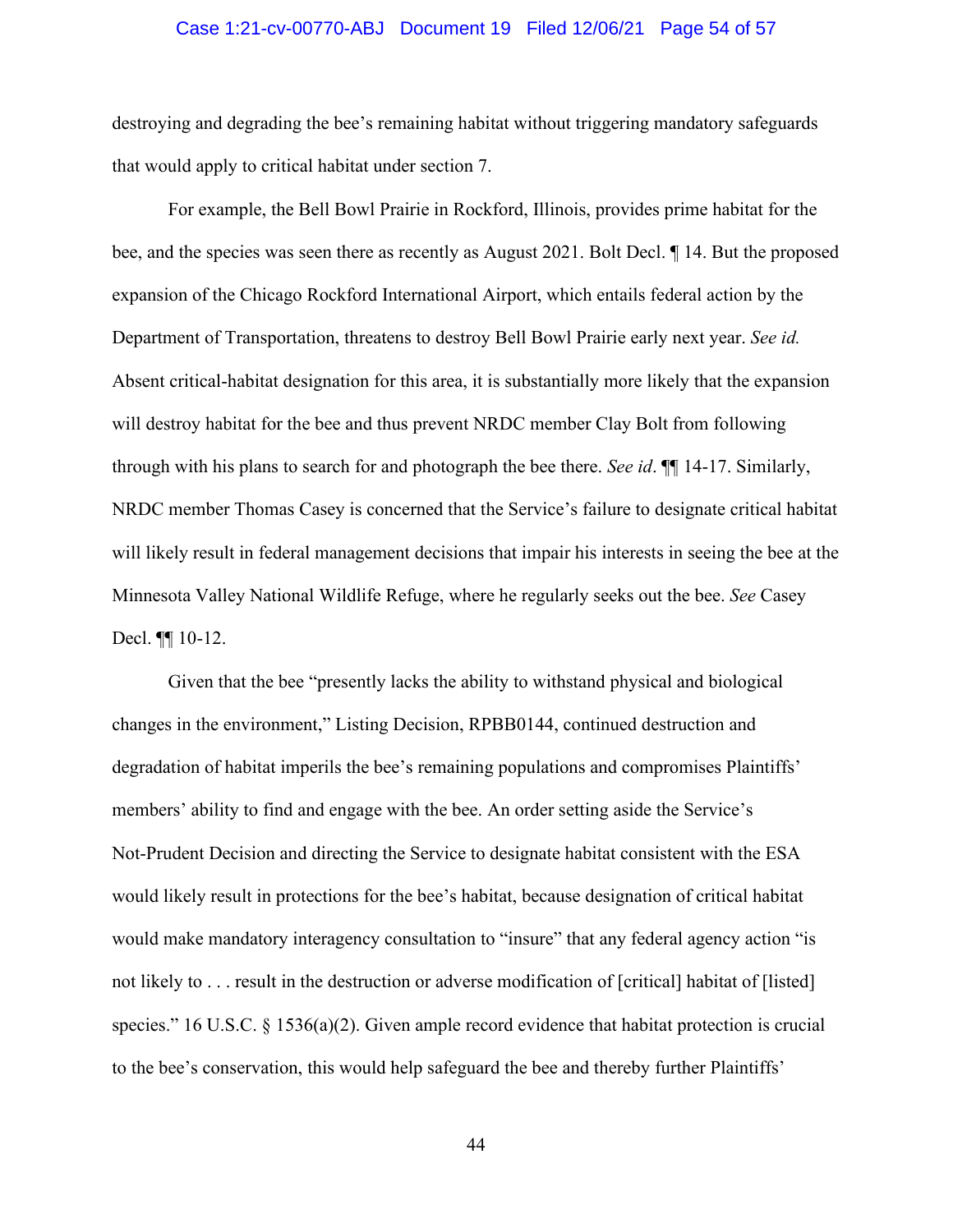#### Case 1:21-cv-00770-ABJ Document 19 Filed 12/06/21 Page 54 of 57

destroying and degrading the bee's remaining habitat without triggering mandatory safeguards that would apply to critical habitat under section 7.

For example, the Bell Bowl Prairie in Rockford, Illinois, provides prime habitat for the bee, and the species was seen there as recently as August 2021. Bolt Decl. ¶ 14. But the proposed expansion of the Chicago Rockford International Airport, which entails federal action by the Department of Transportation, threatens to destroy Bell Bowl Prairie early next year. *See id.* Absent critical-habitat designation for this area, it is substantially more likely that the expansion will destroy habitat for the bee and thus prevent NRDC member Clay Bolt from following through with his plans to search for and photograph the bee there. *See id*. ¶¶ 14-17. Similarly, NRDC member Thomas Casey is concerned that the Service's failure to designate critical habitat will likely result in federal management decisions that impair his interests in seeing the bee at the Minnesota Valley National Wildlife Refuge, where he regularly seeks out the bee. *See* Casey Decl. ¶¶ 10-12.

Given that the bee "presently lacks the ability to withstand physical and biological changes in the environment," Listing Decision, RPBB0144, continued destruction and degradation of habitat imperils the bee's remaining populations and compromises Plaintiffs' members' ability to find and engage with the bee. An order setting aside the Service's Not-Prudent Decision and directing the Service to designate habitat consistent with the ESA would likely result in protections for the bee's habitat, because designation of critical habitat would make mandatory interagency consultation to "insure" that any federal agency action "is not likely to . . . result in the destruction or adverse modification of [critical] habitat of [listed] species." 16 U.S.C.  $\S$  1536(a)(2). Given ample record evidence that habitat protection is crucial to the bee's conservation, this would help safeguard the bee and thereby further Plaintiffs'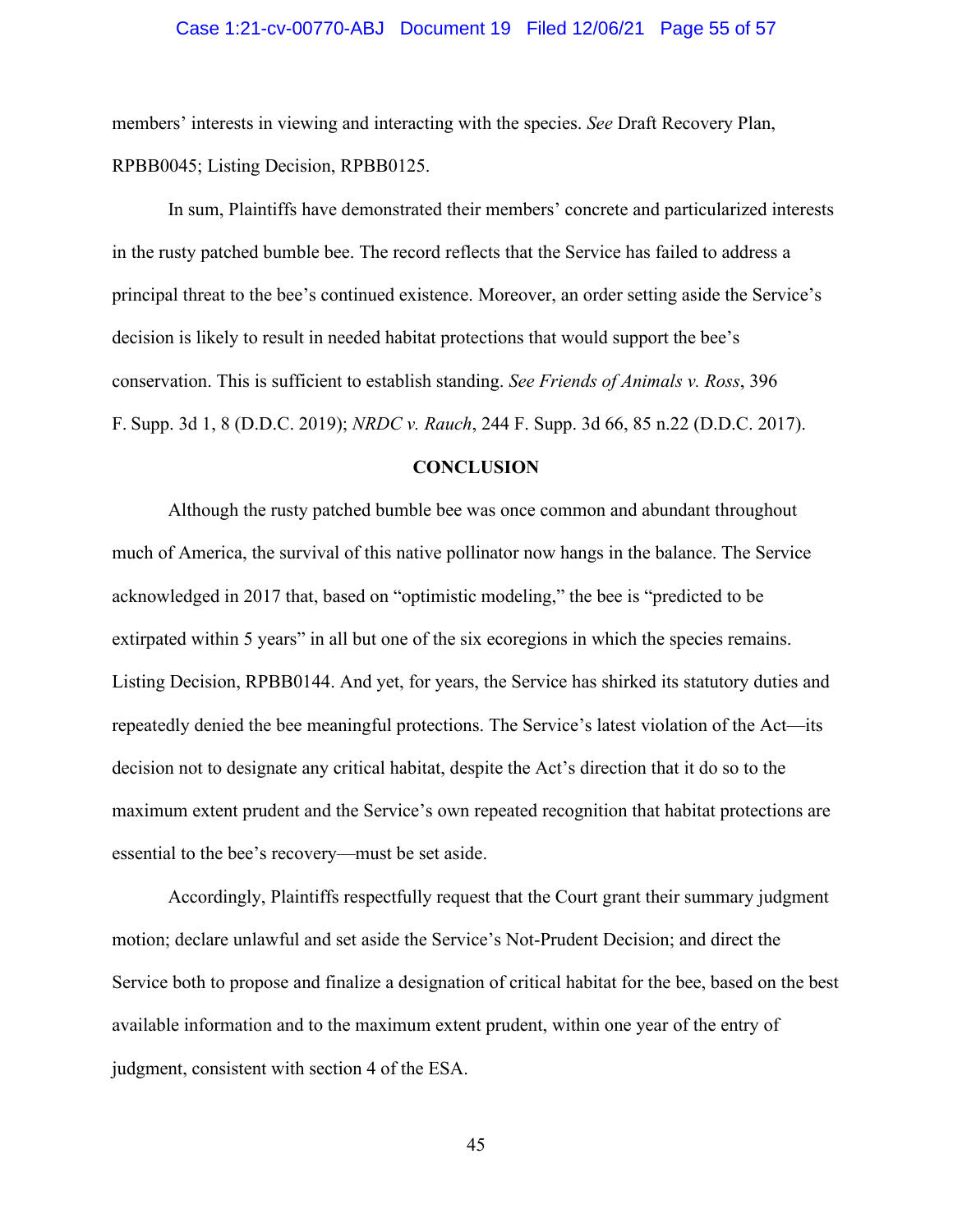#### Case 1:21-cv-00770-ABJ Document 19 Filed 12/06/21 Page 55 of 57

members' interests in viewing and interacting with the species. *See* Draft Recovery Plan, RPBB0045; Listing Decision, RPBB0125.

In sum, Plaintiffs have demonstrated their members' concrete and particularized interests in the rusty patched bumble bee. The record reflects that the Service has failed to address a principal threat to the bee's continued existence. Moreover, an order setting aside the Service's decision is likely to result in needed habitat protections that would support the bee's conservation. This is sufficient to establish standing. *See Friends of Animals v. Ross*, 396 F. Supp. 3d 1, 8 (D.D.C. 2019); *NRDC v. Rauch*, 244 F. Supp. 3d 66, 85 n.22 (D.D.C. 2017).

#### **CONCLUSION**

Although the rusty patched bumble bee was once common and abundant throughout much of America, the survival of this native pollinator now hangs in the balance. The Service acknowledged in 2017 that, based on "optimistic modeling," the bee is "predicted to be extirpated within 5 years" in all but one of the six ecoregions in which the species remains. Listing Decision, RPBB0144. And yet, for years, the Service has shirked its statutory duties and repeatedly denied the bee meaningful protections. The Service's latest violation of the Act—its decision not to designate any critical habitat, despite the Act's direction that it do so to the maximum extent prudent and the Service's own repeated recognition that habitat protections are essential to the bee's recovery—must be set aside.

Accordingly, Plaintiffs respectfully request that the Court grant their summary judgment motion; declare unlawful and set aside the Service's Not-Prudent Decision; and direct the Service both to propose and finalize a designation of critical habitat for the bee, based on the best available information and to the maximum extent prudent, within one year of the entry of judgment, consistent with section 4 of the ESA.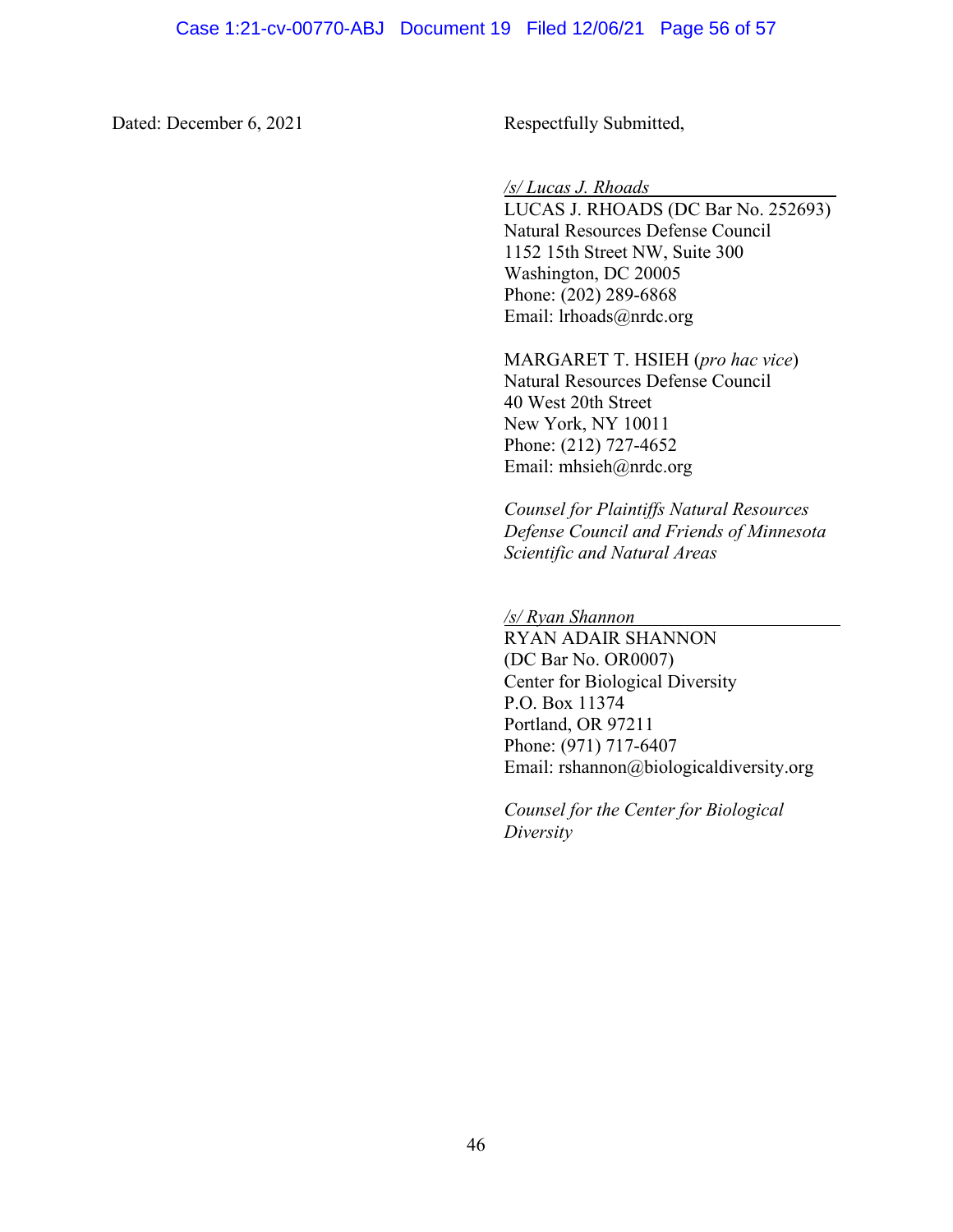Dated: December 6, 2021 Respectfully Submitted,

#### */s/ Lucas J. Rhoads*

LUCAS J. RHOADS (DC Bar No. 252693) Natural Resources Defense Council 1152 15th Street NW, Suite 300 Washington, DC 20005 Phone: (202) 289-6868 Email: lrhoads@nrdc.org

MARGARET T. HSIEH (*pro hac vice*) Natural Resources Defense Council 40 West 20th Street New York, NY 10011 Phone: (212) 727-4652 Email: mhsieh@nrdc.org

*Counsel for Plaintiffs Natural Resources Defense Council and Friends of Minnesota Scientific and Natural Areas*

*/s/ Ryan Shannon* 

RYAN ADAIR SHANNON (DC Bar No. OR0007) Center for Biological Diversity P.O. Box 11374 Portland, OR 97211 Phone: (971) 717-6407 Email: rshannon@biologicaldiversity.org

*Counsel for the Center for Biological Diversity*